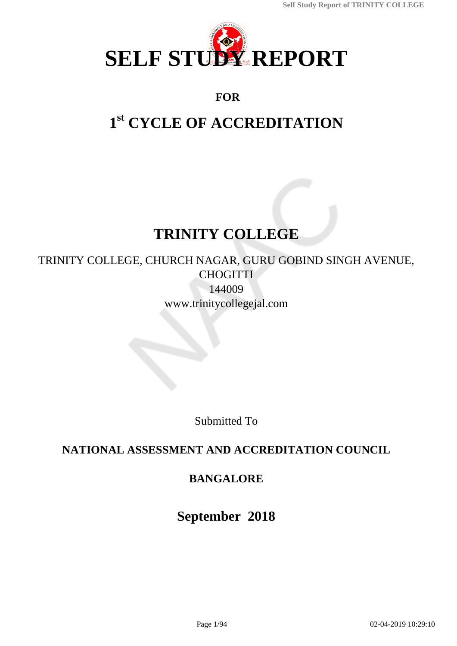

## **FOR**

# **1 st CYCLE OF ACCREDITATION**

# **TRINITY COLLEGE**

TRINITY COLLEGE, CHURCH NAGAR, GURU GOBIND SINGH AVENUE, **CHOGITTI** 144009 www.trinitycollegejal.com

Submitted To

## **NATIONAL ASSESSMENT AND ACCREDITATION COUNCIL**

## **BANGALORE**

**September 2018**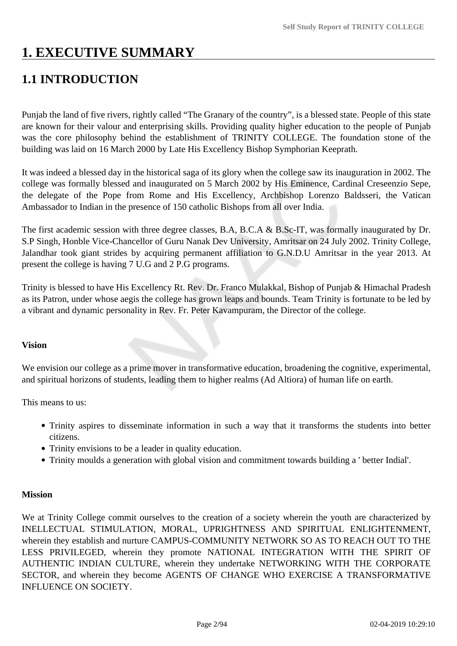# **1. EXECUTIVE SUMMARY**

# **1.1 INTRODUCTION**

Punjab the land of five rivers, rightly called "The Granary of the country", is a blessed state. People of this state are known for their valour and enterprising skills. Providing quality higher education to the people of Punjab was the core philosophy behind the establishment of TRINITY COLLEGE. The foundation stone of the building was laid on 16 March 2000 by Late His Excellency Bishop Symphorian Keeprath.

It was indeed a blessed day in the historical saga of its glory when the college saw its inauguration in 2002. The college was formally blessed and inaugurated on 5 March 2002 by His Eminence, Cardinal Creseenzio Sepe, the delegate of the Pope from Rome and His Excellency, Archbishop Lorenzo Baldsseri, the Vatican Ambassador to Indian in the presence of 150 catholic Bishops from all over India.

The first academic session with three degree classes, B.A, B.C.A & B.Sc-IT, was formally inaugurated by Dr. S.P Singh, Honble Vice-Chancellor of Guru Nanak Dev University, Amritsar on 24 July 2002. Trinity College, Jalandhar took giant strides by acquiring permanent affiliation to G.N.D.U Amritsar in the year 2013. At present the college is having 7 U.G and 2 P.G programs.

Trinity is blessed to have His Excellency Rt. Rev. Dr. Franco Mulakkal, Bishop of Punjab & Himachal Pradesh as its Patron, under whose aegis the college has grown leaps and bounds. Team Trinity is fortunate to be led by a vibrant and dynamic personality in Rev. Fr. Peter Kavampuram, the Director of the college.

#### **Vision**

We envision our college as a prime mover in transformative education, broadening the cognitive, experimental, and spiritual horizons of students, leading them to higher realms (Ad Altiora) of human life on earth.

This means to us:

- Trinity aspires to disseminate information in such a way that it transforms the students into better citizens.
- Trinity envisions to be a leader in quality education.
- Trinity moulds a generation with global vision and commitment towards building a ' better Indial'.

#### **Mission**

We at Trinity College commit ourselves to the creation of a society wherein the youth are characterized by INELLECTUAL STIMULATION, MORAL, UPRIGHTNESS AND SPIRITUAL ENLIGHTENMENT, wherein they establish and nurture CAMPUS-COMMUNITY NETWORK SO AS TO REACH OUT TO THE LESS PRIVILEGED, wherein they promote NATIONAL INTEGRATION WITH THE SPIRIT OF AUTHENTIC INDIAN CULTURE, wherein they undertake NETWORKING WITH THE CORPORATE SECTOR, and wherein they become AGENTS OF CHANGE WHO EXERCISE A TRANSFORMATIVE INFLUENCE ON SOCIETY.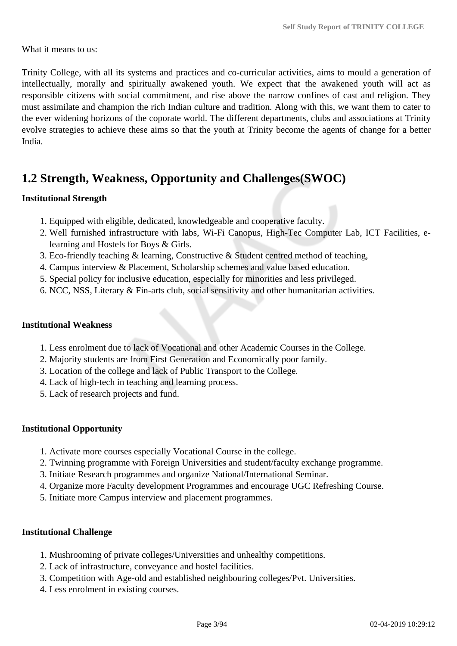What it means to us:

Trinity College, with all its systems and practices and co-curricular activities, aims to mould a generation of intellectually, morally and spiritually awakened youth. We expect that the awakened youth will act as responsible citizens with social commitment, and rise above the narrow confines of cast and religion. They must assimilate and champion the rich Indian culture and tradition. Along with this, we want them to cater to the ever widening horizons of the coporate world. The different departments, clubs and associations at Trinity evolve strategies to achieve these aims so that the youth at Trinity become the agents of change for a better India.

## **1.2 Strength, Weakness, Opportunity and Challenges(SWOC)**

#### **Institutional Strength**

- 1. Equipped with eligible, dedicated, knowledgeable and cooperative faculty.
- 2. Well furnished infrastructure with labs, Wi-Fi Canopus, High-Tec Computer Lab, ICT Facilities, elearning and Hostels for Boys & Girls.
- 3. Eco-friendly teaching & learning, Constructive & Student centred method of teaching,
- 4. Campus interview & Placement, Scholarship schemes and value based education.
- 5. Special policy for inclusive education, especially for minorities and less privileged.
- 6. NCC, NSS, Literary & Fin-arts club, social sensitivity and other humanitarian activities.

#### **Institutional Weakness**

- 1. Less enrolment due to lack of Vocational and other Academic Courses in the College.
- 2. Majority students are from First Generation and Economically poor family.
- 3. Location of the college and lack of Public Transport to the College.
- 4. Lack of high-tech in teaching and learning process.
- 5. Lack of research projects and fund.

#### **Institutional Opportunity**

- 1. Activate more courses especially Vocational Course in the college.
- 2. Twinning programme with Foreign Universities and student/faculty exchange programme.
- 3. Initiate Research programmes and organize National/International Seminar.
- 4. Organize more Faculty development Programmes and encourage UGC Refreshing Course.
- 5. Initiate more Campus interview and placement programmes.

#### **Institutional Challenge**

- 1. Mushrooming of private colleges/Universities and unhealthy competitions.
- 2. Lack of infrastructure, conveyance and hostel facilities.
- 3. Competition with Age-old and established neighbouring colleges/Pvt. Universities.
- 4. Less enrolment in existing courses.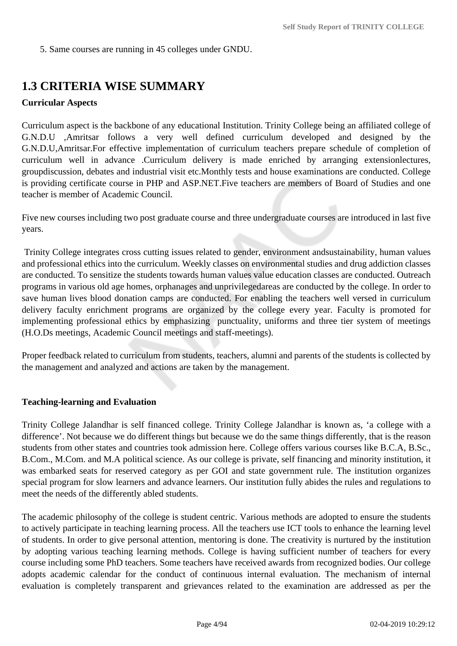5. Same courses are running in 45 colleges under GNDU.

## **1.3 CRITERIA WISE SUMMARY**

#### **Curricular Aspects**

Curriculum aspect is the backbone of any educational Institution. Trinity College being an affiliated college of G.N.D.U ,Amritsar follows a very well defined curriculum developed and designed by the G.N.D.U,Amritsar.For effective implementation of curriculum teachers prepare schedule of completion of curriculum well in advance .Curriculum delivery is made enriched by arranging extensionlectures, groupdiscussion, debates and industrial visit etc.Monthly tests and house examinations are conducted. College is providing certificate course in PHP and ASP.NET.Five teachers are members of Board of Studies and one teacher is member of Academic Council.

Five new courses including two post graduate course and three undergraduate courses are introduced in last five years.

 Trinity College integrates cross cutting issues related to gender, environment andsustainability, human values and professional ethics into the curriculum. Weekly classes on environmental studies and drug addiction classes are conducted. To sensitize the students towards human values value education classes are conducted. Outreach programs in various old age homes, orphanages and unprivilegedareas are conducted by the college. In order to save human lives blood donation camps are conducted. For enabling the teachers well versed in curriculum delivery faculty enrichment programs are organized by the college every year. Faculty is promoted for implementing professional ethics by emphasizing punctuality, uniforms and three tier system of meetings (H.O.Ds meetings, Academic Council meetings and staff-meetings).

Proper feedback related to curriculum from students, teachers, alumni and parents of the students is collected by the management and analyzed and actions are taken by the management.

#### **Teaching-learning and Evaluation**

Trinity College Jalandhar is self financed college. Trinity College Jalandhar is known as, 'a college with a difference'. Not because we do different things but because we do the same things differently, that is the reason students from other states and countries took admission here. College offers various courses like B.C.A, B.Sc., B.Com., M.Com. and M.A political science. As our college is private, self financing and minority institution, it was embarked seats for reserved category as per GOI and state government rule. The institution organizes special program for slow learners and advance learners. Our institution fully abides the rules and regulations to meet the needs of the differently abled students.

The academic philosophy of the college is student centric. Various methods are adopted to ensure the students to actively participate in teaching learning process. All the teachers use ICT tools to enhance the learning level of students. In order to give personal attention, mentoring is done. The creativity is nurtured by the institution by adopting various teaching learning methods. College is having sufficient number of teachers for every course including some PhD teachers. Some teachers have received awards from recognized bodies. Our college adopts academic calendar for the conduct of continuous internal evaluation. The mechanism of internal evaluation is completely transparent and grievances related to the examination are addressed as per the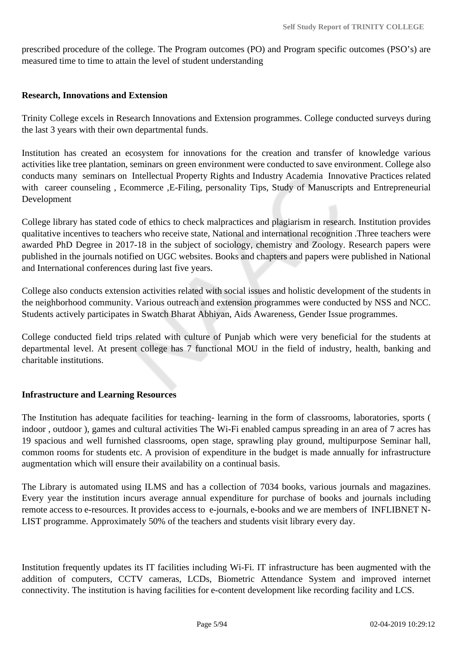prescribed procedure of the college. The Program outcomes (PO) and Program specific outcomes (PSO's) are measured time to time to attain the level of student understanding

#### **Research, Innovations and Extension**

Trinity College excels in Research Innovations and Extension programmes. College conducted surveys during the last 3 years with their own departmental funds.

Institution has created an ecosystem for innovations for the creation and transfer of knowledge various activities like tree plantation, seminars on green environment were conducted to save environment. College also conducts many seminars on Intellectual Property Rights and Industry Academia Innovative Practices related with career counseling, Ecommerce , E-Filing, personality Tips, Study of Manuscripts and Entrepreneurial Development

College library has stated code of ethics to check malpractices and plagiarism in research. Institution provides qualitative incentives to teachers who receive state, National and international recognition .Three teachers were awarded PhD Degree in 2017-18 in the subject of sociology, chemistry and Zoology. Research papers were published in the journals notified on UGC websites. Books and chapters and papers were published in National and International conferences during last five years.

College also conducts extension activities related with social issues and holistic development of the students in the neighborhood community. Various outreach and extension programmes were conducted by NSS and NCC. Students actively participates in Swatch Bharat Abhiyan, Aids Awareness, Gender Issue programmes.

College conducted field trips related with culture of Punjab which were very beneficial for the students at departmental level. At present college has 7 functional MOU in the field of industry, health, banking and charitable institutions.

#### **Infrastructure and Learning Resources**

The Institution has adequate facilities for teaching- learning in the form of classrooms, laboratories, sports ( indoor , outdoor ), games and cultural activities The Wi-Fi enabled campus spreading in an area of 7 acres has 19 spacious and well furnished classrooms, open stage, sprawling play ground, multipurpose Seminar hall, common rooms for students etc. A provision of expenditure in the budget is made annually for infrastructure augmentation which will ensure their availability on a continual basis.

The Library is automated using ILMS and has a collection of 7034 books, various journals and magazines. Every year the institution incurs average annual expenditure for purchase of books and journals including remote access to e-resources. It provides access to e-journals, e-books and we are members of INFLIBNET N-LIST programme. Approximately 50% of the teachers and students visit library every day.

Institution frequently updates its IT facilities including Wi-Fi. IT infrastructure has been augmented with the addition of computers, CCTV cameras, LCDs, Biometric Attendance System and improved internet connectivity. The institution is having facilities for e-content development like recording facility and LCS.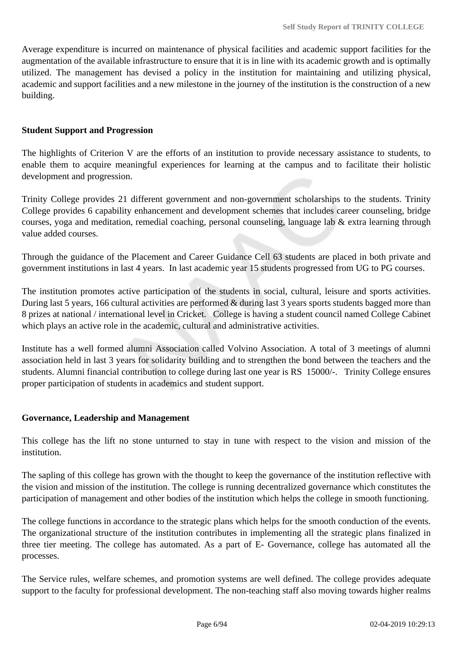Average expenditure is incurred on maintenance of physical facilities and academic support facilities for the augmentation of the available infrastructure to ensure that it is in line with its academic growth and is optimally utilized. The management has devised a policy in the institution for maintaining and utilizing physical, academic and support facilities and a new milestone in the journey of the institution is the construction of a new building.

#### **Student Support and Progression**

The highlights of Criterion V are the efforts of an institution to provide necessary assistance to students, to enable them to acquire meaningful experiences for learning at the campus and to facilitate their holistic development and progression.

Trinity College provides 21 different government and non-government scholarships to the students. Trinity College provides 6 capability enhancement and development schemes that includes career counseling, bridge courses, yoga and meditation, remedial coaching, personal counseling, language lab & extra learning through value added courses.

Through the guidance of the Placement and Career Guidance Cell 63 students are placed in both private and government institutions in last 4 years. In last academic year 15 students progressed from UG to PG courses.

The institution promotes active participation of the students in social, cultural, leisure and sports activities. During last 5 years, 166 cultural activities are performed & during last 3 years sports students bagged more than 8 prizes at national / international level in Cricket. College is having a student council named College Cabinet which plays an active role in the academic, cultural and administrative activities.

Institute has a well formed alumni Association called Volvino Association. A total of 3 meetings of alumni association held in last 3 years for solidarity building and to strengthen the bond between the teachers and the students. Alumni financial contribution to college during last one year is RS 15000/-. Trinity College ensures proper participation of students in academics and student support.

#### **Governance, Leadership and Management**

This college has the lift no stone unturned to stay in tune with respect to the vision and mission of the institution.

The sapling of this college has grown with the thought to keep the governance of the institution reflective with the vision and mission of the institution. The college is running decentralized governance which constitutes the participation of management and other bodies of the institution which helps the college in smooth functioning.

The college functions in accordance to the strategic plans which helps for the smooth conduction of the events. The organizational structure of the institution contributes in implementing all the strategic plans finalized in three tier meeting. The college has automated. As a part of E- Governance, college has automated all the processes.

The Service rules, welfare schemes, and promotion systems are well defined. The college provides adequate support to the faculty for professional development. The non-teaching staff also moving towards higher realms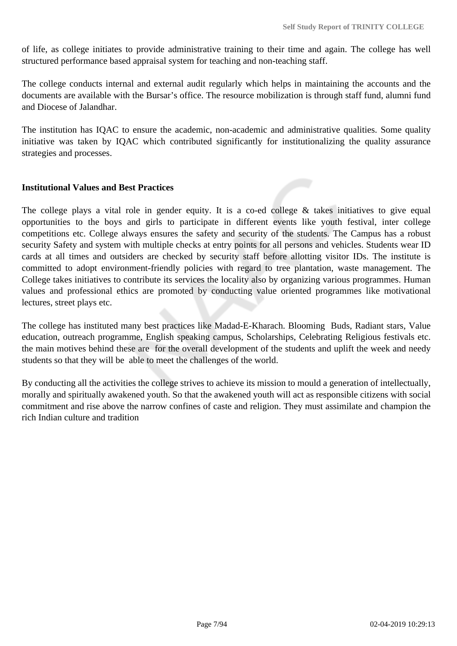of life, as college initiates to provide administrative training to their time and again. The college has well structured performance based appraisal system for teaching and non-teaching staff.

The college conducts internal and external audit regularly which helps in maintaining the accounts and the documents are available with the Bursar's office. The resource mobilization is through staff fund, alumni fund and Diocese of Jalandhar.

The institution has IQAC to ensure the academic, non-academic and administrative qualities. Some quality initiative was taken by IQAC which contributed significantly for institutionalizing the quality assurance strategies and processes.

#### **Institutional Values and Best Practices**

The college plays a vital role in gender equity. It is a co-ed college  $\&$  takes initiatives to give equal opportunities to the boys and girls to participate in different events like youth festival, inter college competitions etc. College always ensures the safety and security of the students. The Campus has a robust security Safety and system with multiple checks at entry points for all persons and vehicles. Students wear ID cards at all times and outsiders are checked by security staff before allotting visitor IDs. The institute is committed to adopt environment-friendly policies with regard to tree plantation, waste management. The College takes initiatives to contribute its services the locality also by organizing various programmes. Human values and professional ethics are promoted by conducting value oriented programmes like motivational lectures, street plays etc.

The college has instituted many best practices like Madad-E-Kharach. Blooming Buds, Radiant stars, Value education, outreach programme, English speaking campus, Scholarships, Celebrating Religious festivals etc. the main motives behind these are for the overall development of the students and uplift the week and needy students so that they will be able to meet the challenges of the world.

By conducting all the activities the college strives to achieve its mission to mould a generation of intellectually, morally and spiritually awakened youth. So that the awakened youth will act as responsible citizens with social commitment and rise above the narrow confines of caste and religion. They must assimilate and champion the rich Indian culture and tradition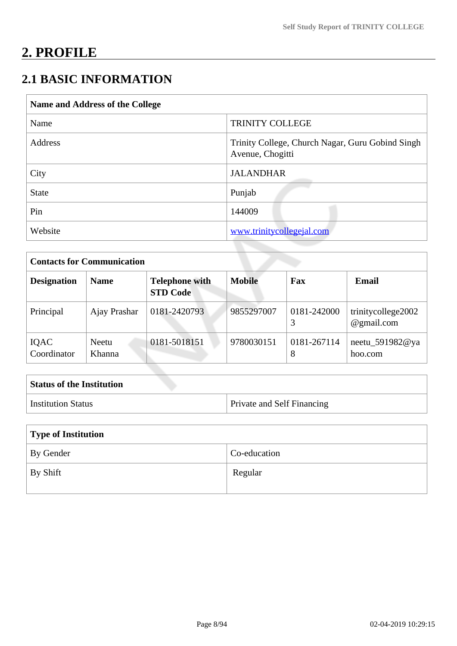# **2. PROFILE**

# **2.1 BASIC INFORMATION**

| Name and Address of the College |                                                                      |
|---------------------------------|----------------------------------------------------------------------|
| Name                            | <b>TRINITY COLLEGE</b>                                               |
| Address                         | Trinity College, Church Nagar, Guru Gobind Singh<br>Avenue, Chogitti |
| City                            | <b>JALANDHAR</b>                                                     |
| <b>State</b>                    | Punjab                                                               |
| Pin                             | 144009                                                               |
| Website                         | www.trinitycollegejal.com                                            |

| <b>Contacts for Communication</b> |                 |                                          |               |                  |                                  |
|-----------------------------------|-----------------|------------------------------------------|---------------|------------------|----------------------------------|
| <b>Designation</b>                | <b>Name</b>     | <b>Telephone with</b><br><b>STD Code</b> | <b>Mobile</b> | Fax              | <b>Email</b>                     |
| Principal                         | Ajay Prashar    | 0181-2420793                             | 9855297007    | 0181-242000      | trinitycollege2002<br>@gmail.com |
| IQAC<br>Coordinator               | Neetu<br>Khanna | 0181-5018151                             | 9780030151    | 0181-267114<br>8 | neetu_591982@ya<br>hoo.com       |

| <b>Status of the Institution</b> |                                   |
|----------------------------------|-----------------------------------|
| <sup>†</sup> Institution Status  | <b>Private and Self Financing</b> |

| Type of Institution   |              |  |
|-----------------------|--------------|--|
| By Gender             | Co-education |  |
| $\mathsf{I}$ By Shift | Regular      |  |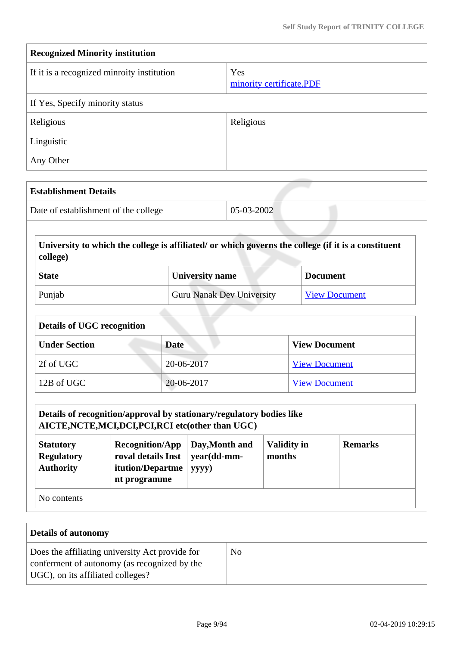| <b>Recognized Minority institution</b>     |                                 |  |
|--------------------------------------------|---------------------------------|--|
| If it is a recognized minroity institution | Yes<br>minority certificate.PDF |  |
| If Yes, Specify minority status            |                                 |  |
| Religious                                  | Religious                       |  |
| Linguistic                                 |                                 |  |
| Any Other                                  |                                 |  |

| <b>Establishment Details</b>         |            |
|--------------------------------------|------------|
| Date of establishment of the college | 05-03-2002 |

 **University to which the college is affiliated/ or which governs the college (if it is a constituent college)**

| <b>State</b> | <b>University name</b>           | <b>Document</b>      |
|--------------|----------------------------------|----------------------|
| Punjab       | <b>Guru Nanak Dev University</b> | <b>View Document</b> |

| <b>Details of UGC recognition</b> |             |                      |  |
|-----------------------------------|-------------|----------------------|--|
| <b>Under Section</b>              | <b>Date</b> | <b>View Document</b> |  |
| 2f of UGC                         | 20-06-2017  | <b>View Document</b> |  |
| 12B of UGC                        | 20-06-2017  | <b>View Document</b> |  |

|                                                                                                                                                                                                                                           | Details of recognition/approval by stationary/regulatory bodies like<br>AICTE, NCTE, MCI, DCI, PCI, RCI etc(other than UGC) |  |  |  |
|-------------------------------------------------------------------------------------------------------------------------------------------------------------------------------------------------------------------------------------------|-----------------------------------------------------------------------------------------------------------------------------|--|--|--|
| <b>Validity in</b><br><b>Recognition/App</b><br>Day, Month and<br><b>Remarks</b><br><b>Statutory</b><br>roval details Inst<br>year(dd-mm-<br><b>Regulatory</b><br>months<br><b>Authority</b><br>itution/Departme<br>yyyy)<br>nt programme |                                                                                                                             |  |  |  |
| No contents                                                                                                                                                                                                                               |                                                                                                                             |  |  |  |

| <b>Details of autonomy</b>                                                                                                           |                |
|--------------------------------------------------------------------------------------------------------------------------------------|----------------|
| Does the affiliating university Act provide for<br>conferment of autonomy (as recognized by the<br>UGC), on its affiliated colleges? | N <sub>0</sub> |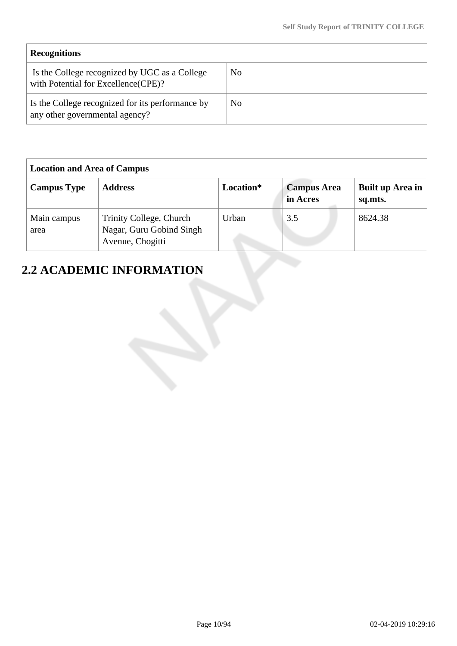| <b>Recognitions</b>                                                                  |    |
|--------------------------------------------------------------------------------------|----|
| Is the College recognized by UGC as a College<br>with Potential for Excellence(CPE)? | No |
| Is the College recognized for its performance by<br>any other governmental agency?   | No |

| <b>Location and Area of Campus</b> |                                                                         |           |                                |                             |
|------------------------------------|-------------------------------------------------------------------------|-----------|--------------------------------|-----------------------------|
| <b>Campus Type</b>                 | <b>Address</b>                                                          | Location* | <b>Campus Area</b><br>in Acres | Built up Area in<br>sq.mts. |
| Main campus<br>area                | Trinity College, Church<br>Nagar, Guru Gobind Singh<br>Avenue, Chogitti | Urban     | 3.5                            | 8624.38                     |

# **2.2 ACADEMIC INFORMATION**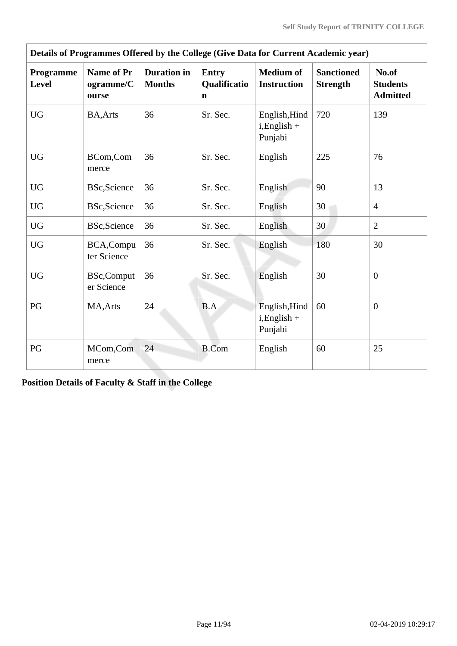| Details of Programmes Offered by the College (Give Data for Current Academic year) |                                         |                                     |                                                    |                                             |                                      |                                             |  |  |  |
|------------------------------------------------------------------------------------|-----------------------------------------|-------------------------------------|----------------------------------------------------|---------------------------------------------|--------------------------------------|---------------------------------------------|--|--|--|
| Programme<br><b>Level</b>                                                          | <b>Name of Pr</b><br>ogramme/C<br>ourse | <b>Duration</b> in<br><b>Months</b> | <b>Entry</b><br><b>Qualificatio</b><br>$\mathbf n$ | <b>Medium of</b><br><b>Instruction</b>      | <b>Sanctioned</b><br><b>Strength</b> | No.of<br><b>Students</b><br><b>Admitted</b> |  |  |  |
| <b>UG</b>                                                                          | <b>BA, Arts</b>                         | 36                                  | Sr. Sec.                                           | English, Hind<br>$i$ , English +<br>Punjabi | 720                                  | 139                                         |  |  |  |
| <b>UG</b>                                                                          | BCom,Com<br>merce                       | 36                                  | Sr. Sec.                                           | English                                     | 225                                  | 76                                          |  |  |  |
| <b>UG</b>                                                                          | <b>BSc, Science</b>                     | 36                                  | Sr. Sec.                                           | English                                     | 90                                   | 13                                          |  |  |  |
| <b>UG</b>                                                                          | <b>BSc, Science</b>                     | 36                                  | Sr. Sec.                                           | English                                     | 30                                   | $\overline{4}$                              |  |  |  |
| <b>UG</b>                                                                          | <b>BSc, Science</b>                     | 36                                  | Sr. Sec.                                           | English                                     | 30                                   | $\overline{2}$                              |  |  |  |
| <b>UG</b>                                                                          | BCA,Compu<br>ter Science                | 36                                  | Sr. Sec.                                           | English                                     | 180                                  | 30                                          |  |  |  |
| <b>UG</b>                                                                          | <b>BSc,Comput</b><br>er Science         | 36                                  | Sr. Sec.                                           | English                                     | 30                                   | $\overline{0}$                              |  |  |  |
| PG                                                                                 | MA, Arts                                | 24                                  | B.A                                                | English, Hind<br>$i$ , English +<br>Punjabi | 60                                   | $\overline{0}$                              |  |  |  |
| PG                                                                                 | MCom,Com<br>merce                       | 24                                  | <b>B.Com</b>                                       | English                                     | 60                                   | 25                                          |  |  |  |

**Position Details of Faculty & Staff in the College**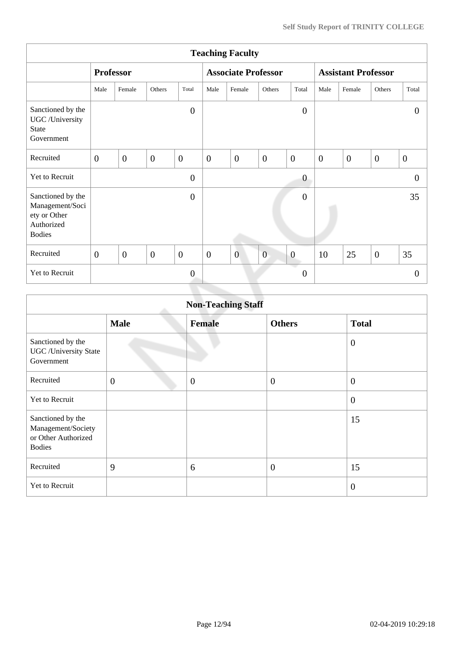|                                                                                     | <b>Teaching Faculty</b> |                  |                |                  |                  |                            |                |                  |                            |                |                |                  |
|-------------------------------------------------------------------------------------|-------------------------|------------------|----------------|------------------|------------------|----------------------------|----------------|------------------|----------------------------|----------------|----------------|------------------|
|                                                                                     |                         | <b>Professor</b> |                |                  |                  | <b>Associate Professor</b> |                |                  | <b>Assistant Professor</b> |                |                |                  |
|                                                                                     | Male                    | Female           | Others         | Total            | Male             | Female                     | Others         | Total            | Male                       | Female         | Others         | Total            |
| Sanctioned by the<br>UGC /University<br><b>State</b><br>Government                  |                         |                  |                | $\overline{0}$   |                  |                            |                | $\overline{0}$   |                            |                |                | $\theta$         |
| Recruited                                                                           | $\overline{0}$          | $\overline{0}$   | $\overline{0}$ | $\mathbf{0}$     | $\mathbf{0}$     | $\mathbf{0}$               | $\overline{0}$ | $\boldsymbol{0}$ | $\boldsymbol{0}$           | $\overline{0}$ | $\overline{0}$ | $\boldsymbol{0}$ |
| Yet to Recruit                                                                      |                         |                  |                | $\overline{0}$   |                  |                            |                | $\boldsymbol{0}$ |                            |                |                | $\Omega$         |
| Sanctioned by the<br>Management/Soci<br>ety or Other<br>Authorized<br><b>Bodies</b> |                         |                  |                | $\boldsymbol{0}$ |                  |                            |                | $\mathbf{0}$     |                            |                |                | 35               |
| Recruited                                                                           | $\boldsymbol{0}$        | $\boldsymbol{0}$ | $\overline{0}$ | $\boldsymbol{0}$ | $\boldsymbol{0}$ | $\overline{0}$             | $\overline{0}$ | $\boldsymbol{0}$ | 10                         | 25             | $\mathbf{0}$   | 35               |
| Yet to Recruit                                                                      |                         |                  |                | $\mathbf{0}$     |                  |                            |                | $\overline{0}$   |                            |                |                | $\overline{0}$   |
|                                                                                     |                         |                  |                |                  |                  |                            |                |                  |                            |                |                |                  |

| <b>Non-Teaching Staff</b>                                                       |                |                |                  |                |  |  |  |  |
|---------------------------------------------------------------------------------|----------------|----------------|------------------|----------------|--|--|--|--|
|                                                                                 | <b>Male</b>    | <b>Female</b>  | <b>Others</b>    | <b>Total</b>   |  |  |  |  |
| Sanctioned by the<br><b>UGC</b> / University State<br>Government                |                |                |                  | $\overline{0}$ |  |  |  |  |
| Recruited                                                                       | $\overline{0}$ | $\overline{0}$ | $\boldsymbol{0}$ | $\mathbf{0}$   |  |  |  |  |
| Yet to Recruit                                                                  |                |                |                  | $\mathbf{0}$   |  |  |  |  |
| Sanctioned by the<br>Management/Society<br>or Other Authorized<br><b>Bodies</b> |                |                |                  | 15             |  |  |  |  |
| Recruited                                                                       | 9              | 6              | $\overline{0}$   | 15             |  |  |  |  |
| Yet to Recruit                                                                  |                |                |                  | $\overline{0}$ |  |  |  |  |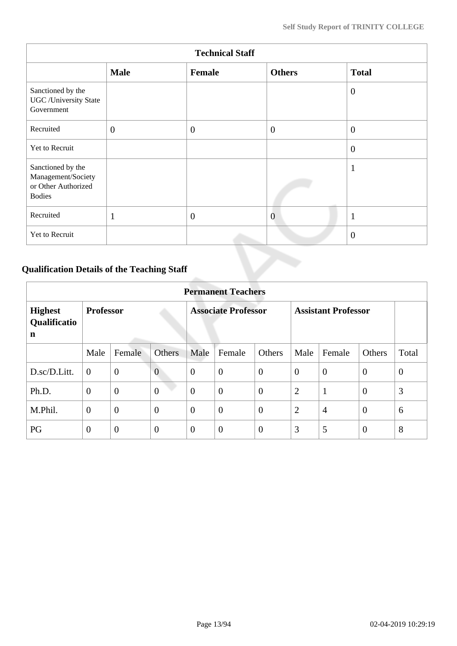| <b>Technical Staff</b>                                                          |              |              |                |                |  |  |  |  |
|---------------------------------------------------------------------------------|--------------|--------------|----------------|----------------|--|--|--|--|
|                                                                                 | <b>Male</b>  | Female       | <b>Others</b>  | <b>Total</b>   |  |  |  |  |
| Sanctioned by the<br><b>UGC</b> /University State<br>Government                 |              |              |                | $\overline{0}$ |  |  |  |  |
| Recruited                                                                       | $\mathbf{0}$ | $\mathbf{0}$ | $\overline{0}$ | $\overline{0}$ |  |  |  |  |
| Yet to Recruit                                                                  |              |              |                | $\overline{0}$ |  |  |  |  |
| Sanctioned by the<br>Management/Society<br>or Other Authorized<br><b>Bodies</b> |              |              |                | $\mathbf{1}$   |  |  |  |  |
| Recruited                                                                       | $\mathbf{1}$ | $\theta$     | $\overline{0}$ | $\mathbf{1}$   |  |  |  |  |
| Yet to Recruit                                                                  |              |              |                | $\overline{0}$ |  |  |  |  |

## **Qualification Details of the Teaching Staff**

|                                     | <b>Permanent Teachers</b> |                |                |                            |                  |                  |                            |                |                |          |  |  |
|-------------------------------------|---------------------------|----------------|----------------|----------------------------|------------------|------------------|----------------------------|----------------|----------------|----------|--|--|
| <b>Highest</b><br>Qualificatio<br>n | <b>Professor</b>          |                |                | <b>Associate Professor</b> |                  |                  | <b>Assistant Professor</b> |                |                |          |  |  |
|                                     | Male                      | Female         | <b>Others</b>  | Male                       | Female           | Others           | Male                       | Female         | Others         | Total    |  |  |
| D.sc/D.Litt.                        | $\overline{0}$            | $\overline{0}$ | $\overline{0}$ | $\theta$                   | $\overline{0}$   | $\overline{0}$   | $\overline{0}$             | $\theta$       | $\overline{0}$ | $\theta$ |  |  |
| Ph.D.                               | $\overline{0}$            | $\mathbf{0}$   | $\overline{0}$ | $\overline{0}$             | $\boldsymbol{0}$ | $\boldsymbol{0}$ | $\overline{2}$             | $\mathbf{1}$   | $\overline{0}$ | 3        |  |  |
| M.Phil.                             | $\overline{0}$            | $\overline{0}$ | $\overline{0}$ | $\theta$                   | $\overline{0}$   | $\overline{0}$   | $\overline{2}$             | $\overline{4}$ | $\overline{0}$ | 6        |  |  |
| PG                                  | $\overline{0}$            | $\overline{0}$ | $\overline{0}$ | $\overline{0}$             | $\overline{0}$   | $\overline{0}$   | 3                          | 5              | $\overline{0}$ | 8        |  |  |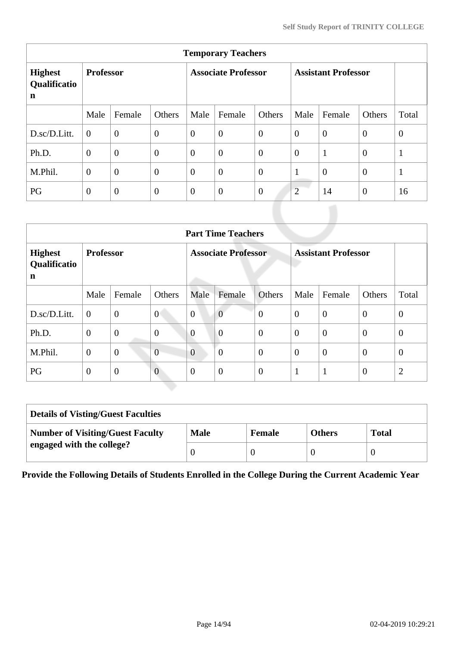|                                               | <b>Temporary Teachers</b> |                  |                            |                |                  |                            |                |                |                |                |  |  |
|-----------------------------------------------|---------------------------|------------------|----------------------------|----------------|------------------|----------------------------|----------------|----------------|----------------|----------------|--|--|
| <b>Highest</b><br>Qualificatio<br>$\mathbf n$ | <b>Professor</b>          |                  | <b>Associate Professor</b> |                |                  | <b>Assistant Professor</b> |                |                |                |                |  |  |
|                                               | Male                      | Female           | Others                     | Male           | Female           | Others                     | Male           | Female         | Others         | Total          |  |  |
| D.sc/D.Litt.                                  | $\theta$                  | $\boldsymbol{0}$ | $\boldsymbol{0}$           | $\overline{0}$ | $\overline{0}$   | $\overline{0}$             | $\overline{0}$ | $\overline{0}$ | $\overline{0}$ | $\overline{0}$ |  |  |
| Ph.D.                                         | $\overline{0}$            | $\overline{0}$   | $\overline{0}$             | $\overline{0}$ | $\boldsymbol{0}$ | $\overline{0}$             | $\overline{0}$ | $\mathbf{1}$   | $\theta$       | $\mathbf{1}$   |  |  |
| M.Phil.                                       | $\overline{0}$            | $\overline{0}$   | $\overline{0}$             | $\overline{0}$ | $\overline{0}$   | $\overline{0}$             | $\mathbf{1}$   | $\overline{0}$ | $\overline{0}$ | $\mathbf{1}$   |  |  |
| PG                                            | $\theta$                  | $\overline{0}$   | $\theta$                   | $\overline{0}$ | $\boldsymbol{0}$ | $\overline{0}$             | $\overline{2}$ | 14             | $\overline{0}$ | 16             |  |  |

|                                                         | <b>Part Time Teachers</b> |                |                            |                |                  |                            |                |                |                  |                |  |
|---------------------------------------------------------|---------------------------|----------------|----------------------------|----------------|------------------|----------------------------|----------------|----------------|------------------|----------------|--|
| <b>Professor</b><br><b>Highest</b><br>Qualificatio<br>n |                           |                | <b>Associate Professor</b> |                |                  | <b>Assistant Professor</b> |                |                |                  |                |  |
|                                                         | Male                      | Female         | Others                     | Male           | Female           | Others                     | Male           | Female         | Others           | Total          |  |
| D.sc/D.Litt.                                            | $\theta$                  | $\overline{0}$ | $\overline{0}$             | $\overline{0}$ | $\overline{0}$   | $\overline{0}$             | $\theta$       | $\overline{0}$ | $\overline{0}$   | $\overline{0}$ |  |
| Ph.D.                                                   | $\mathbf{0}$              | $\mathbf{0}$   | $\overline{0}$             | $\overline{0}$ | $\overline{0}$   | $\overline{0}$             | $\overline{0}$ | $\overline{0}$ | $\overline{0}$   | $\theta$       |  |
| M.Phil.                                                 | $\mathbf{0}$              | $\overline{0}$ | $\overline{0}$             | $\overline{0}$ | $\boldsymbol{0}$ | $\overline{0}$             | $\theta$       | $\overline{0}$ | $\overline{0}$   | $\theta$       |  |
| PG                                                      | $\mathbf{0}$              | $\overline{0}$ | $\overline{0}$             | $\overline{0}$ | $\overline{0}$   | $\mathbf{0}$               | -1             | $\mathbf{1}$   | $\boldsymbol{0}$ | $\overline{2}$ |  |

| <b>Details of Visting/Guest Faculties</b> |             |               |               |              |  |  |  |
|-------------------------------------------|-------------|---------------|---------------|--------------|--|--|--|
| <b>Number of Visiting/Guest Faculty</b>   | <b>Male</b> | <b>Female</b> | <b>Others</b> | <b>Total</b> |  |  |  |
| engaged with the college?                 |             |               |               |              |  |  |  |

**Provide the Following Details of Students Enrolled in the College During the Current Academic Year**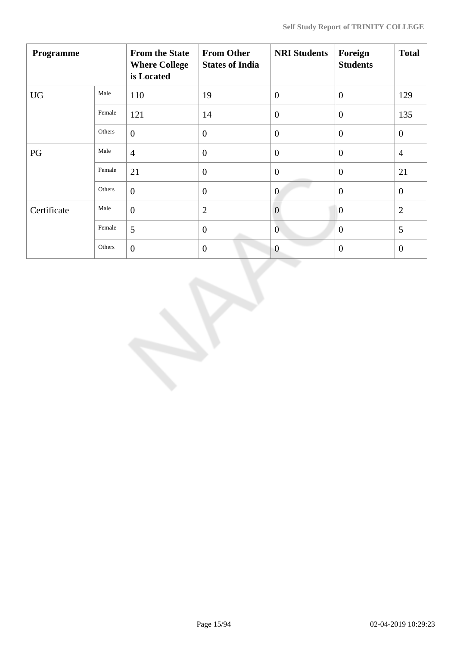| Programme   |        | <b>From the State</b><br><b>Where College</b><br>is Located | <b>From Other</b><br><b>States of India</b> | <b>NRI Students</b> | Foreign<br><b>Students</b> | <b>Total</b>   |
|-------------|--------|-------------------------------------------------------------|---------------------------------------------|---------------------|----------------------------|----------------|
| <b>UG</b>   | Male   | 110                                                         | 19                                          | $\overline{0}$      | $\overline{0}$             | 129            |
|             | Female | 121                                                         | 14                                          | $\overline{0}$      | $\theta$                   | 135            |
|             | Others | $\overline{0}$                                              | $\boldsymbol{0}$                            | $\overline{0}$      | $\overline{0}$             | $\mathbf{0}$   |
| PG          | Male   | $\overline{4}$                                              | $\overline{0}$                              | $\overline{0}$      | $\overline{0}$             | $\overline{4}$ |
|             | Female | 21                                                          | $\overline{0}$                              | $\overline{0}$      | $\theta$                   | 21             |
|             | Others | $\overline{0}$                                              | $\overline{0}$                              | $\overline{0}$      | $\overline{0}$             | $\overline{0}$ |
| Certificate | Male   | $\overline{0}$                                              | $\overline{2}$                              | $\overline{0}$      | $\overline{0}$             | $\overline{2}$ |
|             | Female | 5                                                           | $\boldsymbol{0}$                            | $\mathbf{0}$        | $\mathbf{0}$               | 5              |
|             | Others | $\overline{0}$                                              | $\mathbf{0}$                                | $\overline{0}$      | $\mathbf{0}$               | $\overline{0}$ |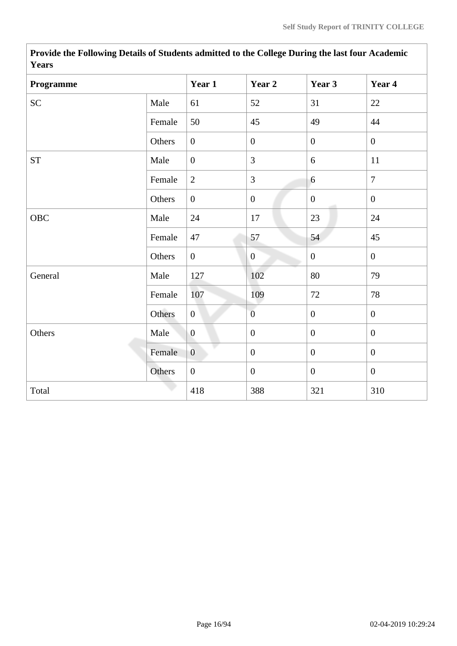| <b>Years</b> |        |                |                  |                  |                  |
|--------------|--------|----------------|------------------|------------------|------------------|
| Programme    |        | Year 1         | Year 2           | Year 3           | Year 4           |
| <b>SC</b>    | Male   | 61             | 52               | 31               | 22               |
|              | Female | 50             | 45               | 49               | 44               |
|              | Others | $\overline{0}$ | $\boldsymbol{0}$ | $\overline{0}$   | $\overline{0}$   |
| ${\cal ST}$  | Male   | $\overline{0}$ | 3                | 6                | 11               |
|              | Female | $\overline{2}$ | $\overline{3}$   | 6                | $\overline{7}$   |
|              | Others | $\overline{0}$ | $\boldsymbol{0}$ | $\boldsymbol{0}$ | $\mathbf{0}$     |
| OBC          | Male   | 24             | 17               | 23               | 24               |
|              | Female | 47             | 57               | 54               | 45               |
|              | Others | $\overline{0}$ | $\overline{0}$   | $\mathbf{0}$     | $\overline{0}$   |
| General      | Male   | 127            | 102              | 80               | 79               |
|              | Female | 107            | 109              | $72\,$           | 78               |
|              | Others | $\overline{0}$ | $\overline{0}$   | $\mathbf{0}$     | $\mathbf{0}$     |
| Others       | Male   | $\overline{0}$ | $\boldsymbol{0}$ | $\boldsymbol{0}$ | $\boldsymbol{0}$ |
|              | Female | $\overline{0}$ | $\boldsymbol{0}$ | $\boldsymbol{0}$ | $\overline{0}$   |
|              | Others | $\overline{0}$ | $\boldsymbol{0}$ | $\mathbf{0}$     | $\boldsymbol{0}$ |
| Total        |        | 418            | 388              | 321              | 310              |

**Provide the Following Details of Students admitted to the College During the last four Academic Years**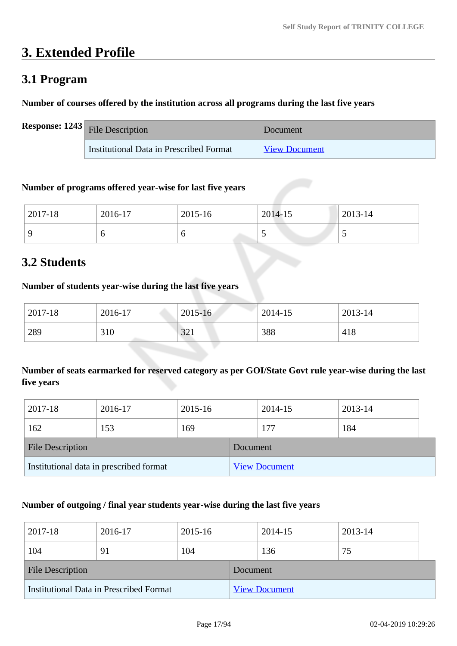# **3. Extended Profile**

## **3.1 Program**

#### **Number of courses offered by the institution across all programs during the last five years**

| <b>Response:</b> $1243$ File Description | Document             |
|------------------------------------------|----------------------|
| Institutional Data in Prescribed Format  | <b>View Document</b> |

#### **Number of programs offered year-wise for last five years**

| 2017-18  | 2016-17 | 2015-16 | 2014-15 | 2013-14 |
|----------|---------|---------|---------|---------|
| $\Omega$ | υ       | U       |         | ັ       |

## **3.2 Students**

#### **Number of students year-wise during the last five years**

| 2017-18 | 2016-17              | $2015 - 16$ | 2014-15 | 2013-14 |
|---------|----------------------|-------------|---------|---------|
| 289     | 310<br><b>Common</b> | 321         | 388     | 418     |

## **Number of seats earmarked for reserved category as per GOI/State Govt rule year-wise during the last five years**

| 2017-18                                 | 2016-17 | 2015-16  |                      | 2014-15 | 2013-14 |  |
|-----------------------------------------|---------|----------|----------------------|---------|---------|--|
| 162                                     | 153     | 169      |                      | 177     | 184     |  |
| <b>File Description</b>                 |         | Document |                      |         |         |  |
| Institutional data in prescribed format |         |          | <b>View Document</b> |         |         |  |

#### **Number of outgoing / final year students year-wise during the last five years**

| 2017-18                                 | 2016-17 | 2015-16  |                      | 2014-15 | 2013-14 |  |
|-----------------------------------------|---------|----------|----------------------|---------|---------|--|
| 104                                     | 91      | 104      |                      | 136     | 75      |  |
| <b>File Description</b>                 |         | Document |                      |         |         |  |
| Institutional Data in Prescribed Format |         |          | <b>View Document</b> |         |         |  |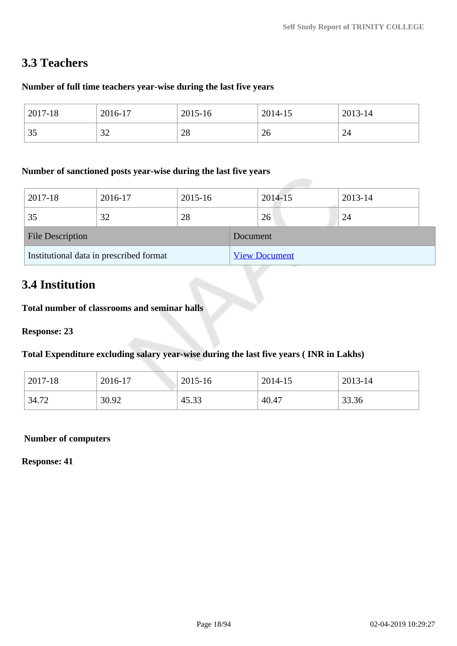## **3.3 Teachers**

#### **Number of full time teachers year-wise during the last five years**

| 2017-18                | 2016-17       | 2015-16 | 2014-15 | 2013-14 |
|------------------------|---------------|---------|---------|---------|
| $\cap$ $\subset$<br>ັບ | $\cap$<br>ے ت | 28      | 26      | 24      |

#### **Number of sanctioned posts year-wise during the last five years**

| 2017-18                                 | 2016-17 | 2015-16  |                      | 2014-15 | 2013-14 |  |
|-----------------------------------------|---------|----------|----------------------|---------|---------|--|
| 35                                      | 32      | 28       |                      | 26      | 24      |  |
| <b>File Description</b>                 |         | Document |                      |         |         |  |
| Institutional data in prescribed format |         |          | <b>View Document</b> |         |         |  |

## **3.4 Institution**

**Total number of classrooms and seminar halls**

**Response: 23**

**Total Expenditure excluding salary year-wise during the last five years ( INR in Lakhs)**

| 2017-18 | 2016-17 | 2015-16 | 2014-15 | 2013-14 |
|---------|---------|---------|---------|---------|
| 34.72   | 30.92   | 45.33   | 40.47   | 33.36   |

#### **Number of computers**

**Response: 41**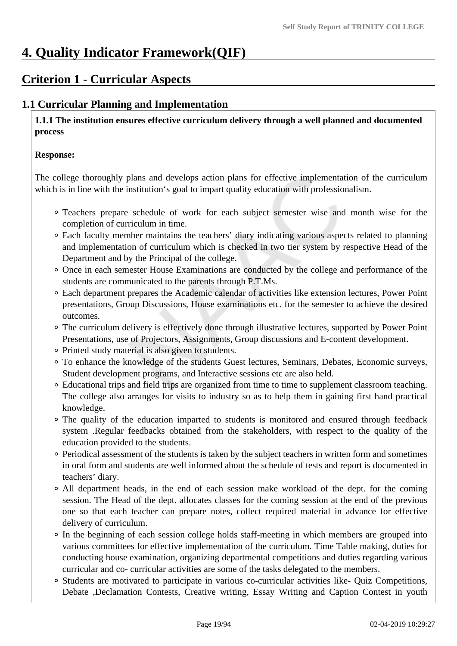# **4. Quality Indicator Framework(QIF)**

## **Criterion 1 - Curricular Aspects**

## **1.1 Curricular Planning and Implementation**

 **1.1.1 The institution ensures effective curriculum delivery through a well planned and documented process** 

#### **Response:**

The college thoroughly plans and develops action plans for effective implementation of the curriculum which is in line with the institution's goal to impart quality education with professionalism.

- Teachers prepare schedule of work for each subject semester wise and month wise for the completion of curriculum in time.
- Each faculty member maintains the teachers' diary indicating various aspects related to planning and implementation of curriculum which is checked in two tier system by respective Head of the Department and by the Principal of the college.
- Once in each semester House Examinations are conducted by the college and performance of the students are communicated to the parents through P.T.Ms.
- Each department prepares the Academic calendar of activities like extension lectures, Power Point presentations, Group Discussions, House examinations etc. for the semester to achieve the desired outcomes.
- The curriculum delivery is effectively done through illustrative lectures, supported by Power Point Presentations, use of Projectors, Assignments, Group discussions and E-content development.
- Printed study material is also given to students.
- To enhance the knowledge of the students Guest lectures, Seminars, Debates, Economic surveys, Student development programs, and Interactive sessions etc are also held.
- Educational trips and field trips are organized from time to time to supplement classroom teaching. The college also arranges for visits to industry so as to help them in gaining first hand practical knowledge.
- The quality of the education imparted to students is monitored and ensured through feedback system .Regular feedbacks obtained from the stakeholders, with respect to the quality of the education provided to the students.
- Periodical assessment of the students is taken by the subject teachers in written form and sometimes in oral form and students are well informed about the schedule of tests and report is documented in teachers' diary.
- All department heads, in the end of each session make workload of the dept. for the coming session. The Head of the dept. allocates classes for the coming session at the end of the previous one so that each teacher can prepare notes, collect required material in advance for effective delivery of curriculum.
- In the beginning of each session college holds staff-meeting in which members are grouped into various committees for effective implementation of the curriculum. Time Table making, duties for conducting house examination, organizing departmental competitions and duties regarding various curricular and co- curricular activities are some of the tasks delegated to the members.
- Students are motivated to participate in various co-curricular activities like- Quiz Competitions, Debate ,Declamation Contests, Creative writing, Essay Writing and Caption Contest in youth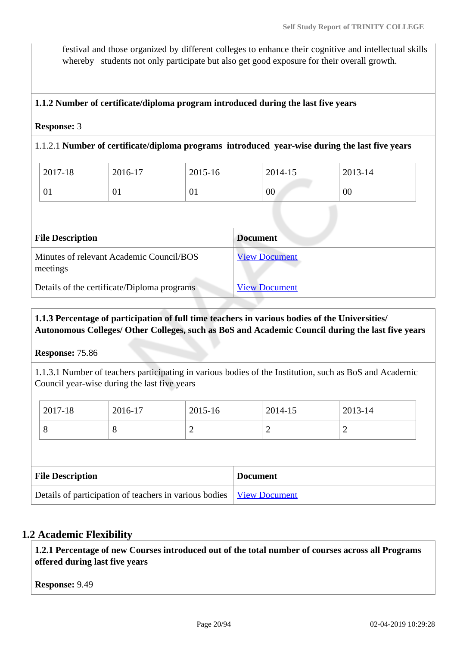festival and those organized by different colleges to enhance their cognitive and intellectual skills whereby students not only participate but also get good exposure for their overall growth.

#### **1.1.2 Number of certificate/diploma program introduced during the last five years**

#### **Response:** 3

#### 1.1.2.1 **Number of certificate/diploma programs introduced year-wise during the last five years**

| 2017-18 | 2016-17 | 2015-16 | 2014-15 | 2013-14 |
|---------|---------|---------|---------|---------|
| ΩT.     | 01      | 01      | 00      | 00      |

| <b>File Description</b>                              | <b>Document</b>      |
|------------------------------------------------------|----------------------|
| Minutes of relevant Academic Council/BOS<br>meetings | <b>View Document</b> |
| Details of the certificate/Diploma programs          | <b>View Document</b> |

#### **1.1.3 Percentage of participation of full time teachers in various bodies of the Universities/ Autonomous Colleges/ Other Colleges, such as BoS and Academic Council during the last five years**

#### **Response:** 75.86

1.1.3.1 Number of teachers participating in various bodies of the Institution, such as BoS and Academic Council year-wise during the last five years

| 2017-18 | 2016-17 | 2015-16 | 2014-15 | 2013-14 |
|---------|---------|---------|---------|---------|
| $\circ$ | O       | -       | ∼       | -       |

| <b>File Description</b>                                                       | <b>Document</b> |
|-------------------------------------------------------------------------------|-----------------|
| Details of participation of teachers in various bodies   <u>View Document</u> |                 |

#### **1.2 Academic Flexibility**

 **1.2.1 Percentage of new Courses introduced out of the total number of courses across all Programs offered during last five years**

**Response:** 9.49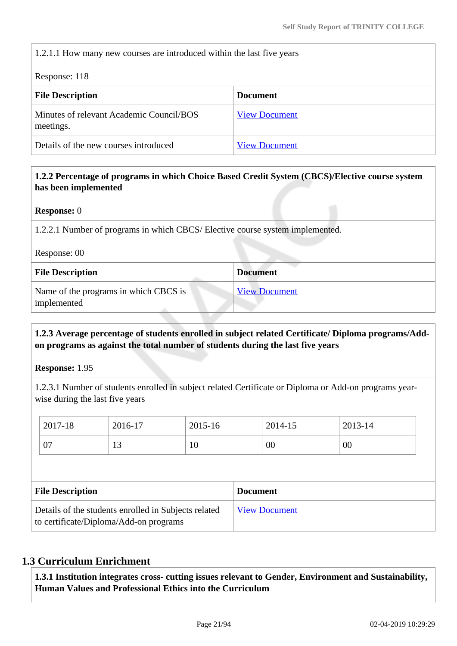1.2.1.1 How many new courses are introduced within the last five years

Response: 118

| <b>File Description</b>                               | <b>Document</b>      |
|-------------------------------------------------------|----------------------|
| Minutes of relevant Academic Council/BOS<br>meetings. | <b>View Document</b> |
| Details of the new courses introduced                 | <b>View Document</b> |

#### **1.2.2 Percentage of programs in which Choice Based Credit System (CBCS)/Elective course system has been implemented**

**Response:** 0

1.2.2.1 Number of programs in which CBCS/ Elective course system implemented.

Response: 00

| <b>File Description</b>                              | <b>Document</b>      |
|------------------------------------------------------|----------------------|
| Name of the programs in which CBCS is<br>implemented | <b>View Document</b> |

#### **1.2.3 Average percentage of students enrolled in subject related Certificate/ Diploma programs/Addon programs as against the total number of students during the last five years**

**Response:** 1.95

1.2.3.1 Number of students enrolled in subject related Certificate or Diploma or Add-on programs yearwise during the last five years

|                                            | 2017-18                                                                                        | 2016-17 | 2015-16 |  | 2014-15 | 2013-14 |
|--------------------------------------------|------------------------------------------------------------------------------------------------|---------|---------|--|---------|---------|
|                                            | 07                                                                                             | 13      | 10      |  | 00      | 00      |
|                                            |                                                                                                |         |         |  |         |         |
| <b>File Description</b><br><b>Document</b> |                                                                                                |         |         |  |         |         |
|                                            | Details of the students enrolled in Subjects related<br>to certificate/Diploma/Add-on programs |         |         |  |         |         |

### **1.3 Curriculum Enrichment**

 **1.3.1 Institution integrates cross- cutting issues relevant to Gender, Environment and Sustainability, Human Values and Professional Ethics into the Curriculum**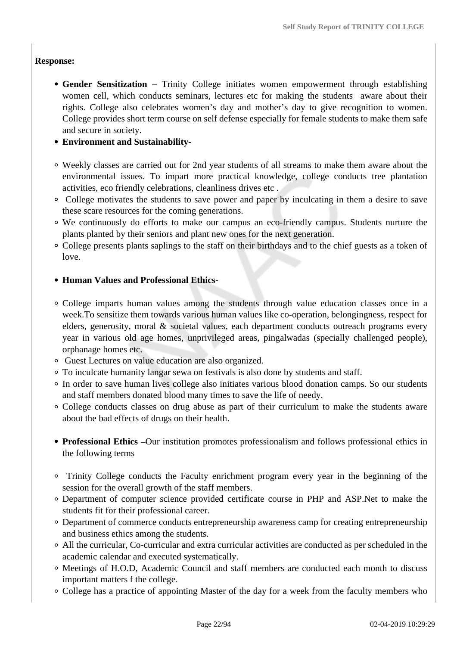#### **Response:**

- **Gender Sensitization –** Trinity College initiates women empowerment through establishing women cell, which conducts seminars, lectures etc for making the students aware about their rights. College also celebrates women's day and mother's day to give recognition to women. College provides short term course on self defense especially for female students to make them safe and secure in society.
- **Environment and Sustainability-**
- Weekly classes are carried out for 2nd year students of all streams to make them aware about the environmental issues. To impart more practical knowledge, college conducts tree plantation activities, eco friendly celebrations, cleanliness drives etc .
- College motivates the students to save power and paper by inculcating in them a desire to save these scare resources for the coming generations.
- We continuously do efforts to make our campus an eco-friendly campus. Students nurture the plants planted by their seniors and plant new ones for the next generation.
- College presents plants saplings to the staff on their birthdays and to the chief guests as a token of love.

#### **Human Values and Professional Ethics-**

- College imparts human values among the students through value education classes once in a week.To sensitize them towards various human values like co-operation, belongingness, respect for elders, generosity, moral & societal values, each department conducts outreach programs every year in various old age homes, unprivileged areas, pingalwadas (specially challenged people), orphanage homes etc.
- Guest Lectures on value education are also organized.
- To inculcate humanity langar sewa on festivals is also done by students and staff.
- In order to save human lives college also initiates various blood donation camps. So our students and staff members donated blood many times to save the life of needy.
- College conducts classes on drug abuse as part of their curriculum to make the students aware about the bad effects of drugs on their health.
- **Professional Ethics –**Our institution promotes professionalism and follows professional ethics in the following terms
- Trinity College conducts the Faculty enrichment program every year in the beginning of the session for the overall growth of the staff members.
- Department of computer science provided certificate course in PHP and ASP.Net to make the students fit for their professional career.
- Department of commerce conducts entrepreneurship awareness camp for creating entrepreneurship and business ethics among the students.
- All the curricular, Co-curricular and extra curricular activities are conducted as per scheduled in the academic calendar and executed systematically.
- Meetings of H.O.D, Academic Council and staff members are conducted each month to discuss important matters f the college.
- College has a practice of appointing Master of the day for a week from the faculty members who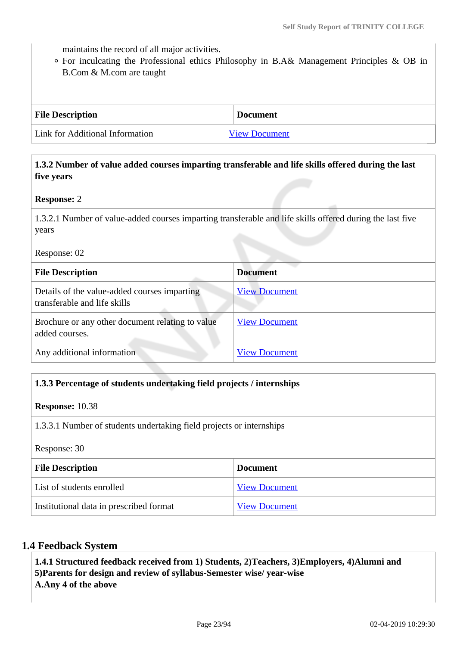maintains the record of all major activities.

For inculcating the Professional ethics Philosophy in B.A& Management Principles & OB in B.Com & M.com are taught

| <b>File Description</b>         | <b>Document</b>      |
|---------------------------------|----------------------|
| Link for Additional Information | <b>View Document</b> |

 **1.3.2 Number of value added courses imparting transferable and life skills offered during the last five years**

#### **Response:** 2

1.3.2.1 Number of value-added courses imparting transferable and life skills offered during the last five years

Response: 02

| <b>File Description</b>                                                      | <b>Document</b>      |
|------------------------------------------------------------------------------|----------------------|
| Details of the value-added courses imparting<br>transferable and life skills | <b>View Document</b> |
| Brochure or any other document relating to value<br>added courses.           | <b>View Document</b> |
| Any additional information                                                   | <b>View Document</b> |

#### **1.3.3 Percentage of students undertaking field projects / internships**

#### **Response:** 10.38

1.3.3.1 Number of students undertaking field projects or internships

Response: 30

| <b>File Description</b>                 | <b>Document</b>      |
|-----------------------------------------|----------------------|
| List of students enrolled               | <b>View Document</b> |
| Institutional data in prescribed format | <b>View Document</b> |

#### **1.4 Feedback System**

 **1.4.1 Structured feedback received from 1) Students, 2)Teachers, 3)Employers, 4)Alumni and 5)Parents for design and review of syllabus-Semester wise/ year-wise A.Any 4 of the above**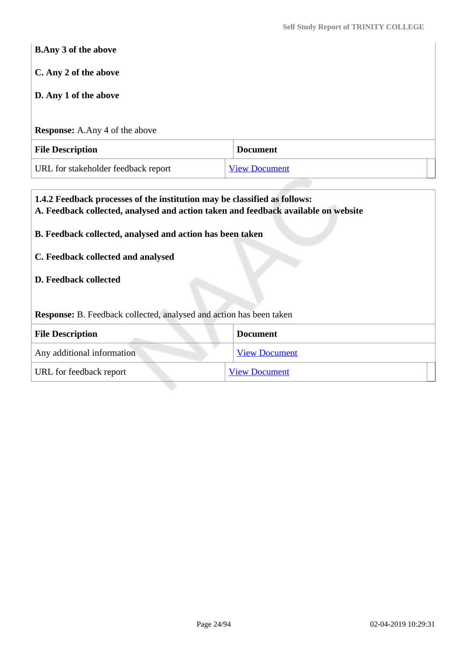# **B.Any 3 of the above C. Any 2 of the above D. Any 1 of the above Response:** A.Any 4 of the above **File Description Document** URL for stakeholder feedback report [View Document](http://trinitycollegejal.com/?page_id=11016; http://trinitycollegejal.com/?page_id=11018; http://trinitycollegejal.com/?page_id=11020; http://trinitycollegejal.com/?page_id=11022)

# **1.4.2 Feedback processes of the institution may be classified as follows: A. Feedback collected, analysed and action taken and feedback available on website B. Feedback collected, analysed and action has been taken C. Feedback collected and analysed D. Feedback collected Response:** B. Feedback collected, analysed and action has been taken **File Description Document** Any additional information [View Document](https://assessmentonline.naac.gov.in/storage/app/hei/SSR/101878/1.4.2_1535098190_2076.pdf) URL for feedback report [View Document](http://trinitycollegejal.com/?page_id=11016; http://trinitycollegejal.com/?page_id=11018; http://trinitycollegejal.com/?page_id=11020; http://trinitycollegejal.com/?page_id=11022)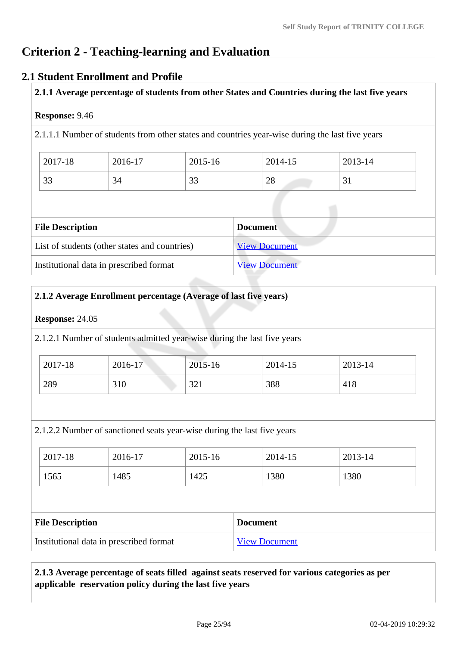## **Criterion 2 - Teaching-learning and Evaluation**

### **2.1 Student Enrollment and Profile**

**2.1.1 Average percentage of students from other States and Countries during the last five years**

#### **Response:** 9.46

2.1.1.1 Number of students from other states and countries year-wise during the last five years

| 2017-18   | 2016-17 | 2015-16 | 2014-15               | 2013-14 |
|-----------|---------|---------|-----------------------|---------|
| $\bigcap$ | ⌒       | $\cap$  | $\mathcal{D}^{\circ}$ | $\sim$  |
| 33        | 34      | ر ر     | 20                    | ◡▴      |

| <b>File Description</b>                       | <b>Document</b>      |
|-----------------------------------------------|----------------------|
| List of students (other states and countries) | <b>View Document</b> |
| Institutional data in prescribed format       | <b>View Document</b> |

#### **2.1.2 Average Enrollment percentage (Average of last five years)**

#### **Response:** 24.05

2.1.2.1 Number of students admitted year-wise during the last five years

| 2017-18 | 2016-17 | 2015-16    | 2014-15 | 2013-14 |
|---------|---------|------------|---------|---------|
| 289     | 310     | 22<br>⊥ ∠ر | 388     | 418     |

2.1.2.2 Number of sanctioned seats year-wise during the last five years

| $2017 - 18$ | 2016-17 | 2015-16 | 2014-15 | 2013-14 |
|-------------|---------|---------|---------|---------|
| 1565        | 1485    | 1425    | 1380    | 1380    |

| <b>File Description</b>                 | <b>Document</b>      |
|-----------------------------------------|----------------------|
| Institutional data in prescribed format | <b>View Document</b> |

#### **2.1.3 Average percentage of seats filled against seats reserved for various categories as per applicable reservation policy during the last five years**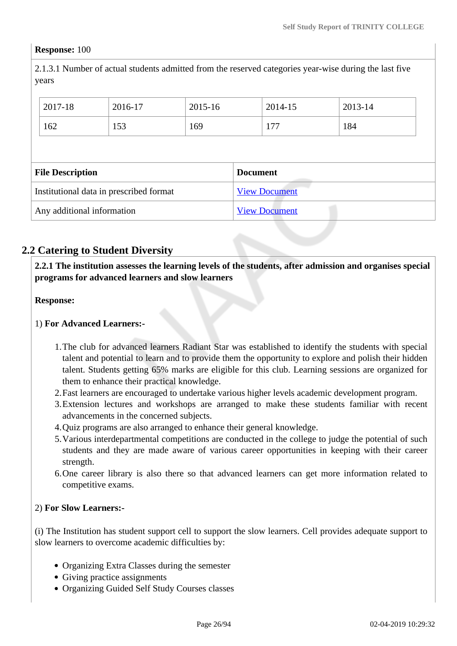#### **Response:** 100

2.1.3.1 Number of actual students admitted from the reserved categories year-wise during the last five years

| 2017-18                 | 2016-17                                 | 2015-16 |                 | 2014-15              | 2013-14 |
|-------------------------|-----------------------------------------|---------|-----------------|----------------------|---------|
| 162                     | 153                                     | 169     |                 | 177                  | 184     |
|                         |                                         |         |                 |                      |         |
|                         |                                         |         |                 |                      |         |
| <b>File Description</b> |                                         |         | <b>Document</b> |                      |         |
|                         | Institutional data in prescribed format |         |                 | <b>View Document</b> |         |

## **2.2 Catering to Student Diversity**

 **2.2.1 The institution assesses the learning levels of the students, after admission and organises special programs for advanced learners and slow learners**

**Response:** 

#### 1) **For Advanced Learners:-**

- 1.The club for advanced learners Radiant Star was established to identify the students with special talent and potential to learn and to provide them the opportunity to explore and polish their hidden talent. Students getting 65% marks are eligible for this club. Learning sessions are organized for them to enhance their practical knowledge.
- 2.Fast learners are encouraged to undertake various higher levels academic development program.
- 3.Extension lectures and workshops are arranged to make these students familiar with recent advancements in the concerned subjects.
- 4.Quiz programs are also arranged to enhance their general knowledge.
- 5.Various interdepartmental competitions are conducted in the college to judge the potential of such students and they are made aware of various career opportunities in keeping with their career strength.
- 6.One career library is also there so that advanced learners can get more information related to competitive exams.

#### 2) **For Slow Learners:-**

(i) The Institution has student support cell to support the slow learners. Cell provides adequate support to slow learners to overcome academic difficulties by:

- Organizing Extra Classes during the semester
- Giving practice assignments
- Organizing Guided Self Study Courses classes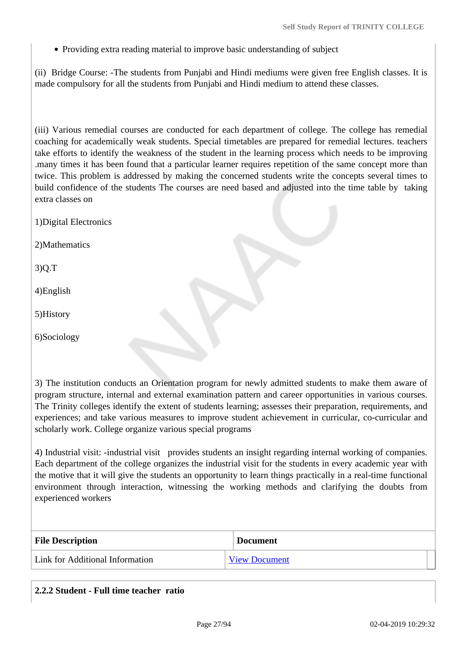Providing extra reading material to improve basic understanding of subject

(ii) Bridge Course: -The students from Punjabi and Hindi mediums were given free English classes. It is made compulsory for all the students from Punjabi and Hindi medium to attend these classes.

(iii) Various remedial courses are conducted for each department of college. The college has remedial coaching for academically weak students. Special timetables are prepared for remedial lectures. teachers take efforts to identify the weakness of the student in the learning process which needs to be improving .many times it has been found that a particular learner requires repetition of the same concept more than twice. This problem is addressed by making the concerned students write the concepts several times to build confidence of the students The courses are need based and adjusted into the time table by taking extra classes on

1)Digital Electronics

2)Mathematics

3)Q.T

4)English

5)History

6)Sociology

3) The institution conducts an Orientation program for newly admitted students to make them aware of program structure, internal and external examination pattern and career opportunities in various courses. The Trinity colleges identify the extent of students learning; assesses their preparation, requirements, and experiences; and take various measures to improve student achievement in curricular, co-curricular and scholarly work. College organize various special programs

4) Industrial visit: -industrial visit provides students an insight regarding internal working of companies. Each department of the college organizes the industrial visit for the students in every academic year with the motive that it will give the students an opportunity to learn things practically in a real-time functional environment through interaction, witnessing the working methods and clarifying the doubts from experienced workers

| <b>File Description</b>         | <b>Document</b>      |
|---------------------------------|----------------------|
| Link for Additional Information | <b>View Document</b> |

|  | 2.2.2 Student - Full time teacher ratio |  |  |  |  |
|--|-----------------------------------------|--|--|--|--|
|--|-----------------------------------------|--|--|--|--|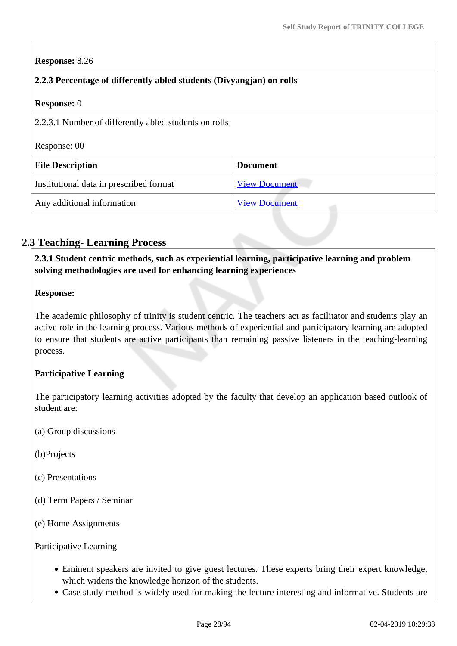#### **Response:** 8.26

| 2.2.3 Percentage of differently abled students (Divyangjan) on rolls  |                      |  |
|-----------------------------------------------------------------------|----------------------|--|
| <b>Response:</b> 0                                                    |                      |  |
| 2.2.3.1 Number of differently abled students on rolls<br>Response: 00 |                      |  |
| <b>File Description</b><br><b>Document</b>                            |                      |  |
|                                                                       |                      |  |
| Institutional data in prescribed format                               | <b>View Document</b> |  |

## **2.3 Teaching- Learning Process**

 **2.3.1 Student centric methods, such as experiential learning, participative learning and problem solving methodologies are used for enhancing learning experiences**

#### **Response:**

The academic philosophy of trinity is student centric. The teachers act as facilitator and students play an active role in the learning process. Various methods of experiential and participatory learning are adopted to ensure that students are active participants than remaining passive listeners in the teaching-learning process.

#### **Participative Learning**

The participatory learning activities adopted by the faculty that develop an application based outlook of student are:

- (a) Group discussions
- (b)Projects
- (c) Presentations
- (d) Term Papers / Seminar
- (e) Home Assignments

Participative Learning

- Eminent speakers are invited to give guest lectures. These experts bring their expert knowledge, which widens the knowledge horizon of the students.
- Case study method is widely used for making the lecture interesting and informative. Students are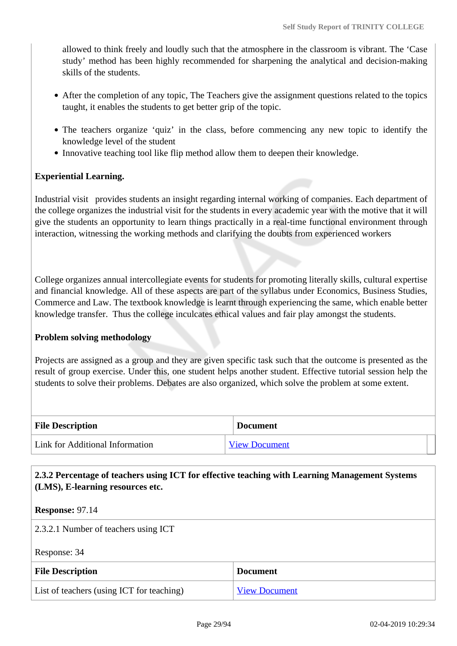allowed to think freely and loudly such that the atmosphere in the classroom is vibrant. The 'Case study' method has been highly recommended for sharpening the analytical and decision-making skills of the students.

- After the completion of any topic, The Teachers give the assignment questions related to the topics taught, it enables the students to get better grip of the topic.
- The teachers organize 'quiz' in the class, before commencing any new topic to identify the knowledge level of the student
- Innovative teaching tool like flip method allow them to deepen their knowledge.

### **Experiential Learning.**

Industrial visit provides students an insight regarding internal working of companies. Each department of the college organizes the industrial visit for the students in every academic year with the motive that it will give the students an opportunity to learn things practically in a real-time functional environment through interaction, witnessing the working methods and clarifying the doubts from experienced workers

College organizes annual intercollegiate events for students for promoting literally skills, cultural expertise and financial knowledge. All of these aspects are part of the syllabus under Economics, Business Studies, Commerce and Law. The textbook knowledge is learnt through experiencing the same, which enable better knowledge transfer. Thus the college inculcates ethical values and fair play amongst the students.

#### **Problem solving methodology**

Projects are assigned as a group and they are given specific task such that the outcome is presented as the result of group exercise. Under this, one student helps another student. Effective tutorial session help the students to solve their problems. Debates are also organized, which solve the problem at some extent.

| <b>File Description</b>         | <b>Document</b>      |
|---------------------------------|----------------------|
| Link for Additional Information | <b>View Document</b> |

#### **2.3.2 Percentage of teachers using ICT for effective teaching with Learning Management Systems (LMS), E-learning resources etc.**

**Response:** 97.14

2.3.2.1 Number of teachers using ICT

Response: 34

| <b>File Description</b>                   | <b>Document</b>      |
|-------------------------------------------|----------------------|
| List of teachers (using ICT for teaching) | <b>View Document</b> |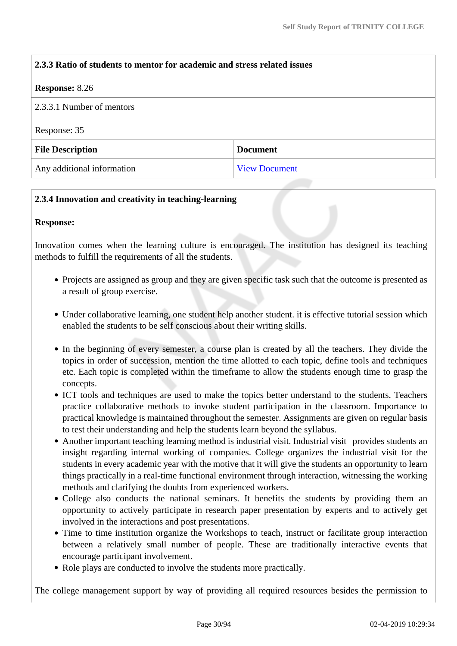# **2.3.3 Ratio of students to mentor for academic and stress related issues Response:** 8.26 2.3.3.1 Number of mentors Response: 35 **File Description Document** Any additional information [View Document](https://assessmentonline.naac.gov.in/storage/app/hei/SSR/101878/2.3.3_1534587997_2076.pdf)

#### **2.3.4 Innovation and creativity in teaching-learning**

#### **Response:**

Innovation comes when the learning culture is encouraged. The institution has designed its teaching methods to fulfill the requirements of all the students.

- Projects are assigned as group and they are given specific task such that the outcome is presented as a result of group exercise.
- Under collaborative learning, one student help another student. it is effective tutorial session which enabled the students to be self conscious about their writing skills.
- In the beginning of every semester, a course plan is created by all the teachers. They divide the topics in order of succession, mention the time allotted to each topic, define tools and techniques etc. Each topic is completed within the timeframe to allow the students enough time to grasp the concepts.
- ICT tools and techniques are used to make the topics better understand to the students. Teachers practice collaborative methods to invoke student participation in the classroom. Importance to practical knowledge is maintained throughout the semester. Assignments are given on regular basis to test their understanding and help the students learn beyond the syllabus.
- Another important teaching learning method is industrial visit. Industrial visit provides students an insight regarding internal working of companies. College organizes the industrial visit for the students in every academic year with the motive that it will give the students an opportunity to learn things practically in a real-time functional environment through interaction, witnessing the working methods and clarifying the doubts from experienced workers.
- College also conducts the national seminars. It benefits the students by providing them an opportunity to actively participate in research paper presentation by experts and to actively get involved in the interactions and post presentations.
- Time to time institution organize the Workshops to teach, instruct or facilitate group interaction between a relatively small number of people. These are traditionally interactive events that encourage participant involvement.
- Role plays are conducted to involve the students more practically.

The college management support by way of providing all required resources besides the permission to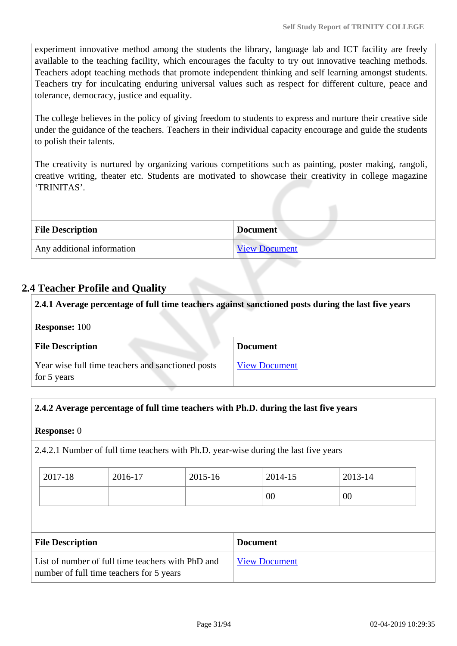experiment innovative method among the students the library, language lab and ICT facility are freely available to the teaching facility, which encourages the faculty to try out innovative teaching methods. Teachers adopt teaching methods that promote independent thinking and self learning amongst students. Teachers try for inculcating enduring universal values such as respect for different culture, peace and tolerance, democracy, justice and equality.

The college believes in the policy of giving freedom to students to express and nurture their creative side under the guidance of the teachers. Teachers in their individual capacity encourage and guide the students to polish their talents.

The creativity is nurtured by organizing various competitions such as painting, poster making, rangoli, creative writing, theater etc. Students are motivated to showcase their creativity in college magazine 'TRINITAS'.

| <b>File Description</b>    | <b>Document</b>      |
|----------------------------|----------------------|
| Any additional information | <b>View Document</b> |

## **2.4 Teacher Profile and Quality**

 **2.4.1 Average percentage of full time teachers against sanctioned posts during the last five years Response:** 100 **File Description Document** Year wise full time teachers and sanctioned posts for 5 years [View Document](https://assessmentonline.naac.gov.in/storage/app/hei/SSR/101878/2.4.1_1534744043_2076.xlsx)

#### **2.4.2 Average percentage of full time teachers with Ph.D. during the last five years**

#### **Response:** 0

2.4.2.1 Number of full time teachers with Ph.D. year-wise during the last five years

| 2017-18 | 2016-17 | 2015-16 | 2014-15 | 2013-14 |
|---------|---------|---------|---------|---------|
|         |         |         | 00      | 00      |

| <b>File Description</b>                                                                       | <b>Document</b>      |
|-----------------------------------------------------------------------------------------------|----------------------|
| List of number of full time teachers with PhD and<br>number of full time teachers for 5 years | <b>View Document</b> |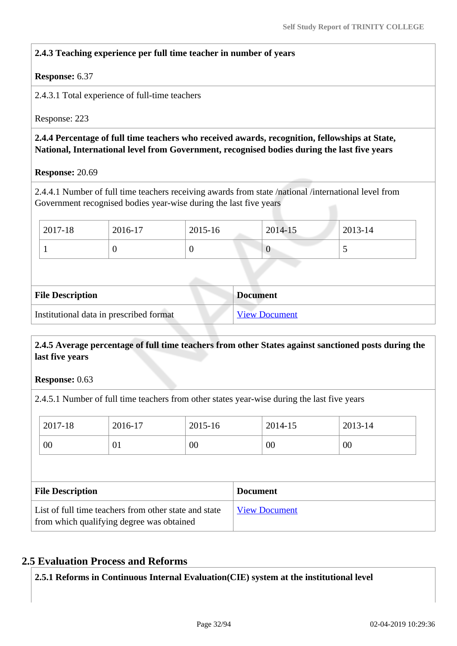#### **2.4.3 Teaching experience per full time teacher in number of years**

#### **Response:** 6.37

2.4.3.1 Total experience of full-time teachers

Response: 223

 **2.4.4 Percentage of full time teachers who received awards, recognition, fellowships at State, National, International level from Government, recognised bodies during the last five years**

**Response:** 20.69

2.4.4.1 Number of full time teachers receiving awards from state /national /international level from Government recognised bodies year-wise during the last five years

| 2017-18 | 2016-17 | 2015-16 | 2014-15 | 2013-14 |
|---------|---------|---------|---------|---------|
|         |         |         | ν       | ັ       |

| <b>File Description</b>                 | <b>Document</b>      |
|-----------------------------------------|----------------------|
| Institutional data in prescribed format | <b>View Document</b> |

#### **2.4.5 Average percentage of full time teachers from other States against sanctioned posts during the last five years**

**Response:** 0.63

2.4.5.1 Number of full time teachers from other states year-wise during the last five years

| 2017-18                 | 2016-17 | 2015-16 | 2014-15         | 2013-14 |
|-------------------------|---------|---------|-----------------|---------|
| 00                      | 01      | 00      | 00              | 00      |
|                         |         |         |                 |         |
|                         |         |         |                 |         |
| <b>File Description</b> |         |         | <b>Document</b> |         |

#### **2.5 Evaluation Process and Reforms**

**2.5.1 Reforms in Continuous Internal Evaluation(CIE) system at the institutional level**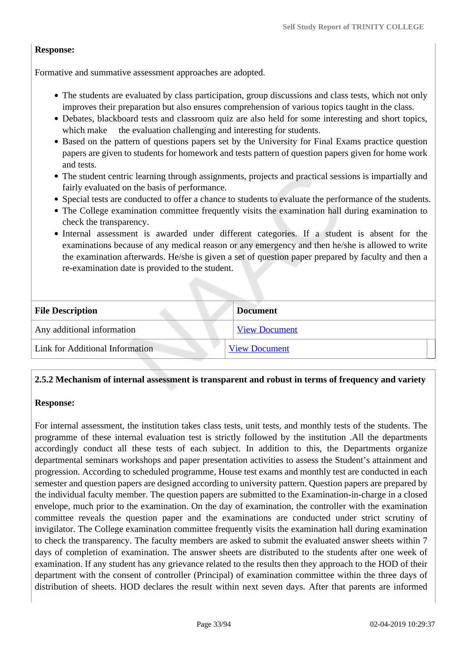#### **Response:**

Formative and summative assessment approaches are adopted.

- The students are evaluated by class participation, group discussions and class tests, which not only improves their preparation but also ensures comprehension of various topics taught in the class.
- Debates, blackboard tests and classroom quiz are also held for some interesting and short topics, which make the evaluation challenging and interesting for students.
- Based on the pattern of questions papers set by the University for Final Exams practice question papers are given to students for homework and tests pattern of question papers given for home work and tests.
- The student centric learning through assignments, projects and practical sessions is impartially and fairly evaluated on the basis of performance.
- Special tests are conducted to offer a chance to students to evaluate the performance of the students.
- The College examination committee frequently visits the examination hall during examination to check the transparency.
- Internal assessment is awarded under different categories. If a student is absent for the examinations because of any medical reason or any emergency and then he/she is allowed to write the examination afterwards. He/she is given a set of question paper prepared by faculty and then a re-examination date is provided to the student.

| <b>File Description</b>         | <b>Document</b>      |
|---------------------------------|----------------------|
| Any additional information      | <b>View Document</b> |
| Link for Additional Information | <b>View Document</b> |

#### **2.5.2 Mechanism of internal assessment is transparent and robust in terms of frequency and variety**

#### **Response:**

For internal assessment, the institution takes class tests, unit tests, and monthly tests of the students. The programme of these internal evaluation test is strictly followed by the institution .All the departments accordingly conduct all these tests of each subject. In addition to this, the Departments organize departmental seminars workshops and paper presentation activities to assess the Student's attainment and progression. According to scheduled programme, House test exams and monthly test are conducted in each semester and question papers are designed according to university pattern. Question papers are prepared by the individual faculty member. The question papers are submitted to the Examination-in-charge in a closed envelope, much prior to the examination. On the day of examination, the controller with the examination committee reveals the question paper and the examinations are conducted under strict scrutiny of invigilator. The College examination committee frequently visits the examination hall during examination to check the transparency. The faculty members are asked to submit the evaluated answer sheets within 7 days of completion of examination. The answer sheets are distributed to the students after one week of examination. If any student has any grievance related to the results then they approach to the HOD of their department with the consent of controller (Principal) of examination committee within the three days of distribution of sheets. HOD declares the result within next seven days. After that parents are informed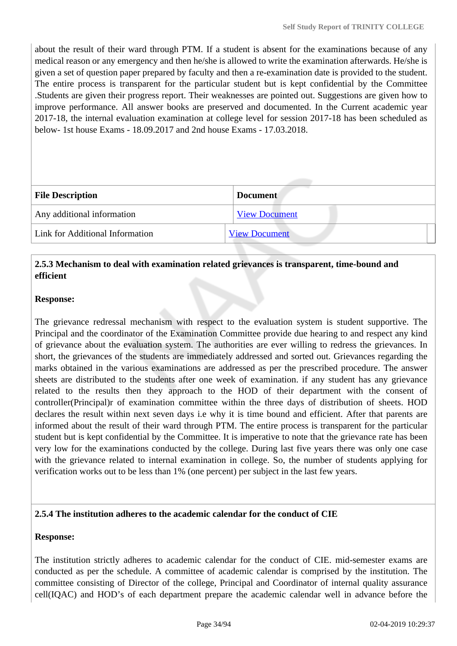about the result of their ward through PTM. If a student is absent for the examinations because of any medical reason or any emergency and then he/she is allowed to write the examination afterwards. He/she is given a set of question paper prepared by faculty and then a re-examination date is provided to the student. The entire process is transparent for the particular student but is kept confidential by the Committee .Students are given their progress report. Their weaknesses are pointed out. Suggestions are given how to improve performance. All answer books are preserved and documented. In the Current academic year 2017-18, the internal evaluation examination at college level for session 2017-18 has been scheduled as below- 1st house Exams - 18.09.2017 and 2nd house Exams - 17.03.2018.

| <b>File Description</b>         | <b>Document</b>      |
|---------------------------------|----------------------|
| Any additional information      | <b>View Document</b> |
| Link for Additional Information | <b>View Document</b> |

### **2.5.3 Mechanism to deal with examination related grievances is transparent, time-bound and efficient**

#### **Response:**

The grievance redressal mechanism with respect to the evaluation system is student supportive. The Principal and the coordinator of the Examination Committee provide due hearing to and respect any kind of grievance about the evaluation system. The authorities are ever willing to redress the grievances. In short, the grievances of the students are immediately addressed and sorted out. Grievances regarding the marks obtained in the various examinations are addressed as per the prescribed procedure. The answer sheets are distributed to the students after one week of examination. if any student has any grievance related to the results then they approach to the HOD of their department with the consent of controller(Principal)r of examination committee within the three days of distribution of sheets. HOD declares the result within next seven days i.e why it is time bound and efficient. After that parents are informed about the result of their ward through PTM. The entire process is transparent for the particular student but is kept confidential by the Committee. It is imperative to note that the grievance rate has been very low for the examinations conducted by the college. During last five years there was only one case with the grievance related to internal examination in college. So, the number of students applying for verification works out to be less than 1% (one percent) per subject in the last few years.

#### **2.5.4 The institution adheres to the academic calendar for the conduct of CIE**

#### **Response:**

The institution strictly adheres to academic calendar for the conduct of CIE. mid-semester exams are conducted as per the schedule. A committee of academic calendar is comprised by the institution. The committee consisting of Director of the college, Principal and Coordinator of internal quality assurance cell(IQAC) and HOD's of each department prepare the academic calendar well in advance before the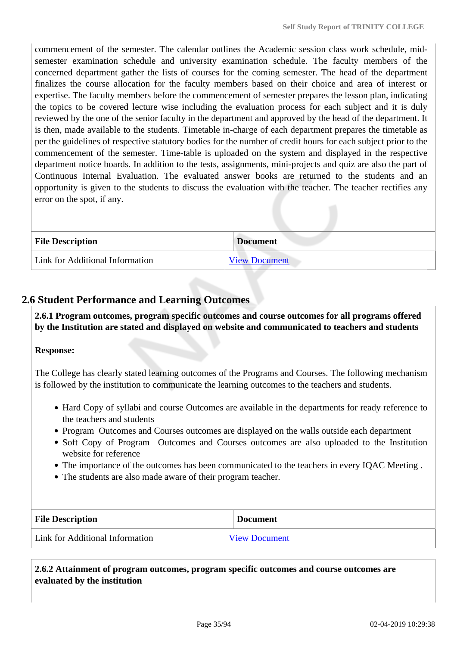commencement of the semester. The calendar outlines the Academic session class work schedule, midsemester examination schedule and university examination schedule. The faculty members of the concerned department gather the lists of courses for the coming semester. The head of the department finalizes the course allocation for the faculty members based on their choice and area of interest or expertise. The faculty members before the commencement of semester prepares the lesson plan, indicating the topics to be covered lecture wise including the evaluation process for each subject and it is duly reviewed by the one of the senior faculty in the department and approved by the head of the department. It is then, made available to the students. Timetable in-charge of each department prepares the timetable as per the guidelines of respective statutory bodies for the number of credit hours for each subject prior to the commencement of the semester. Time-table is uploaded on the system and displayed in the respective department notice boards. In addition to the tests, assignments, mini-projects and quiz are also the part of Continuous Internal Evaluation. The evaluated answer books are returned to the students and an opportunity is given to the students to discuss the evaluation with the teacher. The teacher rectifies any error on the spot, if any.

| <b>File Description</b>         | <b>Document</b>      |
|---------------------------------|----------------------|
| Link for Additional Information | <b>View Document</b> |

## **2.6 Student Performance and Learning Outcomes**

 **2.6.1 Program outcomes, program specific outcomes and course outcomes for all programs offered by the Institution are stated and displayed on website and communicated to teachers and students**

#### **Response:**

The College has clearly stated learning outcomes of the Programs and Courses. The following mechanism is followed by the institution to communicate the learning outcomes to the teachers and students.

- Hard Copy of syllabi and course Outcomes are available in the departments for ready reference to the teachers and students
- Program Outcomes and Courses outcomes are displayed on the walls outside each department
- Soft Copy of Program Outcomes and Courses outcomes are also uploaded to the Institution website for reference
- The importance of the outcomes has been communicated to the teachers in every IQAC Meeting .
- The students are also made aware of their program teacher.

| <b>File Description</b>         | <b>Document</b>      |
|---------------------------------|----------------------|
| Link for Additional Information | <b>View Document</b> |

 **2.6.2 Attainment of program outcomes, program specific outcomes and course outcomes are evaluated by the institution**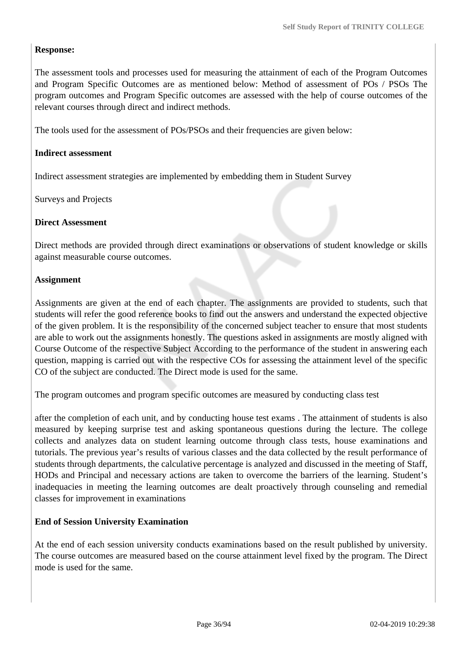#### **Response:**

The assessment tools and processes used for measuring the attainment of each of the Program Outcomes and Program Specific Outcomes are as mentioned below: Method of assessment of POs / PSOs The program outcomes and Program Specific outcomes are assessed with the help of course outcomes of the relevant courses through direct and indirect methods.

The tools used for the assessment of POs/PSOs and their frequencies are given below:

#### **Indirect assessment**

Indirect assessment strategies are implemented by embedding them in Student Survey

Surveys and Projects

#### **Direct Assessment**

Direct methods are provided through direct examinations or observations of student knowledge or skills against measurable course outcomes.

#### **Assignment**

Assignments are given at the end of each chapter. The assignments are provided to students, such that students will refer the good reference books to find out the answers and understand the expected objective of the given problem. It is the responsibility of the concerned subject teacher to ensure that most students are able to work out the assignments honestly. The questions asked in assignments are mostly aligned with Course Outcome of the respective Subject According to the performance of the student in answering each question, mapping is carried out with the respective COs for assessing the attainment level of the specific CO of the subject are conducted. The Direct mode is used for the same.

The program outcomes and program specific outcomes are measured by conducting class test

after the completion of each unit, and by conducting house test exams . The attainment of students is also measured by keeping surprise test and asking spontaneous questions during the lecture. The college collects and analyzes data on student learning outcome through class tests, house examinations and tutorials. The previous year's results of various classes and the data collected by the result performance of students through departments, the calculative percentage is analyzed and discussed in the meeting of Staff, HODs and Principal and necessary actions are taken to overcome the barriers of the learning. Student's inadequacies in meeting the learning outcomes are dealt proactively through counseling and remedial classes for improvement in examinations

#### **End of Session University Examination**

At the end of each session university conducts examinations based on the result published by university. The course outcomes are measured based on the course attainment level fixed by the program. The Direct mode is used for the same.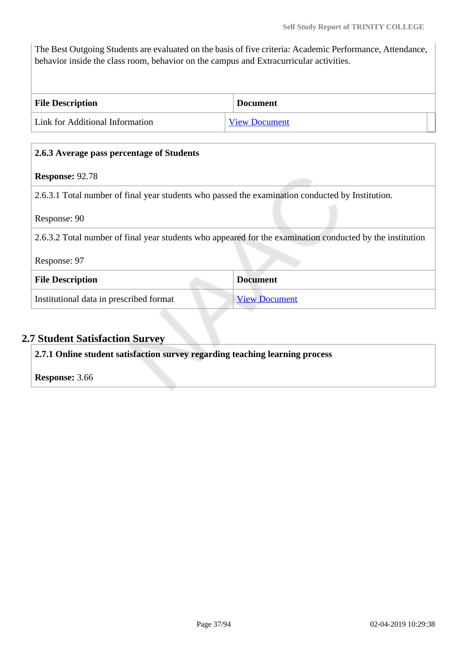The Best Outgoing Students are evaluated on the basis of five criteria: Academic Performance, Attendance, behavior inside the class room, behavior on the campus and Extracurricular activities.

| <b>File Description</b>                | <b>Document</b>      |
|----------------------------------------|----------------------|
| <b>Link for Additional Information</b> | <b>View Document</b> |

# **2.6.3 Average pass percentage of Students**

## **Response:** 92.78

2.6.3.1 Total number of final year students who passed the examination conducted by Institution.

Response: 90

2.6.3.2 Total number of final year students who appeared for the examination conducted by the institution

Response: 97

| <b>File Description</b>                 | <b>Document</b> |
|-----------------------------------------|-----------------|
| Institutional data in prescribed format | View Document   |

# **2.7 Student Satisfaction Survey**

**2.7.1 Online student satisfaction survey regarding teaching learning process**

**Response:** 3.66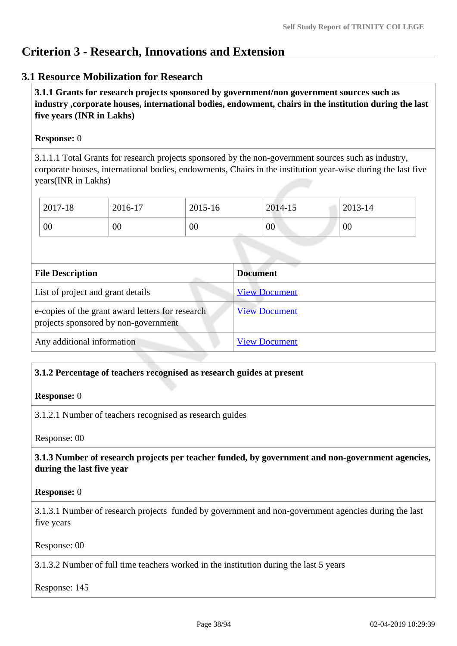# **Criterion 3 - Research, Innovations and Extension**

# **3.1 Resource Mobilization for Research**

 **3.1.1 Grants for research projects sponsored by government/non government sources such as industry ,corporate houses, international bodies, endowment, chairs in the institution during the last five years (INR in Lakhs)** 

### **Response:** 0

3.1.1.1 Total Grants for research projects sponsored by the non-government sources such as industry, corporate houses, international bodies, endowments, Chairs in the institution year-wise during the last five years(INR in Lakhs)

| 2017-18 | 2016-17 | 2015-16 | 2014-15 | 2013-14 |
|---------|---------|---------|---------|---------|
| 00      | 00      | 00      | $00\,$  | 00      |

| <b>File Description</b>                                                                  | <b>Document</b>      |
|------------------------------------------------------------------------------------------|----------------------|
| List of project and grant details                                                        | <b>View Document</b> |
| e-copies of the grant award letters for research<br>projects sponsored by non-government | <b>View Document</b> |
| Any additional information                                                               | <b>View Document</b> |

## **3.1.2 Percentage of teachers recognised as research guides at present**

#### **Response:** 0

3.1.2.1 Number of teachers recognised as research guides

Response: 00

## **3.1.3 Number of research projects per teacher funded, by government and non-government agencies, during the last five year**

#### **Response:** 0

3.1.3.1 Number of research projects funded by government and non-government agencies during the last five years

#### Response: 00

3.1.3.2 Number of full time teachers worked in the institution during the last 5 years

Response: 145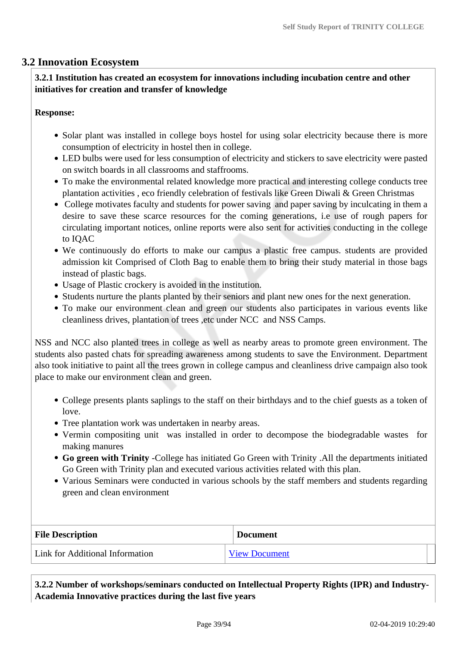# **3.2 Innovation Ecosystem**

# **3.2.1 Institution has created an ecosystem for innovations including incubation centre and other initiatives for creation and transfer of knowledge**

### **Response:**

- Solar plant was installed in college boys hostel for using solar electricity because there is more consumption of electricity in hostel then in college.
- LED bulbs were used for less consumption of electricity and stickers to save electricity were pasted on switch boards in all classrooms and staffrooms.
- To make the environmental related knowledge more practical and interesting college conducts tree plantation activities , eco friendly celebration of festivals like Green Diwali & Green Christmas
- College motivates faculty and students for power saving and paper saving by inculcating in them a desire to save these scarce resources for the coming generations, i.e use of rough papers for circulating important notices, online reports were also sent for activities conducting in the college to IQAC
- We continuously do efforts to make our campus a plastic free campus. students are provided admission kit Comprised of Cloth Bag to enable them to bring their study material in those bags instead of plastic bags.
- Usage of Plastic crockery is avoided in the institution.
- Students nurture the plants planted by their seniors and plant new ones for the next generation.
- To make our environment clean and green our students also participates in various events like cleanliness drives, plantation of trees ,etc under NCC and NSS Camps.

NSS and NCC also planted trees in college as well as nearby areas to promote green environment. The students also pasted chats for spreading awareness among students to save the Environment. Department also took initiative to paint all the trees grown in college campus and cleanliness drive campaign also took place to make our environment clean and green.

- College presents plants saplings to the staff on their birthdays and to the chief guests as a token of love.
- Tree plantation work was undertaken in nearby areas.
- Vermin compositing unit was installed in order to decompose the biodegradable wastes for making manures
- **Go green with Trinity** -College has initiated Go Green with Trinity .All the departments initiated Go Green with Trinity plan and executed various activities related with this plan.
- Various Seminars were conducted in various schools by the staff members and students regarding green and clean environment

| <b>File Description</b>         | <b>Document</b>      |
|---------------------------------|----------------------|
| Link for Additional Information | <b>View Document</b> |

 **3.2.2 Number of workshops/seminars conducted on Intellectual Property Rights (IPR) and Industry-Academia Innovative practices during the last five years**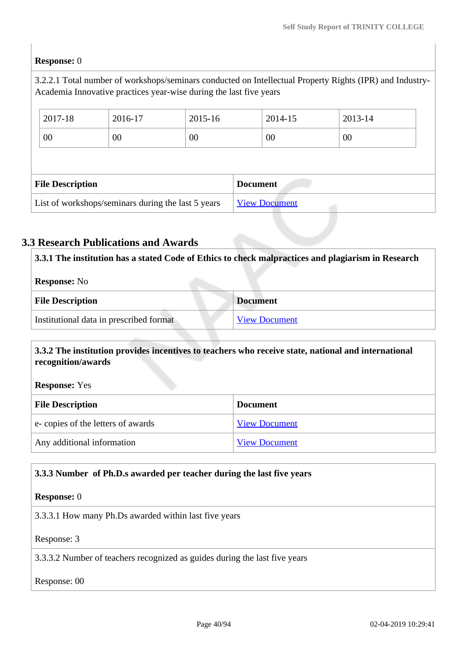# **Response:** 0

3.2.2.1 Total number of workshops/seminars conducted on Intellectual Property Rights (IPR) and Industry-Academia Innovative practices year-wise during the last five years

|                         | 2017-18 | 2016-17 | 2015-16 |                 | 2014-15 | 2013-14 |
|-------------------------|---------|---------|---------|-----------------|---------|---------|
|                         | 00      | $00\,$  | 00      |                 | 00      | 00      |
|                         |         |         |         |                 |         |         |
| <b>File Description</b> |         |         |         |                 |         |         |
|                         |         |         |         | <b>Document</b> |         |         |

# **3.3 Research Publications and Awards**

 **3.3.1 The institution has a stated Code of Ethics to check malpractices and plagiarism in Research Response:** No **File Description Document** Institutional data in prescribed format [View Document](https://assessmentonline.naac.gov.in/storage/app/hei/SSR/101878/3.3.1_1535004626_2076.xlsx)

### **3.3.2 The institution provides incentives to teachers who receive state, national and international recognition/awards**

**Response:** Yes

| <b>File Description</b>           | <b>Document</b>      |
|-----------------------------------|----------------------|
| e-copies of the letters of awards | <b>View Document</b> |
| Any additional information        | <b>View Document</b> |

## **3.3.3 Number of Ph.D.s awarded per teacher during the last five years**

#### **Response:** 0

3.3.3.1 How many Ph.Ds awarded within last five years

Response: 3

3.3.3.2 Number of teachers recognized as guides during the last five years

#### Response: 00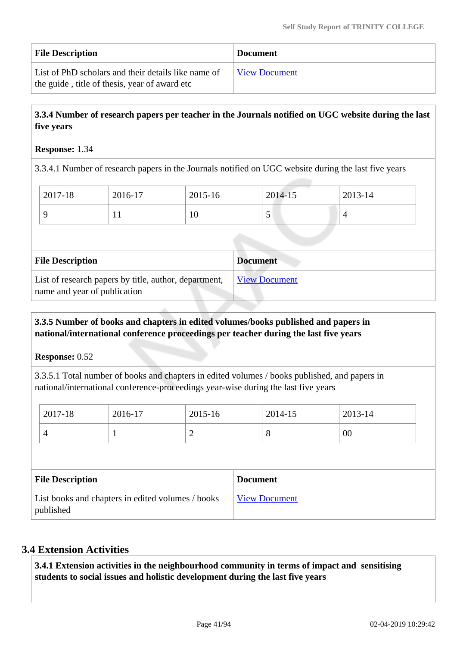| <b>File Description</b>                             | <b>Document</b>      |
|-----------------------------------------------------|----------------------|
| List of PhD scholars and their details like name of | <b>View Document</b> |
| the guide, title of thesis, year of award etc       |                      |

# **3.3.4 Number of research papers per teacher in the Journals notified on UGC website during the last five years**

### **Response:** 1.34

3.3.4.1 Number of research papers in the Journals notified on UGC website during the last five years

| 2017-18 | 2016-17 | 2015-16 | 2014-15 | 2013-14 |
|---------|---------|---------|---------|---------|
|         | . .     | 10      | ັ       |         |

| <b>File Description</b>                                                               | <b>Document</b>      |
|---------------------------------------------------------------------------------------|----------------------|
| List of research papers by title, author, department,<br>name and year of publication | <b>View Document</b> |

### **3.3.5 Number of books and chapters in edited volumes/books published and papers in national/international conference proceedings per teacher during the last five years**

**Response:** 0.52

3.3.5.1 Total number of books and chapters in edited volumes / books published, and papers in national/international conference-proceedings year-wise during the last five years

| 2017-18 | 2016-17 | 2015-16 | 2014-15 | 2013-14 |
|---------|---------|---------|---------|---------|
|         |         | -       | О       | 00      |

| <b>File Description</b>                                        | <b>Document</b>      |
|----------------------------------------------------------------|----------------------|
| List books and chapters in edited volumes / books<br>published | <b>View Document</b> |

# **3.4 Extension Activities**

 **3.4.1 Extension activities in the neighbourhood community in terms of impact and sensitising students to social issues and holistic development during the last five years**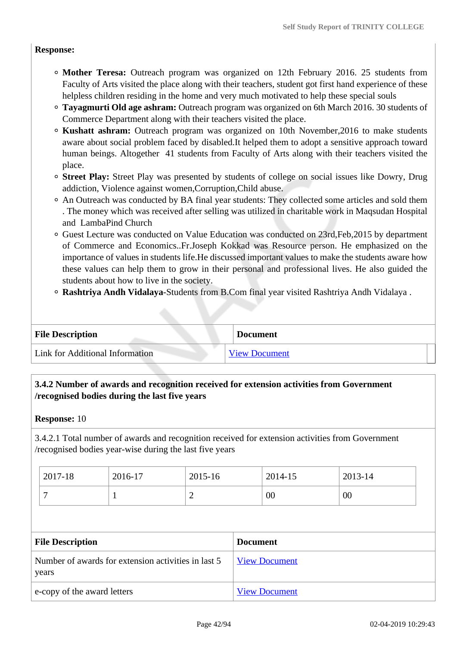### **Response:**

- **Mother Teresa:** Outreach program was organized on 12th February 2016. 25 students from Faculty of Arts visited the place along with their teachers, student got first hand experience of these helpless children residing in the home and very much motivated to help these special souls
- **Tayagmurti Old age ashram:** Outreach program was organized on 6th March 2016. 30 students of Commerce Department along with their teachers visited the place.
- **Kushatt ashram:** Outreach program was organized on 10th November,2016 to make students aware about social problem faced by disabled.It helped them to adopt a sensitive approach toward human beings. Altogether 41 students from Faculty of Arts along with their teachers visited the place.
- **Street Play:** Street Play was presented by students of college on social issues like Dowry, Drug addiction, Violence against women,Corruption,Child abuse.
- An Outreach was conducted by BA final year students: They collected some articles and sold them . The money which was received after selling was utilized in charitable work in Maqsudan Hospital and LambaPind Church
- Guest Lecture was conducted on Value Education was conducted on 23rd,Feb,2015 by department of Commerce and Economics..Fr.Joseph Kokkad was Resource person. He emphasized on the importance of values in students life.He discussed important values to make the students aware how these values can help them to grow in their personal and professional lives. He also guided the students about how to live in the society.
- **Rashtriya Andh Vidalaya**-Students from B.Com final year visited Rashtriya Andh Vidalaya .

| <b>File Description</b>         | <b>Document</b>      |
|---------------------------------|----------------------|
| Link for Additional Information | <b>View Document</b> |

# **3.4.2 Number of awards and recognition received for extension activities from Government /recognised bodies during the last five years**

#### **Response:** 10

3.4.2.1 Total number of awards and recognition received for extension activities from Government /recognised bodies year-wise during the last five years

| 2017-18 | 2016-17 | 2015-16 | 2014-15 | 2013-14 |
|---------|---------|---------|---------|---------|
|         |         | ∼       | 00      | 00      |

| <b>File Description</b>                                      | <b>Document</b>      |
|--------------------------------------------------------------|----------------------|
| Number of awards for extension activities in last 5<br>years | <b>View Document</b> |
| e-copy of the award letters                                  | <b>View Document</b> |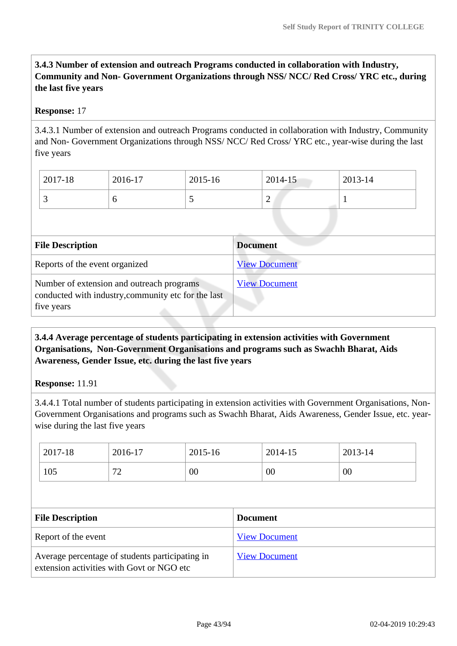**3.4.3 Number of extension and outreach Programs conducted in collaboration with Industry, Community and Non- Government Organizations through NSS/ NCC/ Red Cross/ YRC etc., during the last five years** 

## **Response:** 17

3.4.3.1 Number of extension and outreach Programs conducted in collaboration with Industry, Community and Non- Government Organizations through NSS/ NCC/ Red Cross/ YRC etc., year-wise during the last five years

| 2017-18 | 2016-17 | 2015-16 | 2014-15 | 2013-14 |
|---------|---------|---------|---------|---------|
| ້       |         | ັ       | ∽       |         |

| <b>File Description</b>                                                                                        | <b>Document</b>      |
|----------------------------------------------------------------------------------------------------------------|----------------------|
| Reports of the event organized                                                                                 | <b>View Document</b> |
| Number of extension and outreach programs<br>conducted with industry, community etc for the last<br>five years | <b>View Document</b> |

 **3.4.4 Average percentage of students participating in extension activities with Government Organisations, Non-Government Organisations and programs such as Swachh Bharat, Aids Awareness, Gender Issue, etc. during the last five years**

## **Response:** 11.91

3.4.4.1 Total number of students participating in extension activities with Government Organisations, Non-Government Organisations and programs such as Swachh Bharat, Aids Awareness, Gender Issue, etc. yearwise during the last five years

| 2017-18             |                         | 2016-17 | 2015-16 |                 | 2014-15              | 2013-14 |  |
|---------------------|-------------------------|---------|---------|-----------------|----------------------|---------|--|
| 105                 |                         | 72      | 00      |                 | $00\,$               | 00      |  |
|                     |                         |         |         |                 |                      |         |  |
|                     | <b>File Description</b> |         |         |                 |                      |         |  |
|                     |                         |         |         | <b>Document</b> |                      |         |  |
| Report of the event |                         |         |         |                 | <b>View Document</b> |         |  |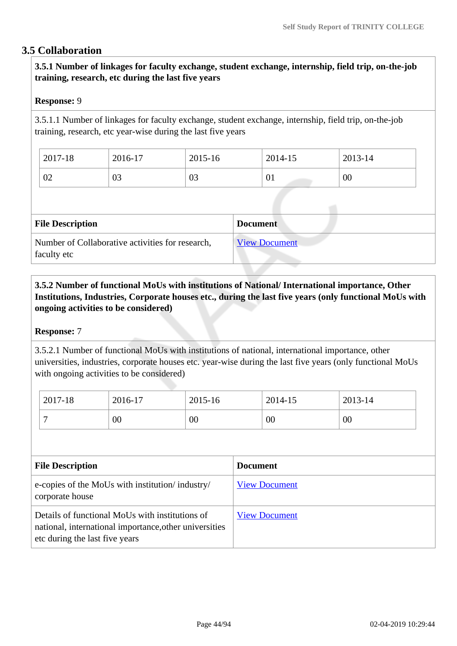# **3.5 Collaboration**

 **3.5.1 Number of linkages for faculty exchange, student exchange, internship, field trip, on-the-job training, research, etc during the last five years**

### **Response:** 9

3.5.1.1 Number of linkages for faculty exchange, student exchange, internship, field trip, on-the-job training, research, etc year-wise during the last five years

| 2017-18  | 2016-17 | 2015-16 | 2014-15 | 2013-14 |
|----------|---------|---------|---------|---------|
| ∩∩<br>UZ | 03      | 03      | 01      | 00      |

| <b>File Description</b>                                         | <b>Document</b>      |
|-----------------------------------------------------------------|----------------------|
| Number of Collaborative activities for research,<br>faculty etc | <b>View Document</b> |

 **3.5.2 Number of functional MoUs with institutions of National/ International importance, Other Institutions, Industries, Corporate houses etc., during the last five years (only functional MoUs with ongoing activities to be considered)** 

#### **Response:** 7

3.5.2.1 Number of functional MoUs with institutions of national, international importance, other universities, industries, corporate houses etc. year-wise during the last five years (only functional MoUs with ongoing activities to be considered)

| 2017-18 | 2016-17 | 2015-16 | 2014-15 | 2013-14 |
|---------|---------|---------|---------|---------|
|         | 00      | 00      | 00      | 00      |

| <b>File Description</b>                                                                                                                     | <b>Document</b>      |
|---------------------------------------------------------------------------------------------------------------------------------------------|----------------------|
| e-copies of the MoUs with institution/industry/<br>corporate house                                                                          | <b>View Document</b> |
| Details of functional MoUs with institutions of<br>national, international importance, other universities<br>etc during the last five years | <b>View Document</b> |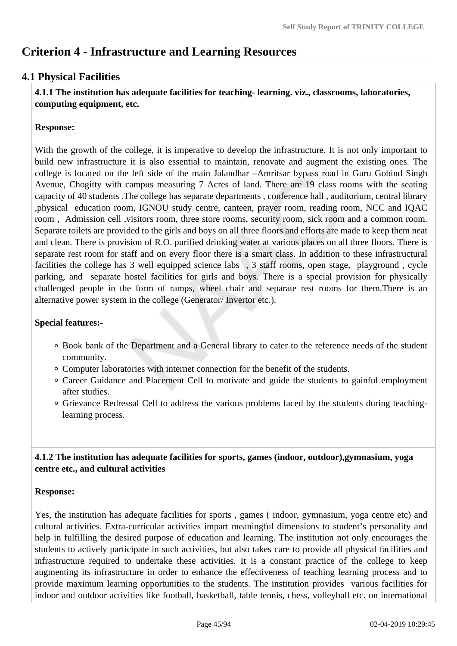# **Criterion 4 - Infrastructure and Learning Resources**

# **4.1 Physical Facilities**

 **4.1.1 The institution has adequate facilities for teaching- learning. viz., classrooms, laboratories, computing equipment, etc.**

# **Response:**

With the growth of the college, it is imperative to develop the infrastructure. It is not only important to build new infrastructure it is also essential to maintain, renovate and augment the existing ones. The college is located on the left side of the main Jalandhar –Amritsar bypass road in Guru Gobind Singh Avenue, Chogitty with campus measuring 7 Acres of land. There are 19 class rooms with the seating capacity of 40 students .The college has separate departments , conference hall , auditorium, central library ,physical education room, IGNOU study centre, canteen, prayer room, reading room, NCC and IQAC room , Admission cell ,visitors room, three store rooms, security room, sick room and a common room. Separate toilets are provided to the girls and boys on all three floors and efforts are made to keep them neat and clean. There is provision of R.O. purified drinking water at various places on all three floors. There is separate rest room for staff and on every floor there is a smart class. In addition to these infrastructural facilities the college has 3 well equipped science labs , 3 staff rooms, open stage, playground , cycle parking, and separate hostel facilities for girls and boys. There is a special provision for physically challenged people in the form of ramps, wheel chair and separate rest rooms for them.There is an alternative power system in the college (Generator/ Invertor etc.).

# **Special features:-**

- Book bank of the Department and a General library to cater to the reference needs of the student community.
- Computer laboratories with internet connection for the benefit of the students.
- Career Guidance and Placement Cell to motivate and guide the students to gainful employment after studies.
- Grievance Redressal Cell to address the various problems faced by the students during teachinglearning process.

 **4.1.2 The institution has adequate facilities for sports, games (indoor, outdoor),gymnasium, yoga centre etc., and cultural activities**

## **Response:**

Yes, the institution has adequate facilities for sports , games ( indoor, gymnasium, yoga centre etc) and cultural activities. Extra-curricular activities impart meaningful dimensions to student's personality and help in fulfilling the desired purpose of education and learning. The institution not only encourages the students to actively participate in such activities, but also takes care to provide all physical facilities and infrastructure required to undertake these activities. It is a constant practice of the college to keep augmenting its infrastructure in order to enhance the effectiveness of teaching learning process and to provide maximum learning opportunities to the students. The institution provides various facilities for indoor and outdoor activities like football, basketball, table tennis, chess, volleyball etc. on international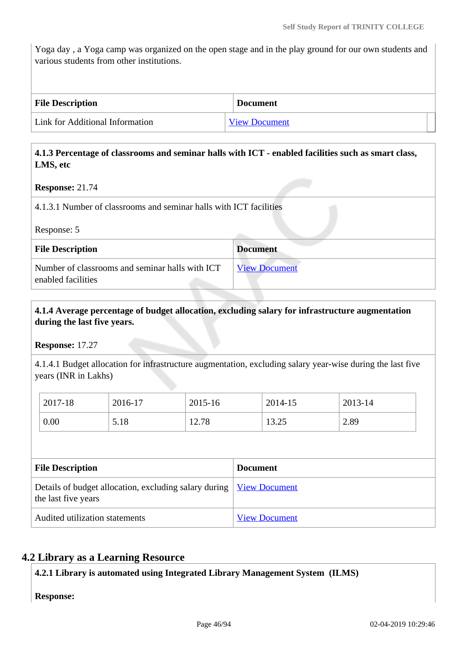Yoga day , a Yoga camp was organized on the open stage and in the play ground for our own students and various students from other institutions.

| <b>File Description</b>         | <b>Document</b>      |
|---------------------------------|----------------------|
| Link for Additional Information | <b>View Document</b> |

### **4.1.3 Percentage of classrooms and seminar halls with ICT - enabled facilities such as smart class, LMS, etc**

#### **Response:** 21.74

4.1.3.1 Number of classrooms and seminar halls with ICT facilities

Response: 5

| <b>File Description</b>                                               | <b>Document</b>      |
|-----------------------------------------------------------------------|----------------------|
| Number of classrooms and seminar halls with ICT<br>enabled facilities | <b>View Document</b> |

# **4.1.4 Average percentage of budget allocation, excluding salary for infrastructure augmentation during the last five years.**

**Response:** 17.27

4.1.4.1 Budget allocation for infrastructure augmentation, excluding salary year-wise during the last five years (INR in Lakhs)

| 2017-18 | 2016-17 | 2015-16 | 2014-15        | 2013-14 |
|---------|---------|---------|----------------|---------|
| 0.00    | 5.18    | 12.78   | 12 つく<br>13.4J | 2.89    |

| <b>File Description</b>                                                                             | <b>Document</b>      |
|-----------------------------------------------------------------------------------------------------|----------------------|
| Details of budget allocation, excluding salary during   <u>View Document</u><br>the last five years |                      |
| Audited utilization statements                                                                      | <b>View Document</b> |

## **4.2 Library as a Learning Resource**

**4.2.1 Library is automated using Integrated Library Management System (ILMS)**

**Response:**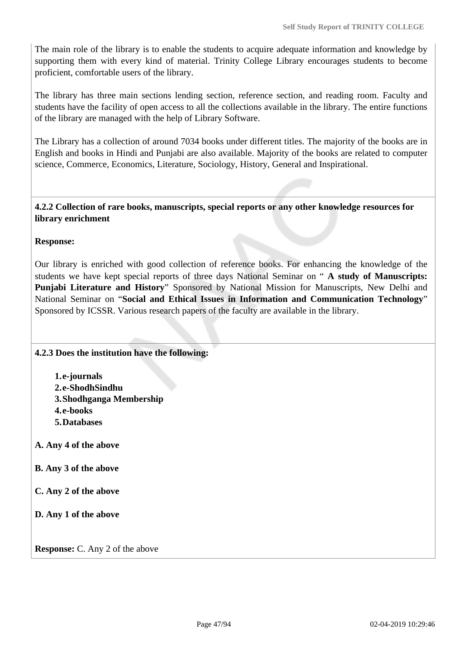The main role of the library is to enable the students to acquire adequate information and knowledge by supporting them with every kind of material. Trinity College Library encourages students to become proficient, comfortable users of the library.

The library has three main sections lending section, reference section, and reading room. Faculty and students have the facility of open access to all the collections available in the library. The entire functions of the library are managed with the help of Library Software.

The Library has a collection of around 7034 books under different titles. The majority of the books are in English and books in Hindi and Punjabi are also available. Majority of the books are related to computer science, Commerce, Economics, Literature, Sociology, History, General and Inspirational.

 **4.2.2 Collection of rare books, manuscripts, special reports or any other knowledge resources for library enrichment**

## **Response:**

Our library is enriched with good collection of reference books. For enhancing the knowledge of the students we have kept special reports of three days National Seminar on " **A study of Manuscripts: Punjabi Literature and History**" Sponsored by National Mission for Manuscripts, New Delhi and National Seminar on "**Social and Ethical Issues in Information and Communication Technology**" Sponsored by ICSSR. Various research papers of the faculty are available in the library.

## **4.2.3 Does the institution have the following:**

**1.e-journals 2.e-ShodhSindhu 3.Shodhganga Membership 4.e-books 5.Databases**

- **A. Any 4 of the above**
- **B. Any 3 of the above**
- **C. Any 2 of the above**
- **D. Any 1 of the above**

**Response:** C. Any 2 of the above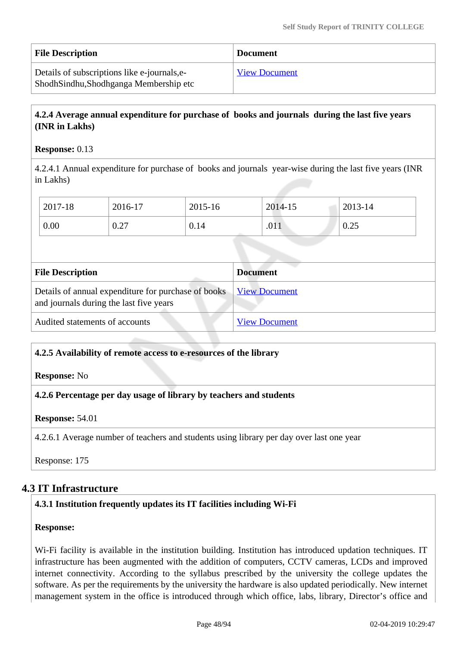| <b>File Description</b>                                                                 | <b>Document</b>      |
|-----------------------------------------------------------------------------------------|----------------------|
| Details of subscriptions like e-journals, e-<br>Shodh Sindhu, Shodhganga Membership etc | <b>View Document</b> |

# **4.2.4 Average annual expenditure for purchase of books and journals during the last five years (INR in Lakhs)**

### **Response:** 0.13

4.2.4.1 Annual expenditure for purchase of books and journals year-wise during the last five years (INR in Lakhs)

| 2017-18 | 2016-17 | 2015-16 | 2014-15 | 2013-14 |
|---------|---------|---------|---------|---------|
| 0.00    | 0.27    | 0.14    | .011    | 0.25    |

| <b>File Description</b>                                                                        | <b>Document</b>      |
|------------------------------------------------------------------------------------------------|----------------------|
| Details of annual expenditure for purchase of books<br>and journals during the last five years | <b>View Document</b> |
| Audited statements of accounts                                                                 | <b>View Document</b> |

#### **4.2.5 Availability of remote access to e-resources of the library**

#### **Response:** No

**4.2.6 Percentage per day usage of library by teachers and students**

## **Response:** 54.01

4.2.6.1 Average number of teachers and students using library per day over last one year

Response: 175

# **4.3 IT Infrastructure**

## **4.3.1 Institution frequently updates its IT facilities including Wi-Fi**

#### **Response:**

Wi-Fi facility is available in the institution building. Institution has introduced updation techniques. IT infrastructure has been augmented with the addition of computers, CCTV cameras, LCDs and improved internet connectivity. According to the syllabus prescribed by the university the college updates the software. As per the requirements by the university the hardware is also updated periodically. New internet management system in the office is introduced through which office, labs, library, Director's office and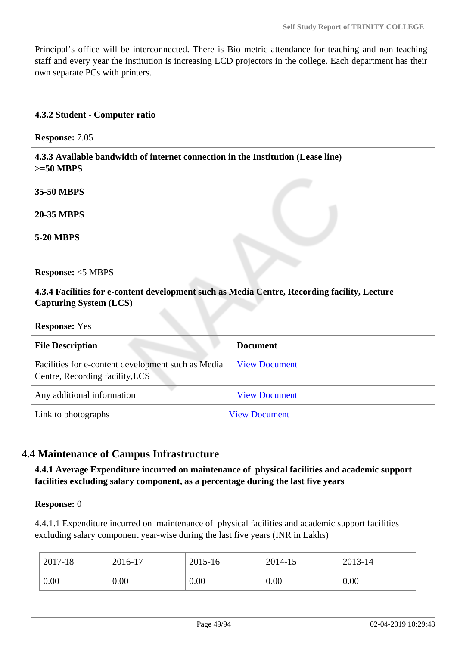Principal's office will be interconnected. There is Bio metric attendance for teaching and non-teaching staff and every year the institution is increasing LCD projectors in the college. Each department has their own separate PCs with printers.

#### **4.3.2 Student - Computer ratio**

**Response:** 7.05

 **4.3.3 Available bandwidth of internet connection in the Institution (Lease line) >=50 MBPS**

**35-50 MBPS**

**20-35 MBPS**

**5-20 MBPS**

**Response:** <5 MBPS

 **4.3.4 Facilities for e-content development such as Media Centre, Recording facility, Lecture Capturing System (LCS)**

**Response:** Yes

| <b>File Description</b>                                                               | <b>Document</b>      |  |
|---------------------------------------------------------------------------------------|----------------------|--|
| Facilities for e-content development such as Media<br>Centre, Recording facility, LCS | <b>View Document</b> |  |
| Any additional information                                                            | <b>View Document</b> |  |
| Link to photographs                                                                   | <b>View Document</b> |  |

# **4.4 Maintenance of Campus Infrastructure**

 **4.4.1 Average Expenditure incurred on maintenance of physical facilities and academic support facilities excluding salary component, as a percentage during the last five years**

**Response:** 0

4.4.1.1 Expenditure incurred on maintenance of physical facilities and academic support facilities excluding salary component year-wise during the last five years (INR in Lakhs)

| 2017-18 | 2016-17 | 2015-16 | 2014-15 | 2013-14 |
|---------|---------|---------|---------|---------|
| 0.00    | 0.00    | 0.00    | 0.00    | 0.00    |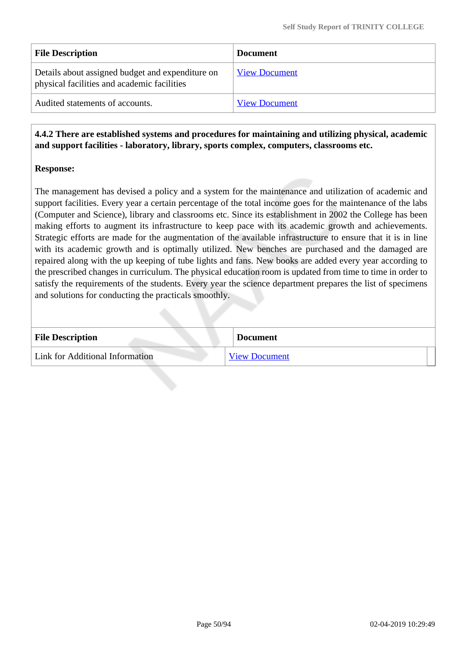| <b>File Description</b>                                                                         | <b>Document</b>      |
|-------------------------------------------------------------------------------------------------|----------------------|
| Details about assigned budget and expenditure on<br>physical facilities and academic facilities | <b>View Document</b> |
| Audited statements of accounts.                                                                 | <b>View Document</b> |

 **4.4.2 There are established systems and procedures for maintaining and utilizing physical, academic and support facilities - laboratory, library, sports complex, computers, classrooms etc.**

## **Response:**

The management has devised a policy and a system for the maintenance and utilization of academic and support facilities. Every year a certain percentage of the total income goes for the maintenance of the labs (Computer and Science), library and classrooms etc. Since its establishment in 2002 the College has been making efforts to augment its infrastructure to keep pace with its academic growth and achievements. Strategic efforts are made for the augmentation of the available infrastructure to ensure that it is in line with its academic growth and is optimally utilized. New benches are purchased and the damaged are repaired along with the up keeping of tube lights and fans. New books are added every year according to the prescribed changes in curriculum. The physical education room is updated from time to time in order to satisfy the requirements of the students. Every year the science department prepares the list of specimens and solutions for conducting the practicals smoothly.

| <b>File Description</b>         | <b>Document</b>      |
|---------------------------------|----------------------|
| Link for Additional Information | <b>View Document</b> |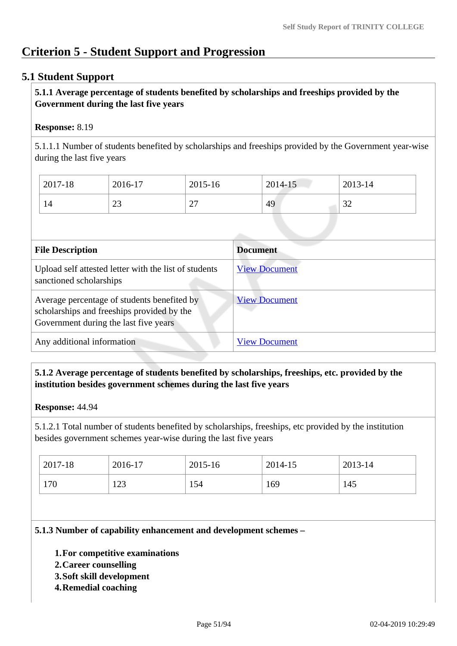# **Criterion 5 - Student Support and Progression**

# **5.1 Student Support**

# **5.1.1 Average percentage of students benefited by scholarships and freeships provided by the Government during the last five years**

# **Response:** 8.19

5.1.1.1 Number of students benefited by scholarships and freeships provided by the Government year-wise during the last five years

| 2017-18 | 2016-17                              | $2015 - 16$   | 2014-15 | 2013-14      |
|---------|--------------------------------------|---------------|---------|--------------|
| 14      | $\mathbin{\lhd}\mathbin{\lhd}$<br>رے | $\sim$<br>ا ت | 49      | $\cap$<br>ىر |

| <b>File Description</b>                                                                                                            | <b>Document</b>      |
|------------------------------------------------------------------------------------------------------------------------------------|----------------------|
| Upload self attested letter with the list of students<br>sanctioned scholarships                                                   | <b>View Document</b> |
| Average percentage of students benefited by<br>scholarships and freeships provided by the<br>Government during the last five years | <b>View Document</b> |
| Any additional information                                                                                                         | <b>View Document</b> |

# **5.1.2 Average percentage of students benefited by scholarships, freeships, etc. provided by the institution besides government schemes during the last five years**

#### **Response:** 44.94

5.1.2.1 Total number of students benefited by scholarships, freeships, etc provided by the institution besides government schemes year-wise during the last five years

| 2017-18 | 2016-17 | 2015-16 | 2014-15 | 2013-14 |
|---------|---------|---------|---------|---------|
| 170     | 123     | 154     | 169     | 145     |

## **5.1.3 Number of capability enhancement and development schemes –**

- **1.For competitive examinations**
- **2.Career counselling**
- **3.Soft skill development**
- **4.Remedial coaching**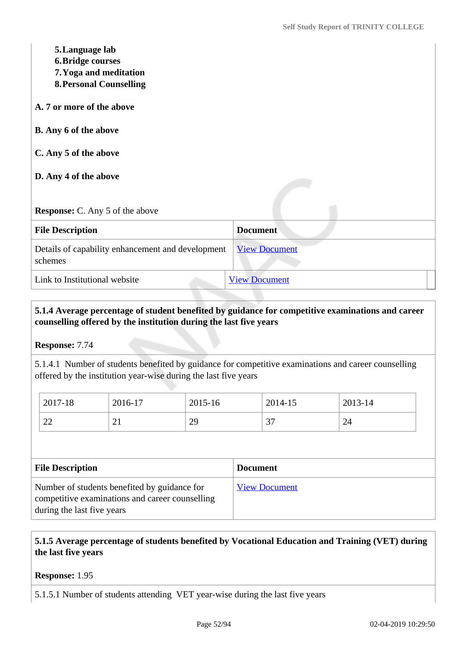| 5. Language lab<br><b>6. Bridge courses</b><br>7. Yoga and meditation<br><b>8. Personal Counselling</b><br>A. 7 or more of the above |                      |
|--------------------------------------------------------------------------------------------------------------------------------------|----------------------|
| <b>B.</b> Any 6 of the above                                                                                                         |                      |
| C. Any 5 of the above                                                                                                                |                      |
| D. Any 4 of the above                                                                                                                |                      |
| <b>Response:</b> C. Any 5 of the above                                                                                               |                      |
| <b>File Description</b>                                                                                                              | <b>Document</b>      |
| Details of capability enhancement and development<br>schemes                                                                         | <b>View Document</b> |
| Link to Institutional website                                                                                                        | <b>View Document</b> |

# **5.1.4 Average percentage of student benefited by guidance for competitive examinations and career counselling offered by the institution during the last five years**

**Response:** 7.74

5.1.4.1 Number of students benefited by guidance for competitive examinations and career counselling offered by the institution year-wise during the last five years

| 2017-18                  | 2016-17  | 2015-16 | 2014-15 | 2013-14 |
|--------------------------|----------|---------|---------|---------|
| $\cap$                   | $\sim$ 1 | 29      | $\sim$  | 24      |
| $\overline{\phantom{a}}$ |          |         | ັ       |         |

| <b>File Description</b>                                                                                                       | <b>Document</b>      |
|-------------------------------------------------------------------------------------------------------------------------------|----------------------|
| Number of students benefited by guidance for<br>competitive examinations and career counselling<br>during the last five years | <b>View Document</b> |

# **5.1.5 Average percentage of students benefited by Vocational Education and Training (VET) during the last five years**

**Response:** 1.95

5.1.5.1 Number of students attending VET year-wise during the last five years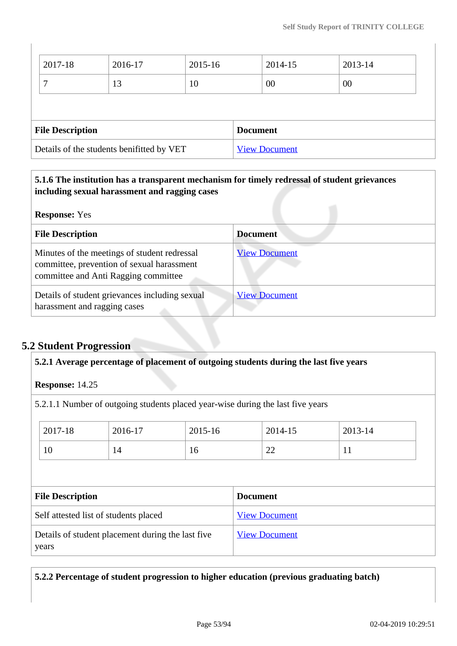| Details of the students benifitted by VET |         |         |  | <b>View Document</b> |         |  |
|-------------------------------------------|---------|---------|--|----------------------|---------|--|
| <b>File Description</b>                   |         |         |  | <b>Document</b>      |         |  |
|                                           |         |         |  |                      |         |  |
| ⇁                                         | 13      | 10      |  | 00                   | 00      |  |
| 2017-18                                   | 2016-17 | 2015-16 |  | 2014-15              | 2013-14 |  |

# **5.1.6 The institution has a transparent mechanism for timely redressal of student grievances including sexual harassment and ragging cases**

| <b>Response:</b> Yes |  |
|----------------------|--|
|----------------------|--|

| <b>ITCONOMISC.</b> TOP                                                                                                             |                      |
|------------------------------------------------------------------------------------------------------------------------------------|----------------------|
| <b>File Description</b>                                                                                                            | <b>Document</b>      |
| Minutes of the meetings of student redressal<br>committee, prevention of sexual harassment<br>committee and Anti Ragging committee | <b>View Document</b> |
| Details of student grievances including sexual<br>harassment and ragging cases                                                     | <b>View Document</b> |

# **5.2 Student Progression**

| 5.2.1 Average percentage of placement of outgoing students during the last five years |    |                      |                                                                                 |         |  |  |
|---------------------------------------------------------------------------------------|----|----------------------|---------------------------------------------------------------------------------|---------|--|--|
| <b>Response: 14.25</b>                                                                |    |                      |                                                                                 |         |  |  |
|                                                                                       |    |                      | 5.2.1.1 Number of outgoing students placed year-wise during the last five years |         |  |  |
| 2017-18<br>2016-17<br>2015-16                                                         |    |                      | 2014-15                                                                         | 2013-14 |  |  |
| 10                                                                                    | 14 | 16                   | 22                                                                              | 11      |  |  |
|                                                                                       |    |                      |                                                                                 |         |  |  |
| <b>File Description</b>                                                               |    |                      | <b>Document</b>                                                                 |         |  |  |
| Self attested list of students placed                                                 |    | <b>View Document</b> |                                                                                 |         |  |  |
| Details of student placement during the last five<br>years                            |    | <b>View Document</b> |                                                                                 |         |  |  |

**5.2.2 Percentage of student progression to higher education (previous graduating batch)**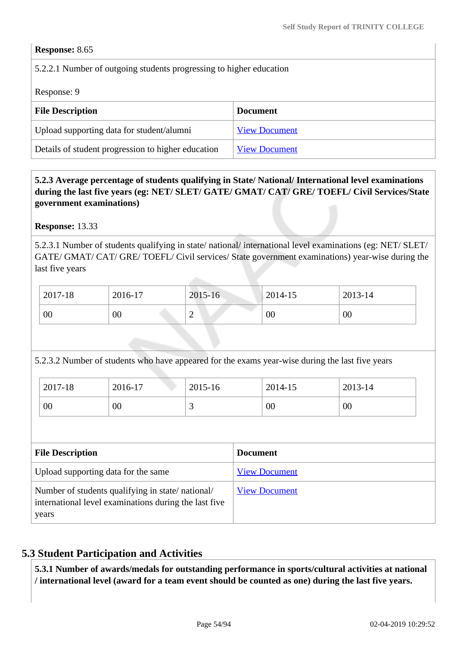### **Response:** 8.65

# 5.2.2.1 Number of outgoing students progressing to higher education

Response: 9

| <b>File Description</b>                            | <b>Document</b>      |
|----------------------------------------------------|----------------------|
| Upload supporting data for student/alumni          | <b>View Document</b> |
| Details of student progression to higher education | <b>View Document</b> |

# **5.2.3 Average percentage of students qualifying in State/ National/ International level examinations during the last five years (eg: NET/ SLET/ GATE/ GMAT/ CAT/ GRE/ TOEFL/ Civil Services/State government examinations)**

**Response:** 13.33

5.2.3.1 Number of students qualifying in state/ national/ international level examinations (eg: NET/ SLET/ GATE/ GMAT/ CAT/ GRE/ TOEFL/ Civil services/ State government examinations) year-wise during the last five years

| 2017-18 | 2016-17 | 2015-16     | $2014 - 15$ | 2013-14 |
|---------|---------|-------------|-------------|---------|
| 00      | $00\,$  | $\sim$<br>∽ | 00          | 00      |

5.2.3.2 Number of students who have appeared for the exams year-wise during the last five years

| 2017-18 | 2016-17 | 2015-16  | 2014-15 | 2013-14 |
|---------|---------|----------|---------|---------|
| 00      | 00      | <u>ب</u> | 00      | 00      |

| <b>File Description</b>                                                                                            | <b>Document</b>      |
|--------------------------------------------------------------------------------------------------------------------|----------------------|
| Upload supporting data for the same                                                                                | <b>View Document</b> |
| Number of students qualifying in state/national/<br>international level examinations during the last five<br>years | <b>View Document</b> |

# **5.3 Student Participation and Activities**

 **5.3.1 Number of awards/medals for outstanding performance in sports/cultural activities at national / international level (award for a team event should be counted as one) during the last five years.**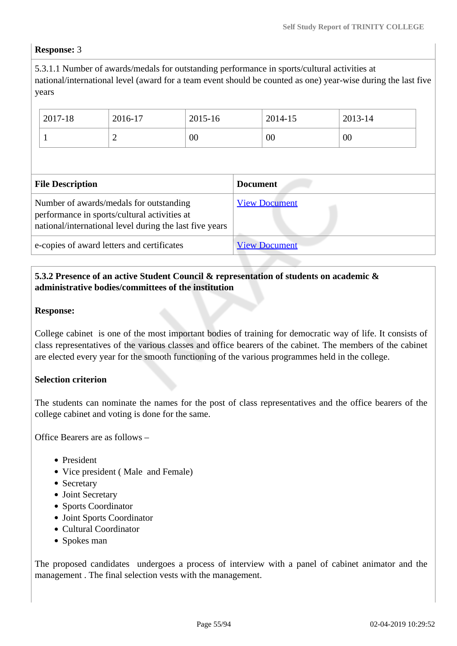### **Response:** 3

5.3.1.1 Number of awards/medals for outstanding performance in sports/cultural activities at national/international level (award for a team event should be counted as one) year-wise during the last five years

|                                                                                                                                                    | 2017-18      | 2016-17              | $2015 - 16$     |                      | 2014-15 | 2013-14 |
|----------------------------------------------------------------------------------------------------------------------------------------------------|--------------|----------------------|-----------------|----------------------|---------|---------|
|                                                                                                                                                    | $\mathbf{1}$ | 2                    | 00              |                      | 00      | 00      |
|                                                                                                                                                    |              |                      |                 |                      |         |         |
| <b>File Description</b>                                                                                                                            |              |                      | <b>Document</b> |                      |         |         |
| Number of awards/medals for outstanding<br>performance in sports/cultural activities at<br>national/international level during the last five years |              | <b>View Document</b> |                 |                      |         |         |
| e-copies of award letters and certificates                                                                                                         |              |                      |                 | <b>View Document</b> |         |         |

# **5.3.2 Presence of an active Student Council & representation of students on academic & administrative bodies/committees of the institution**

#### **Response:**

College cabinet is one of the most important bodies of training for democratic way of life. It consists of class representatives of the various classes and office bearers of the cabinet. The members of the cabinet are elected every year for the smooth functioning of the various programmes held in the college.

#### **Selection criterion**

The students can nominate the names for the post of class representatives and the office bearers of the college cabinet and voting is done for the same.

Office Bearers are as follows –

- President
- Vice president (Male and Female)
- Secretary
- Joint Secretary
- Sports Coordinator
- Joint Sports Coordinator
- Cultural Coordinator
- Spokes man

The proposed candidates undergoes a process of interview with a panel of cabinet animator and the management . The final selection vests with the management.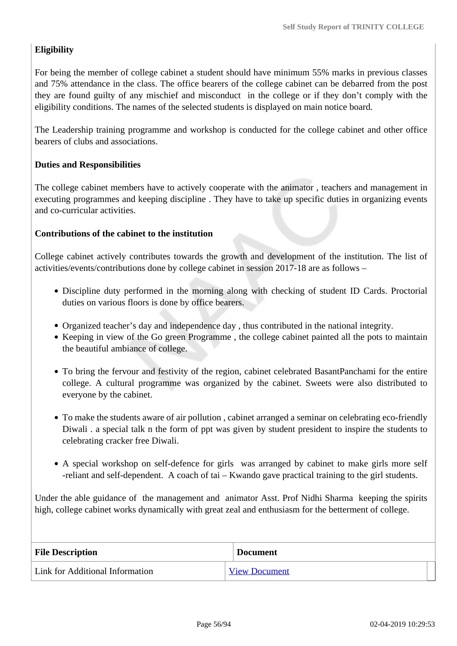# **Eligibility**

For being the member of college cabinet a student should have minimum 55% marks in previous classes and 75% attendance in the class. The office bearers of the college cabinet can be debarred from the post they are found guilty of any mischief and misconduct in the college or if they don't comply with the eligibility conditions. The names of the selected students is displayed on main notice board.

The Leadership training programme and workshop is conducted for the college cabinet and other office bearers of clubs and associations.

# **Duties and Responsibilities**

The college cabinet members have to actively cooperate with the animator , teachers and management in executing programmes and keeping discipline . They have to take up specific duties in organizing events and co-curricular activities.

## **Contributions of the cabinet to the institution**

College cabinet actively contributes towards the growth and development of the institution. The list of activities/events/contributions done by college cabinet in session 2017-18 are as follows –

- Discipline duty performed in the morning along with checking of student ID Cards. Proctorial duties on various floors is done by office bearers.
- Organized teacher's day and independence day , thus contributed in the national integrity.
- Keeping in view of the Go green Programme, the college cabinet painted all the pots to maintain the beautiful ambiance of college.
- To bring the fervour and festivity of the region, cabinet celebrated BasantPanchami for the entire college. A cultural programme was organized by the cabinet. Sweets were also distributed to everyone by the cabinet.
- To make the students aware of air pollution , cabinet arranged a seminar on celebrating eco-friendly Diwali . a special talk n the form of ppt was given by student president to inspire the students to celebrating cracker free Diwali.
- A special workshop on self-defence for girls was arranged by cabinet to make girls more self -reliant and self-dependent. A coach of tai – Kwando gave practical training to the girl students.

Under the able guidance of the management and animator Asst. Prof Nidhi Sharma keeping the spirits high, college cabinet works dynamically with great zeal and enthusiasm for the betterment of college.

| <b>File Description</b>         | <b>Document</b>      |
|---------------------------------|----------------------|
| Link for Additional Information | <b>View Document</b> |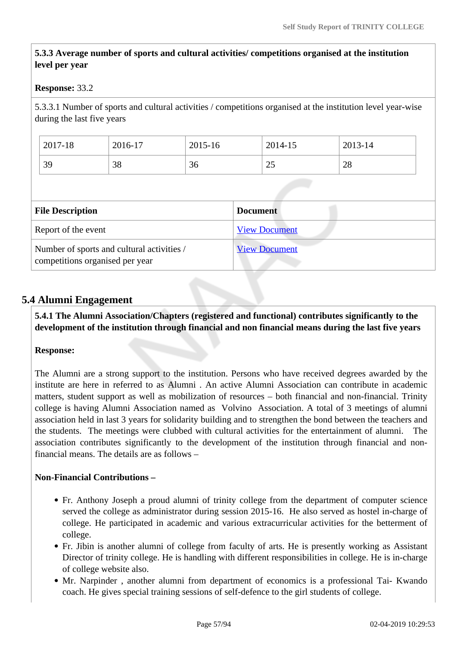# **5.3.3 Average number of sports and cultural activities/ competitions organised at the institution level per year**

## **Response:** 33.2

5.3.3.1 Number of sports and cultural activities / competitions organised at the institution level year-wise during the last five years

| 2017-18 | 2016-17 | 2015-16 | 2014-15 | 2013-14 |
|---------|---------|---------|---------|---------|
| 39      | 38      | 36      | 25      | 28      |

| <b>File Description</b>                                                       | <b>Document</b>      |
|-------------------------------------------------------------------------------|----------------------|
| Report of the event                                                           | <b>View Document</b> |
| Number of sports and cultural activities /<br>competitions organised per year | <b>View Document</b> |

# **5.4 Alumni Engagement**

 **5.4.1 The Alumni Association/Chapters (registered and functional) contributes significantly to the development of the institution through financial and non financial means during the last five years**

#### **Response:**

The Alumni are a strong support to the institution. Persons who have received degrees awarded by the institute are here in referred to as Alumni . An active Alumni Association can contribute in academic matters, student support as well as mobilization of resources – both financial and non-financial. Trinity college is having Alumni Association named as Volvino Association. A total of 3 meetings of alumni association held in last 3 years for solidarity building and to strengthen the bond between the teachers and the students. The meetings were clubbed with cultural activities for the entertainment of alumni. The association contributes significantly to the development of the institution through financial and nonfinancial means. The details are as follows –

## **Non-Financial Contributions –**

- Fr. Anthony Joseph a proud alumni of trinity college from the department of computer science served the college as administrator during session 2015-16. He also served as hostel in-charge of college. He participated in academic and various extracurricular activities for the betterment of college.
- Fr. Jibin is another alumni of college from faculty of arts. He is presently working as Assistant Director of trinity college. He is handling with different responsibilities in college. He is in-charge of college website also.
- Mr. Narpinder, another alumni from department of economics is a professional Tai- Kwando coach. He gives special training sessions of self-defence to the girl students of college.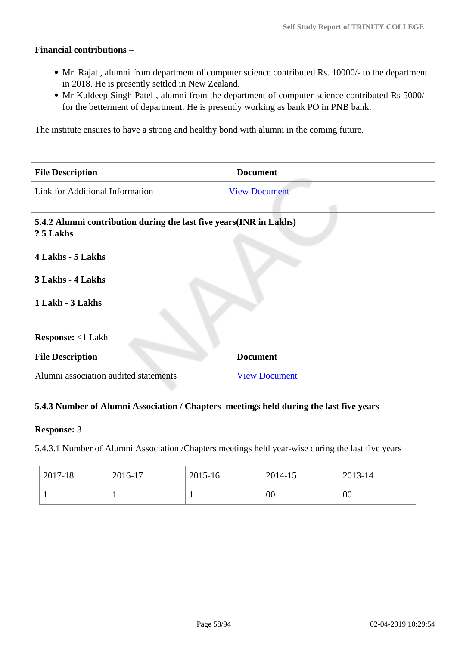### **Financial contributions –**

- Mr. Rajat , alumni from department of computer science contributed Rs. 10000/- to the department in 2018. He is presently settled in New Zealand.
- Mr Kuldeep Singh Patel, alumni from the department of computer science contributed Rs 5000/for the betterment of department. He is presently working as bank PO in PNB bank.

The institute ensures to have a strong and healthy bond with alumni in the coming future.

| <b>File Description</b>         | <b>Document</b>      |
|---------------------------------|----------------------|
| Link for Additional Information | <b>View Document</b> |

# **5.4.2 Alumni contribution during the last five years(INR in Lakhs) ? 5 Lakhs**

**4 Lakhs - 5 Lakhs**

## **3 Lakhs - 4 Lakhs**

# **1 Lakh - 3 Lakhs**

**Response:** <1 Lakh

| <b>File Description</b>               | <b>Document</b>      |
|---------------------------------------|----------------------|
| Alumni association audited statements | <b>View Document</b> |

#### **5.4.3 Number of Alumni Association / Chapters meetings held during the last five years**

#### **Response:** 3

5.4.3.1 Number of Alumni Association /Chapters meetings held year-wise during the last five years

| 2017-18 | 2016-17 | 2015-16 | 2014-15 | 2013-14 |
|---------|---------|---------|---------|---------|
|         |         |         | 00      | 00      |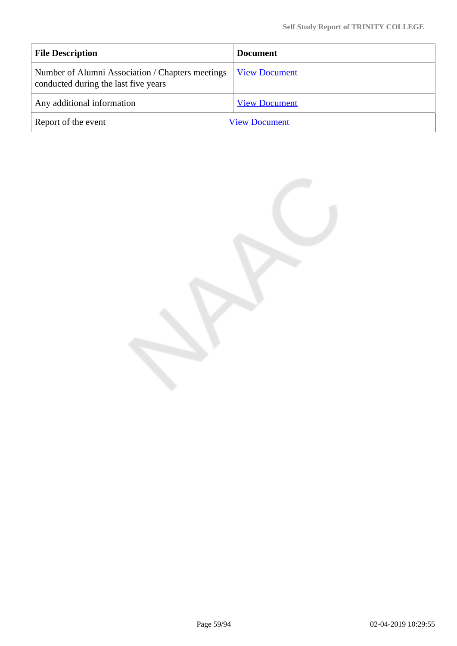| <b>File Description</b>                                                                  | <b>Document</b>      |
|------------------------------------------------------------------------------------------|----------------------|
| Number of Alumni Association / Chapters meetings<br>conducted during the last five years | <b>View Document</b> |
| Any additional information                                                               | <b>View Document</b> |
| Report of the event                                                                      | <b>View Document</b> |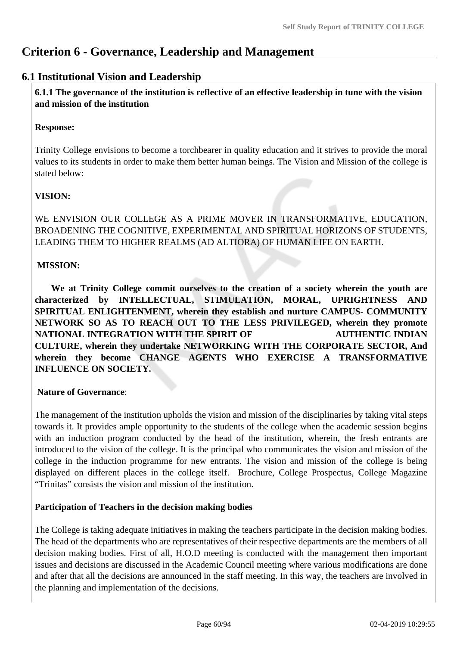# **Criterion 6 - Governance, Leadership and Management**

# **6.1 Institutional Vision and Leadership**

 **6.1.1 The governance of the institution is reflective of an effective leadership in tune with the vision and mission of the institution**

# **Response:**

Trinity College envisions to become a torchbearer in quality education and it strives to provide the moral values to its students in order to make them better human beings. The Vision and Mission of the college is stated below:

# **VISION:**

WE ENVISION OUR COLLEGE AS A PRIME MOVER IN TRANSFORMATIVE, EDUCATION, BROADENING THE COGNITIVE, EXPERIMENTAL AND SPIRITUAL HORIZONS OF STUDENTS, LEADING THEM TO HIGHER REALMS (AD ALTIORA) OF HUMAN LIFE ON EARTH.

# **MISSION:**

 **We at Trinity College commit ourselves to the creation of a society wherein the youth are characterized by INTELLECTUAL, STIMULATION, MORAL, UPRIGHTNESS AND SPIRITUAL ENLIGHTENMENT, wherein they establish and nurture CAMPUS- COMMUNITY NETWORK SO AS TO REACH OUT TO THE LESS PRIVILEGED, wherein they promote NATIONAL INTEGRATION WITH THE SPIRIT OF AUTHENTIC INDIAN CULTURE, wherein they undertake NETWORKING WITH THE CORPORATE SECTOR, And wherein they become CHANGE AGENTS WHO EXERCISE A TRANSFORMATIVE INFLUENCE ON SOCIETY.**

# **Nature of Governance**:

The management of the institution upholds the vision and mission of the disciplinaries by taking vital steps towards it. It provides ample opportunity to the students of the college when the academic session begins with an induction program conducted by the head of the institution, wherein, the fresh entrants are introduced to the vision of the college. It is the principal who communicates the vision and mission of the college in the induction programme for new entrants. The vision and mission of the college is being displayed on different places in the college itself. Brochure, College Prospectus, College Magazine "Trinitas" consists the vision and mission of the institution.

# **Participation of Teachers in the decision making bodies**

The College is taking adequate initiatives in making the teachers participate in the decision making bodies. The head of the departments who are representatives of their respective departments are the members of all decision making bodies. First of all, H.O.D meeting is conducted with the management then important issues and decisions are discussed in the Academic Council meeting where various modifications are done and after that all the decisions are announced in the staff meeting. In this way, the teachers are involved in the planning and implementation of the decisions.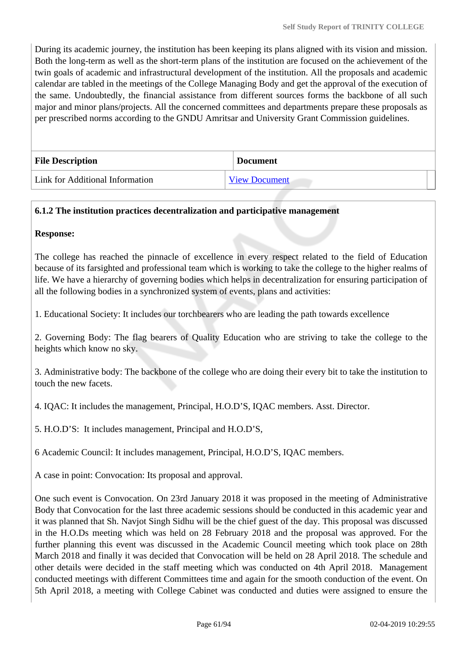During its academic journey, the institution has been keeping its plans aligned with its vision and mission. Both the long-term as well as the short-term plans of the institution are focused on the achievement of the twin goals of academic and infrastructural development of the institution. All the proposals and academic calendar are tabled in the meetings of the College Managing Body and get the approval of the execution of the same. Undoubtedly, the financial assistance from different sources forms the backbone of all such major and minor plans/projects. All the concerned committees and departments prepare these proposals as per prescribed norms according to the GNDU Amritsar and University Grant Commission guidelines.

| <b>File Description</b>         | Document             |
|---------------------------------|----------------------|
| Link for Additional Information | <b>View Document</b> |

# **6.1.2 The institution practices decentralization and participative management**

### **Response:**

The college has reached the pinnacle of excellence in every respect related to the field of Education because of its farsighted and professional team which is working to take the college to the higher realms of life. We have a hierarchy of governing bodies which helps in decentralization for ensuring participation of all the following bodies in a synchronized system of events, plans and activities:

1. Educational Society: It includes our torchbearers who are leading the path towards excellence

2. Governing Body: The flag bearers of Quality Education who are striving to take the college to the heights which know no sky.

3. Administrative body: The backbone of the college who are doing their every bit to take the institution to touch the new facets.

4. IQAC: It includes the management, Principal, H.O.D'S, IQAC members. Asst. Director.

5. H.O.D'S: It includes management, Principal and H.O.D'S,

6 Academic Council: It includes management, Principal, H.O.D'S, IQAC members.

A case in point: Convocation: Its proposal and approval.

One such event is Convocation. On 23rd January 2018 it was proposed in the meeting of Administrative Body that Convocation for the last three academic sessions should be conducted in this academic year and it was planned that Sh. Navjot Singh Sidhu will be the chief guest of the day. This proposal was discussed in the H.O.Ds meeting which was held on 28 February 2018 and the proposal was approved. For the further planning this event was discussed in the Academic Council meeting which took place on 28th March 2018 and finally it was decided that Convocation will be held on 28 April 2018. The schedule and other details were decided in the staff meeting which was conducted on 4th April 2018. Management conducted meetings with different Committees time and again for the smooth conduction of the event. On 5th April 2018, a meeting with College Cabinet was conducted and duties were assigned to ensure the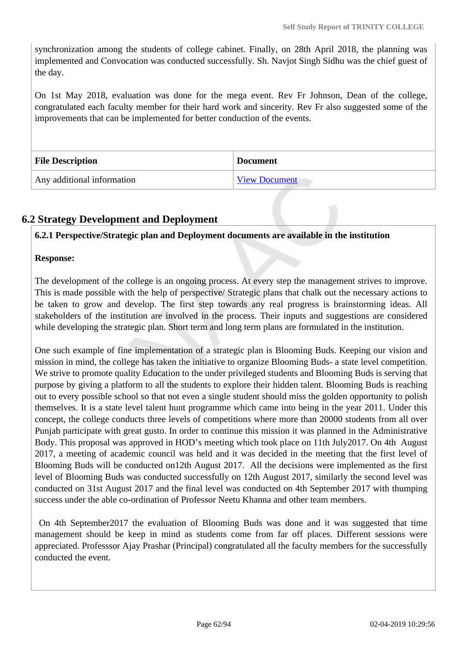synchronization among the students of college cabinet. Finally, on 28th April 2018, the planning was implemented and Convocation was conducted successfully. Sh. Navjot Singh Sidhu was the chief guest of the day.

On 1st May 2018, evaluation was done for the mega event. Rev Fr Johnson, Dean of the college, congratulated each faculty member for their hard work and sincerity. Rev Fr also suggested some of the improvements that can be implemented for better conduction of the events.

| <b>File Description</b>    | <b>Document</b>      |
|----------------------------|----------------------|
| Any additional information | <b>View Document</b> |

# **6.2 Strategy Development and Deployment**

**6.2.1 Perspective/Strategic plan and Deployment documents are available in the institution**

# **Response:**

The development of the college is an ongoing process. At every step the management strives to improve. This is made possible with the help of perspective/ Strategic plans that chalk out the necessary actions to be taken to grow and develop. The first step towards any real progress is brainstorming ideas. All stakeholders of the institution are involved in the process. Their inputs and suggestions are considered while developing the strategic plan. Short term and long term plans are formulated in the institution.

One such example of fine implementation of a strategic plan is Blooming Buds. Keeping our vision and mission in mind, the college has taken the initiative to organize Blooming Buds- a state level competition. We strive to promote quality Education to the under privileged students and Blooming Buds is serving that purpose by giving a platform to all the students to explore their hidden talent. Blooming Buds is reaching out to every possible school so that not even a single student should miss the golden opportunity to polish themselves. It is a state level talent hunt programme which came into being in the year 2011. Under this concept, the college conducts three levels of competitions where more than 20000 students from all over Punjab participate with great gusto. In order to continue this mission it was planned in the Administrative Body. This proposal was approved in HOD's meeting which took place on 11th July2017. On 4th August 2017, a meeting of academic council was held and it was decided in the meeting that the first level of Blooming Buds will be conducted on12th August 2017. All the decisions were implemented as the first level of Blooming Buds was conducted successfully on 12th August 2017, similarly the second level was conducted on 31st August 2017 and the final level was conducted on 4th September 2017 with thumping success under the able co-ordination of Professor Neetu Khanna and other team members.

 On 4th September2017 the evaluation of Blooming Buds was done and it was suggested that time management should be keep in mind as students come from far off places. Different sessions were appreciated. Professsor Ajay Prashar (Principal) congratulated all the faculty members for the successfully conducted the event.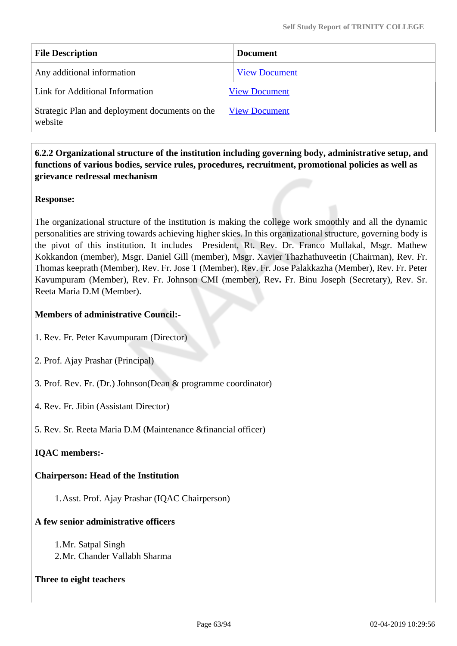| <b>File Description</b>                                   | <b>Document</b>      |  |
|-----------------------------------------------------------|----------------------|--|
| Any additional information                                | <b>View Document</b> |  |
| Link for Additional Information                           | <b>View Document</b> |  |
| Strategic Plan and deployment documents on the<br>website | <b>View Document</b> |  |

# **6.2.2 Organizational structure of the institution including governing body, administrative setup, and functions of various bodies, service rules, procedures, recruitment, promotional policies as well as grievance redressal mechanism**

## **Response:**

The organizational structure of the institution is making the college work smoothly and all the dynamic personalities are striving towards achieving higher skies. In this organizational structure, governing body is the pivot of this institution. It includes President, Rt. Rev. Dr. Franco Mullakal, Msgr. Mathew Kokkandon (member), Msgr. Daniel Gill (member), Msgr. Xavier Thazhathuveetin (Chairman), Rev. Fr. Thomas keeprath (Member), Rev. Fr. Jose T (Member), Rev. Fr. Jose Palakkazha (Member), Rev. Fr. Peter Kavumpuram (Member), Rev. Fr. Johnson CMI (member), Rev**.** Fr. Binu Joseph (Secretary), Rev. Sr. Reeta Maria D.M (Member).

# **Members of administrative Council:-**

- 1. Rev. Fr. Peter Kavumpuram (Director)
- 2. Prof. Ajay Prashar (Principal)
- 3. Prof. Rev. Fr. (Dr.) Johnson(Dean & programme coordinator)
- 4. Rev. Fr. Jibin (Assistant Director)
- 5. Rev. Sr. Reeta Maria D.M (Maintenance &financial officer)

# **IQAC members:-**

# **Chairperson: Head of the Institution**

1.Asst. Prof. Ajay Prashar (IQAC Chairperson)

# **A few senior administrative officers**

1.Mr. Satpal Singh 2.Mr. Chander Vallabh Sharma

## **Three to eight teachers**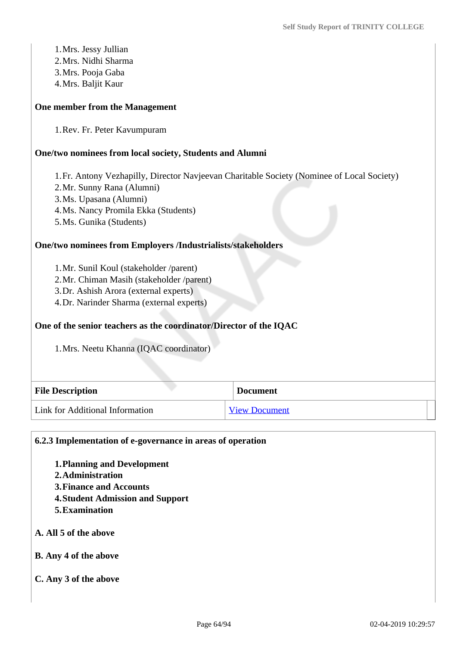1.Mrs. Jessy Jullian 2.Mrs. Nidhi Sharma 3.Mrs. Pooja Gaba 4.Mrs. Baljit Kaur

#### **One member from the Management**

1.Rev. Fr. Peter Kavumpuram

#### **One/two nominees from local society, Students and Alumni**

1.Fr. Antony Vezhapilly, Director Navjeevan Charitable Society (Nominee of Local Society)

- 2.Mr. Sunny Rana (Alumni)
- 3.Ms. Upasana (Alumni)
- 4.Ms. Nancy Promila Ekka (Students)
- 5.Ms. Gunika (Students)

#### **One/two nominees from Employers /Industrialists/stakeholders**

1.Mr. Sunil Koul (stakeholder /parent)

- 2.Mr. Chiman Masih (stakeholder /parent)
- 3.Dr. Ashish Arora (external experts)
- 4.Dr. Narinder Sharma (external experts)

#### **One of the senior teachers as the coordinator/Director of the IQAC**

1.Mrs. Neetu Khanna (IQAC coordinator)

| <b>File Description</b>         | <b>Document</b>      |
|---------------------------------|----------------------|
| Link for Additional Information | <b>View Document</b> |

#### **6.2.3 Implementation of e-governance in areas of operation**

- **1.Planning and Development**
- **2.Administration**
- **3.Finance and Accounts**
- **4.Student Admission and Support**
- **5.Examination**

#### **A. All 5 of the above**

**B. Any 4 of the above**

#### **C. Any 3 of the above**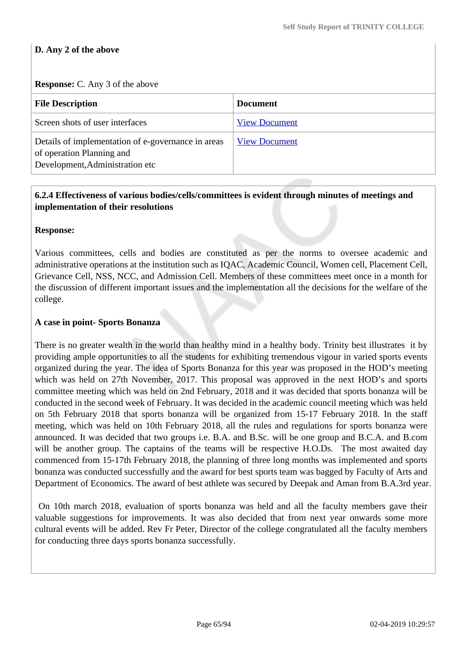# **D. Any 2 of the above**

#### **Response:** C. Any 3 of the above

| <b>File Description</b>                                                                                            | <b>Document</b>      |
|--------------------------------------------------------------------------------------------------------------------|----------------------|
| Screen shots of user interfaces                                                                                    | <b>View Document</b> |
| Details of implementation of e-governance in areas<br>of operation Planning and<br>Development, Administration etc | <b>View Document</b> |

# **6.2.4 Effectiveness of various bodies/cells/committees is evident through minutes of meetings and implementation of their resolutions**

### **Response:**

Various committees, cells and bodies are constituted as per the norms to oversee academic and administrative operations at the institution such as IQAC, Academic Council, Women cell, Placement Cell, Grievance Cell, NSS, NCC, and Admission Cell. Members of these committees meet once in a month for the discussion of different important issues and the implementation all the decisions for the welfare of the college.

### **A case in point- Sports Bonanza**

There is no greater wealth in the world than healthy mind in a healthy body. Trinity best illustrates it by providing ample opportunities to all the students for exhibiting tremendous vigour in varied sports events organized during the year. The idea of Sports Bonanza for this year was proposed in the HOD's meeting which was held on 27th November, 2017. This proposal was approved in the next HOD's and sports committee meeting which was held on 2nd February, 2018 and it was decided that sports bonanza will be conducted in the second week of February. It was decided in the academic council meeting which was held on 5th February 2018 that sports bonanza will be organized from 15-17 February 2018. In the staff meeting, which was held on 10th February 2018, all the rules and regulations for sports bonanza were announced. It was decided that two groups i.e. B.A. and B.Sc. will be one group and B.C.A. and B.com will be another group. The captains of the teams will be respective H.O.Ds. The most awaited day commenced from 15-17th February 2018, the planning of three long months was implemented and sports bonanza was conducted successfully and the award for best sports team was bagged by Faculty of Arts and Department of Economics. The award of best athlete was secured by Deepak and Aman from B.A.3rd year.

 On 10th march 2018, evaluation of sports bonanza was held and all the faculty members gave their valuable suggestions for improvements. It was also decided that from next year onwards some more cultural events will be added. Rev Fr Peter, Director of the college congratulated all the faculty members for conducting three days sports bonanza successfully.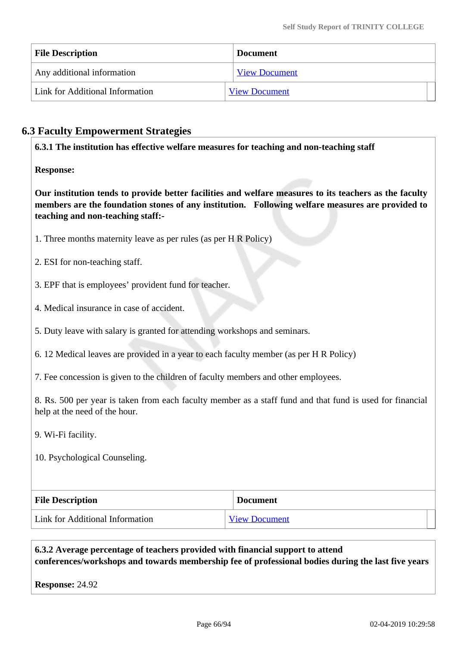| <b>File Description</b>         | <b>Document</b>      |
|---------------------------------|----------------------|
| Any additional information      | <b>View Document</b> |
| Link for Additional Information | <b>View Document</b> |

# **6.3 Faculty Empowerment Strategies**

**6.3.1 The institution has effective welfare measures for teaching and non-teaching staff**

**Response:** 

**Our institution tends to provide better facilities and welfare measures to its teachers as the faculty members are the foundation stones of any institution. Following welfare measures are provided to teaching and non-teaching staff:-**

- 1. Three months maternity leave as per rules (as per H R Policy)
- 2. ESI for non-teaching staff.
- 3. EPF that is employees' provident fund for teacher.
- 4. Medical insurance in case of accident.
- 5. Duty leave with salary is granted for attending workshops and seminars.
- 6. 12 Medical leaves are provided in a year to each faculty member (as per H R Policy)

7. Fee concession is given to the children of faculty members and other employees.

8. Rs. 500 per year is taken from each faculty member as a staff fund and that fund is used for financial help at the need of the hour.

9. Wi-Fi facility.

10. Psychological Counseling.

| <b>File Description</b>         | <b>Document</b>      |
|---------------------------------|----------------------|
| Link for Additional Information | <b>View Document</b> |

 **6.3.2 Average percentage of teachers provided with financial support to attend conferences/workshops and towards membership fee of professional bodies during the last five years**

**Response:** 24.92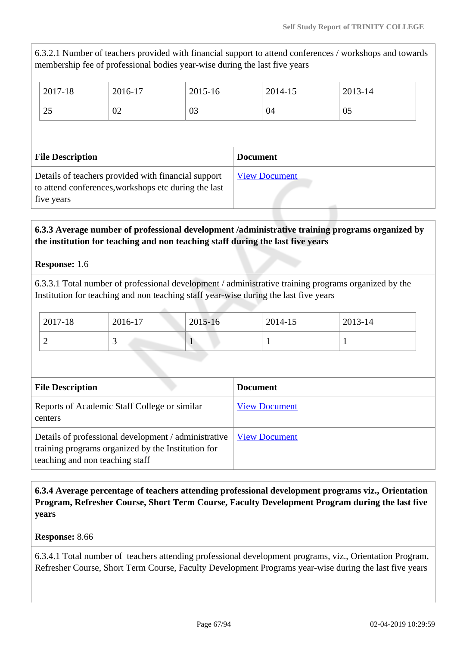6.3.2.1 Number of teachers provided with financial support to attend conferences / workshops and towards membership fee of professional bodies year-wise during the last five years

| 2017-18        | 2016-17 | 2015-16 | 2014-15 | 2013-14 |
|----------------|---------|---------|---------|---------|
| $\cap$<br>ل کے | 02      | 03      | 04      | 05      |

| <b>File Description</b>                                                                                                   | <b>Document</b>      |
|---------------------------------------------------------------------------------------------------------------------------|----------------------|
| Details of teachers provided with financial support<br>to attend conferences, workshops etc during the last<br>five years | <b>View Document</b> |

# **6.3.3 Average number of professional development /administrative training programs organized by the institution for teaching and non teaching staff during the last five years**

**Response:** 1.6

6.3.3.1 Total number of professional development / administrative training programs organized by the Institution for teaching and non teaching staff year-wise during the last five years

| 2017-18 | 2016-17 | 2015-16 | 2014-15 | 2013-14 |
|---------|---------|---------|---------|---------|
| ∽       |         |         |         |         |

| <b>File Description</b>                                                                                                                       | <b>Document</b>      |
|-----------------------------------------------------------------------------------------------------------------------------------------------|----------------------|
| Reports of Academic Staff College or similar<br>centers                                                                                       | <b>View Document</b> |
| Details of professional development / administrative<br>training programs organized by the Institution for<br>teaching and non teaching staff | <b>View Document</b> |

 **6.3.4 Average percentage of teachers attending professional development programs viz., Orientation Program, Refresher Course, Short Term Course, Faculty Development Program during the last five years**

## **Response:** 8.66

6.3.4.1 Total number of teachers attending professional development programs, viz., Orientation Program, Refresher Course, Short Term Course, Faculty Development Programs year-wise during the last five years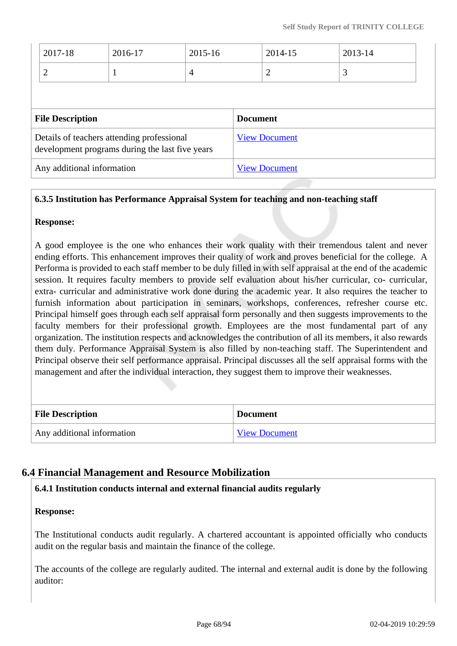| 2017-18                 | 2016-17                                                                                       | 2015-16        |                 | 2014-15              | 2013-14 |  |
|-------------------------|-----------------------------------------------------------------------------------------------|----------------|-----------------|----------------------|---------|--|
| 2                       | $\mathbf 1$                                                                                   | $\overline{4}$ |                 | 2                    | 3       |  |
|                         |                                                                                               |                |                 |                      |         |  |
|                         |                                                                                               |                |                 |                      |         |  |
| <b>File Description</b> |                                                                                               |                | <b>Document</b> |                      |         |  |
|                         | Details of teachers attending professional<br>development programs during the last five years |                |                 | <b>View Document</b> |         |  |

### **6.3.5 Institution has Performance Appraisal System for teaching and non-teaching staff**

#### **Response:**

A good employee is the one who enhances their work quality with their tremendous talent and never ending efforts. This enhancement improves their quality of work and proves beneficial for the college. A Performa is provided to each staff member to be duly filled in with self appraisal at the end of the academic session. It requires faculty members to provide self evaluation about his/her curricular, co- curricular, extra- curricular and administrative work done during the academic year. It also requires the teacher to furnish information about participation in seminars, workshops, conferences, refresher course etc. Principal himself goes through each self appraisal form personally and then suggests improvements to the faculty members for their professional growth. Employees are the most fundamental part of any organization. The institution respects and acknowledges the contribution of all its members, it also rewards them duly. Performance Appraisal System is also filled by non-teaching staff. The Superintendent and Principal observe their self performance appraisal. Principal discusses all the self appraisal forms with the management and after the individual interaction, they suggest them to improve their weaknesses.

| <b>File Description</b>    | <b>Document</b>      |
|----------------------------|----------------------|
| Any additional information | <b>View Document</b> |

# **6.4 Financial Management and Resource Mobilization**

## **6.4.1 Institution conducts internal and external financial audits regularly**

#### **Response:**

The Institutional conducts audit regularly. A chartered accountant is appointed officially who conducts audit on the regular basis and maintain the finance of the college.

The accounts of the college are regularly audited. The internal and external audit is done by the following auditor: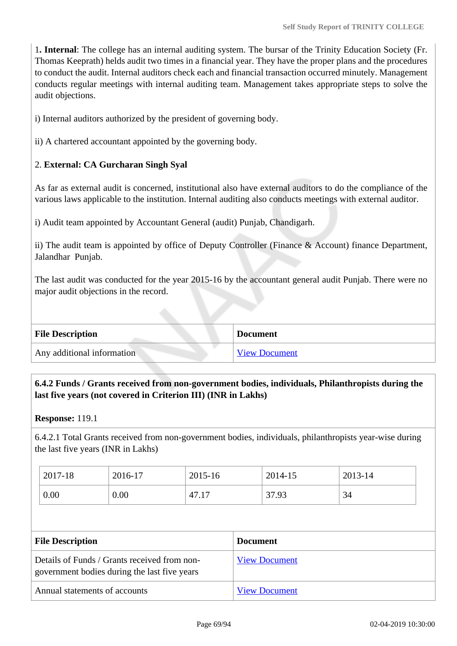1**. Internal**: The college has an internal auditing system. The bursar of the Trinity Education Society (Fr. Thomas Keeprath) helds audit two times in a financial year. They have the proper plans and the procedures to conduct the audit. Internal auditors check each and financial transaction occurred minutely. Management conducts regular meetings with internal auditing team. Management takes appropriate steps to solve the audit objections.

i) Internal auditors authorized by the president of governing body.

ii) A chartered accountant appointed by the governing body.

# 2. **External: CA Gurcharan Singh Syal**

As far as external audit is concerned, institutional also have external auditors to do the compliance of the various laws applicable to the institution. Internal auditing also conducts meetings with external auditor.

i) Audit team appointed by Accountant General (audit) Punjab, Chandigarh.

ii) The audit team is appointed by office of Deputy Controller (Finance & Account) finance Department, Jalandhar Punjab.

The last audit was conducted for the year 2015-16 by the accountant general audit Punjab. There were no major audit objections in the record.

| <b>File Description</b>    | <b>Document</b>      |
|----------------------------|----------------------|
| Any additional information | <b>View Document</b> |

 **6.4.2 Funds / Grants received from non-government bodies, individuals, Philanthropists during the last five years (not covered in Criterion III) (INR in Lakhs)**

**Response:** 119.1

6.4.2.1 Total Grants received from non-government bodies, individuals, philanthropists year-wise during the last five years (INR in Lakhs)

| 2017-18 | 2016-17 | 2015-16          | 2014-15 | 2013-14 |
|---------|---------|------------------|---------|---------|
| 0.00    | 0.00    | $^{\circ}$ 47.1. | 37.93   | 34      |

| <b>File Description</b>                                                                      | <b>Document</b>      |
|----------------------------------------------------------------------------------------------|----------------------|
| Details of Funds / Grants received from non-<br>government bodies during the last five years | <b>View Document</b> |
| Annual statements of accounts                                                                | <b>View Document</b> |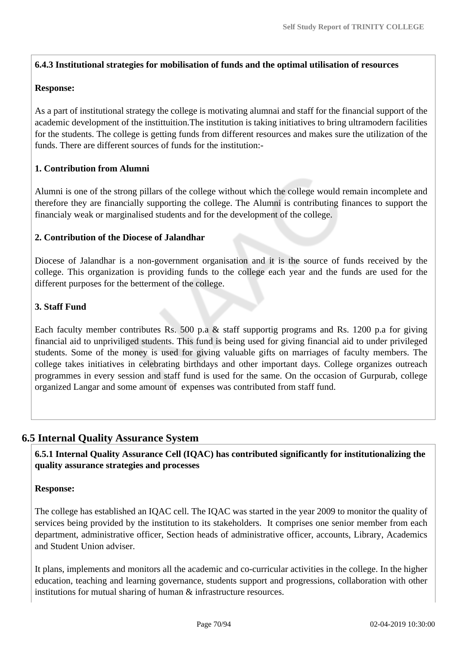## **6.4.3 Institutional strategies for mobilisation of funds and the optimal utilisation of resources**

## **Response:**

As a part of institutional strategy the college is motivating alumnai and staff for the financial support of the academic development of the instittuition.The institution is taking initiatives to bring ultramodern facilities for the students. The college is getting funds from different resources and makes sure the utilization of the funds. There are different sources of funds for the institution:-

## **1. Contribution from Alumni**

Alumni is one of the strong pillars of the college without which the college would remain incomplete and therefore they are financially supporting the college. The Alumni is contributing finances to support the financialy weak or marginalised students and for the development of the college.

### **2. Contribution of the Diocese of Jalandhar**

Diocese of Jalandhar is a non-government organisation and it is the source of funds received by the college. This organization is providing funds to the college each year and the funds are used for the different purposes for the betterment of the college.

## **3. Staff Fund**

Each faculty member contributes Rs. 500 p.a & staff supportig programs and Rs. 1200 p.a for giving financial aid to unpriviliged students. This fund is being used for giving financial aid to under privileged students. Some of the money is used for giving valuable gifts on marriages of faculty members. The college takes initiatives in celebrating birthdays and other important days. College organizes outreach programmes in every session and staff fund is used for the same. On the occasion of Gurpurab, college organized Langar and some amount of expenses was contributed from staff fund.

# **6.5 Internal Quality Assurance System**

 **6.5.1 Internal Quality Assurance Cell (IQAC) has contributed significantly for institutionalizing the quality assurance strategies and processes**

## **Response:**

The college has established an IQAC cell. The IQAC was started in the year 2009 to monitor the quality of services being provided by the institution to its stakeholders. It comprises one senior member from each department, administrative officer, Section heads of administrative officer, accounts, Library, Academics and Student Union adviser.

It plans, implements and monitors all the academic and co-curricular activities in the college. In the higher education, teaching and learning governance, students support and progressions, collaboration with other institutions for mutual sharing of human & infrastructure resources.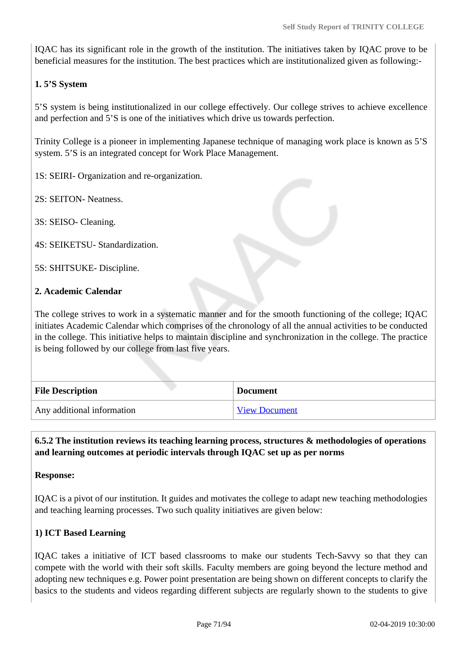IQAC has its significant role in the growth of the institution. The initiatives taken by IQAC prove to be beneficial measures for the institution. The best practices which are institutionalized given as following:-

# **1. 5'S System**

5'S system is being institutionalized in our college effectively. Our college strives to achieve excellence and perfection and 5'S is one of the initiatives which drive us towards perfection.

Trinity College is a pioneer in implementing Japanese technique of managing work place is known as 5'S system. 5'S is an integrated concept for Work Place Management.

1S: SEIRI- Organization and re-organization.

2S: SEITON- Neatness.

3S: SEISO- Cleaning.

4S: SEIKETSU- Standardization.

5S: SHITSUKE- Discipline.

### **2. Academic Calendar**

The college strives to work in a systematic manner and for the smooth functioning of the college; IQAC initiates Academic Calendar which comprises of the chronology of all the annual activities to be conducted in the college. This initiative helps to maintain discipline and synchronization in the college. The practice is being followed by our college from last five years.

| <b>File Description</b>    | <b>Document</b>      |
|----------------------------|----------------------|
| Any additional information | <b>View Document</b> |

 **6.5.2 The institution reviews its teaching learning process, structures & methodologies of operations and learning outcomes at periodic intervals through IQAC set up as per norms**

**Response:** 

IQAC is a pivot of our institution. It guides and motivates the college to adapt new teaching methodologies and teaching learning processes. Two such quality initiatives are given below:

## **1) ICT Based Learning**

IQAC takes a initiative of ICT based classrooms to make our students Tech-Savvy so that they can compete with the world with their soft skills. Faculty members are going beyond the lecture method and adopting new techniques e.g. Power point presentation are being shown on different concepts to clarify the basics to the students and videos regarding different subjects are regularly shown to the students to give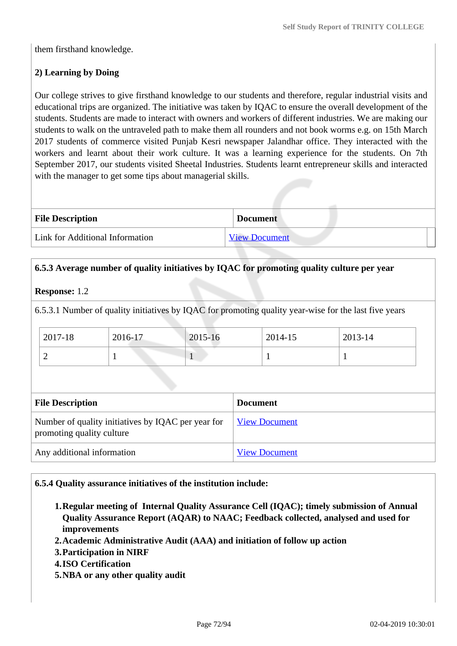them firsthand knowledge.

## **2) Learning by Doing**

Our college strives to give firsthand knowledge to our students and therefore, regular industrial visits and educational trips are organized. The initiative was taken by IQAC to ensure the overall development of the students. Students are made to interact with owners and workers of different industries. We are making our students to walk on the untraveled path to make them all rounders and not book worms e.g. on 15th March 2017 students of commerce visited Punjab Kesri newspaper Jalandhar office. They interacted with the workers and learnt about their work culture. It was a learning experience for the students. On 7th September 2017, our students visited Sheetal Industries. Students learnt entrepreneur skills and interacted with the manager to get some tips about managerial skills.

| <b>File Description</b>         | <b>Document</b>      |  |
|---------------------------------|----------------------|--|
| Link for Additional Information | <b>View Document</b> |  |

## **6.5.3 Average number of quality initiatives by IQAC for promoting quality culture per year**

**Response:** 1.2

6.5.3.1 Number of quality initiatives by IQAC for promoting quality year-wise for the last five years

| 2017-18 | 2016-17 | 2015-16 | 2014-15 | 2013-14 |
|---------|---------|---------|---------|---------|
| ∼       |         |         |         |         |

| <b>File Description</b>                                                         | <b>Document</b>      |
|---------------------------------------------------------------------------------|----------------------|
| Number of quality initiatives by IQAC per year for<br>promoting quality culture | <b>View Document</b> |
| Any additional information                                                      | <b>View Document</b> |

#### **6.5.4 Quality assurance initiatives of the institution include:**

- **1.Regular meeting of Internal Quality Assurance Cell (IQAC); timely submission of Annual Quality Assurance Report (AQAR) to NAAC; Feedback collected, analysed and used for improvements**
- **2.Academic Administrative Audit (AAA) and initiation of follow up action**
- **3.Participation in NIRF**
- **4.ISO Certification**
- **5.NBA or any other quality audit**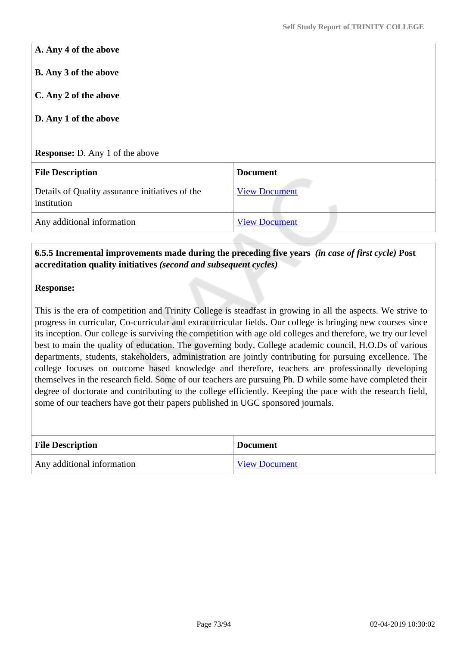**A. Any 4 of the above B. Any 3 of the above C. Any 2 of the above D. Any 1 of the above Response:** D. Any 1 of the above **File Description Document** Details of Quality assurance initiatives of the institution [View Document](https://assessmentonline.naac.gov.in/storage/app/hei/SSR/101878/6.5.4_1535703349_2076.xlsx) Any additional information [View Document](https://assessmentonline.naac.gov.in/storage/app/hei/SSR/101878/6.5.4_1535703841_2076.pdf)

## **6.5.5 Incremental improvements made during the preceding five years** *(in case of first cycle)* **Post accreditation quality initiatives** *(second and subsequent cycles)*

## **Response:**

This is the era of competition and Trinity College is steadfast in growing in all the aspects. We strive to progress in curricular, Co-curricular and extracurricular fields. Our college is bringing new courses since its inception. Our college is surviving the competition with age old colleges and therefore, we try our level best to main the quality of education. The governing body, College academic council, H.O.Ds of various departments, students, stakeholders, administration are jointly contributing for pursuing excellence. The college focuses on outcome based knowledge and therefore, teachers are professionally developing themselves in the research field. Some of our teachers are pursuing Ph. D while some have completed their degree of doctorate and contributing to the college efficiently. Keeping the pace with the research field, some of our teachers have got their papers published in UGC sponsored journals.

| <b>File Description</b>    | <b>Document</b>      |
|----------------------------|----------------------|
| Any additional information | <b>View Document</b> |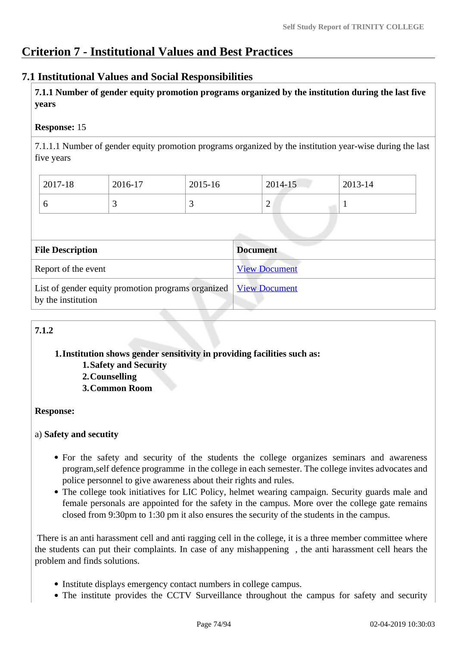## **Criterion 7 - Institutional Values and Best Practices**

## **7.1 Institutional Values and Social Responsibilities**

 **7.1.1 Number of gender equity promotion programs organized by the institution during the last five years** 

## **Response:** 15

7.1.1.1 Number of gender equity promotion programs organized by the institution year-wise during the last five years

| 2017-18 | 2016-17  | 2015-16 | $2014 - 15$ | 2013-14 |
|---------|----------|---------|-------------|---------|
| υ       | <u>ب</u> | ັ       | ∠           |         |

| <b>File Description</b>                                                                  | <b>Document</b>      |
|------------------------------------------------------------------------------------------|----------------------|
| Report of the event                                                                      | <b>View Document</b> |
| List of gender equity promotion programs organized   View Document<br>by the institution |                      |

## **7.1.2**

#### **1.Institution shows gender sensitivity in providing facilities such as: 1.Safety and Security**

**2.Counselling 3.Common Room**

## **Response:**

## a) **Safety and secutity**

- For the safety and security of the students the college organizes seminars and awareness program,self defence programme in the college in each semester. The college invites advocates and police personnel to give awareness about their rights and rules.
- The college took initiatives for LIC Policy, helmet wearing campaign. Security guards male and female personals are appointed for the safety in the campus. More over the college gate remains closed from 9:30pm to 1:30 pm it also ensures the security of the students in the campus.

 There is an anti harassment cell and anti ragging cell in the college, it is a three member committee where the students can put their complaints. In case of any mishappening , the anti harassment cell hears the problem and finds solutions.

- Institute displays emergency contact numbers in college campus.
- The institute provides the CCTV Surveillance throughout the campus for safety and security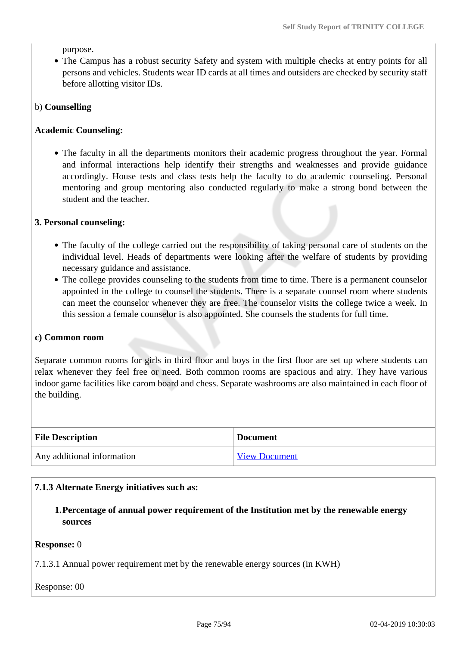purpose.

The Campus has a robust security Safety and system with multiple checks at entry points for all persons and vehicles. Students wear ID cards at all times and outsiders are checked by security staff before allotting visitor IDs.

#### b) **Counselling**

#### **Academic Counseling:**

• The faculty in all the departments monitors their academic progress throughout the year. Formal and informal interactions help identify their strengths and weaknesses and provide guidance accordingly. House tests and class tests help the faculty to do academic counseling. Personal mentoring and group mentoring also conducted regularly to make a strong bond between the student and the teacher.

#### **3. Personal counseling:**

- The faculty of the college carried out the responsibility of taking personal care of students on the individual level. Heads of departments were looking after the welfare of students by providing necessary guidance and assistance.
- The college provides counseling to the students from time to time. There is a permanent counselor appointed in the college to counsel the students. There is a separate counsel room where students can meet the counselor whenever they are free. The counselor visits the college twice a week. In this session a female counselor is also appointed. She counsels the students for full time.

#### **c) Common room**

Separate common rooms for girls in third floor and boys in the first floor are set up where students can relax whenever they feel free or need. Both common rooms are spacious and airy. They have various indoor game facilities like carom board and chess. Separate washrooms are also maintained in each floor of the building.

| <b>File Description</b>    | <b>Document</b>      |
|----------------------------|----------------------|
| Any additional information | <b>View Document</b> |

#### **7.1.3 Alternate Energy initiatives such as:**

**1.Percentage of annual power requirement of the Institution met by the renewable energy sources**

#### **Response:** 0

7.1.3.1 Annual power requirement met by the renewable energy sources (in KWH)

Response: 00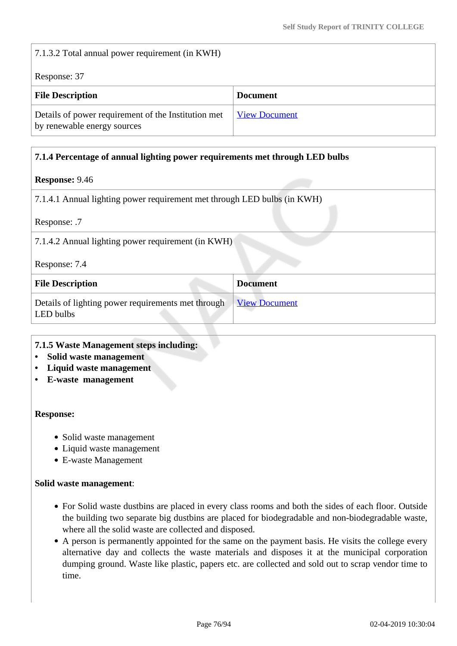7.1.3.2 Total annual power requirement (in KWH)

Response: 37

| <b>File Description</b>                                                            | <b>Document</b>      |
|------------------------------------------------------------------------------------|----------------------|
| Details of power requirement of the Institution met<br>by renewable energy sources | <b>View Document</b> |

#### **7.1.4 Percentage of annual lighting power requirements met through LED bulbs**

#### **Response:** 9.46

7.1.4.1 Annual lighting power requirement met through LED bulbs (in KWH)

Response: .7

Response: 7.4

| <b>File Description</b>                                         | <b>Document</b> |
|-----------------------------------------------------------------|-----------------|
| Details of lighting power requirements met through<br>LED bulbs | View Document   |

#### **7.1.5 Waste Management steps including:**

- **Solid waste management**
- **Liquid waste management**
- **E-waste management**

#### **Response:**

- Solid waste management
- Liquid waste management
- E-waste Management

#### **Solid waste management**:

- For Solid waste dustbins are placed in every class rooms and both the sides of each floor. Outside the building two separate big dustbins are placed for biodegradable and non-biodegradable waste, where all the solid waste are collected and disposed.
- A person is permanently appointed for the same on the payment basis. He visits the college every alternative day and collects the waste materials and disposes it at the municipal corporation dumping ground. Waste like plastic, papers etc. are collected and sold out to scrap vendor time to time.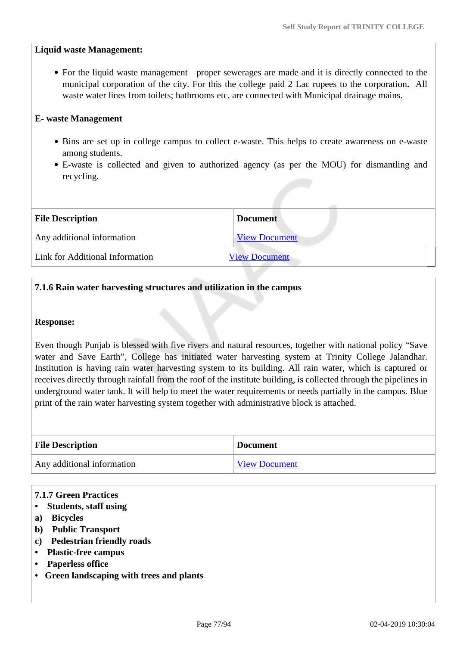## **Liquid waste Management:**

• For the liquid waste management proper sewerages are made and it is directly connected to the municipal corporation of the city. For this the college paid 2 Lac rupees to the corporation**.** All waste water lines from toilets; bathrooms etc. are connected with Municipal drainage mains.

#### **E- waste Management**

- Bins are set up in college campus to collect e-waste. This helps to create awareness on e-waste among students.
- E-waste is collected and given to authorized agency (as per the MOU) for dismantling and recycling.

| <b>File Description</b>         | <b>Document</b>      |
|---------------------------------|----------------------|
| Any additional information      | <b>View Document</b> |
| Link for Additional Information | <b>View Document</b> |

## **7.1.6 Rain water harvesting structures and utilization in the campus**

#### **Response:**

Even though Punjab is blessed with five rivers and natural resources, together with national policy "Save water and Save Earth", College has initiated water harvesting system at Trinity College Jalandhar. Institution is having rain water harvesting system to its building. All rain water, which is captured or receives directly through rainfall from the roof of the institute building, is collected through the pipelines in underground water tank. It will help to meet the water requirements or needs partially in the campus. Blue print of the rain water harvesting system together with administrative block is attached.

| <b>File Description</b>    | <b>Document</b>      |
|----------------------------|----------------------|
| Any additional information | <b>View Document</b> |

#### **7.1.7 Green Practices**

#### **• Students, staff using**

- **a) Bicycles**
- **b) Public Transport**
- **c) Pedestrian friendly roads**
- **Plastic-free campus**
- **Paperless office**
- **Green landscaping with trees and plants**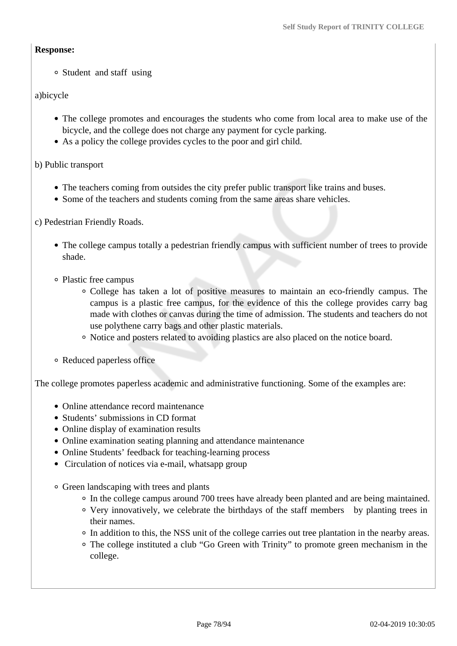#### **Response:**

Student and staff using

## a)bicycle

- The college promotes and encourages the students who come from local area to make use of the bicycle, and the college does not charge any payment for cycle parking.
- As a policy the college provides cycles to the poor and girl child.
- b) Public transport
	- The teachers coming from outsides the city prefer public transport like trains and buses.
	- Some of the teachers and students coming from the same areas share vehicles.

c) Pedestrian Friendly Roads.

- The college campus totally a pedestrian friendly campus with sufficient number of trees to provide shade.
- Plastic free campus
	- College has taken a lot of positive measures to maintain an eco-friendly campus. The campus is a plastic free campus, for the evidence of this the college provides carry bag made with clothes or canvas during the time of admission. The students and teachers do not use polythene carry bags and other plastic materials.
	- Notice and posters related to avoiding plastics are also placed on the notice board.
- Reduced paperless office

The college promotes paperless academic and administrative functioning. Some of the examples are:

- Online attendance record maintenance
- Students' submissions in CD format
- Online display of examination results
- Online examination seating planning and attendance maintenance
- Online Students' feedback for teaching-learning process
- Circulation of notices via e-mail, whatsapp group
- Green landscaping with trees and plants
	- In the college campus around 700 trees have already been planted and are being maintained.
	- Very innovatively, we celebrate the birthdays of the staff members by planting trees in their names.
	- In addition to this, the NSS unit of the college carries out tree plantation in the nearby areas.
	- The college instituted a club "Go Green with Trinity" to promote green mechanism in the college.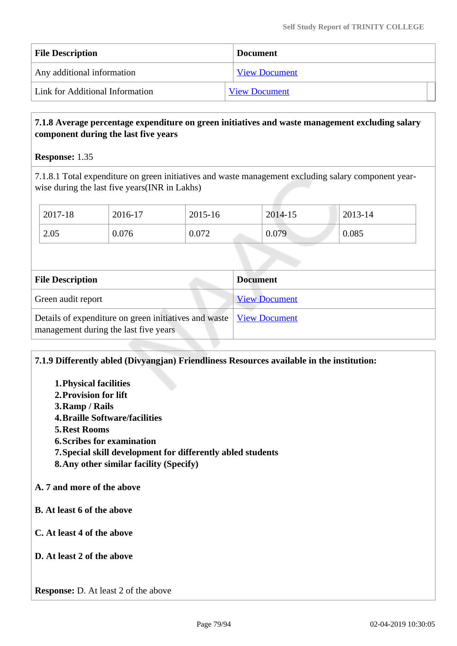| <b>File Description</b>         | <b>Document</b>      |
|---------------------------------|----------------------|
| Any additional information      | <b>View Document</b> |
| Link for Additional Information | <b>View Document</b> |

## **7.1.8 Average percentage expenditure on green initiatives and waste management excluding salary component during the last five years**

**Response:** 1.35

7.1.8.1 Total expenditure on green initiatives and waste management excluding salary component yearwise during the last five years(INR in Lakhs)

| 2017-18 | 2016-17 | 2015-16 | 2014-15 | 2013-14 |
|---------|---------|---------|---------|---------|
| 2.05    | 0.076   | 0.072   | 0.079   | 0.085   |

| <b>File Description</b>                                                                                        | <b>Document</b>      |
|----------------------------------------------------------------------------------------------------------------|----------------------|
| Green audit report                                                                                             | <b>View Document</b> |
| Details of expenditure on green initiatives and waste   View Document<br>management during the last five years |                      |

## **7.1.9 Differently abled (Divyangjan) Friendliness Resources available in the institution:**

- **1.Physical facilities**
- **2.Provision for lift**
- **3.Ramp / Rails**
- **4.Braille Software/facilities**
- **5.Rest Rooms**
- **6.Scribes for examination**
- **7.Special skill development for differently abled students**
- **8.Any other similar facility (Specify)**

## **A. 7 and more of the above**

- **B. At least 6 of the above**
- **C. At least 4 of the above**
- **D. At least 2 of the above**

**Response:** D. At least 2 of the above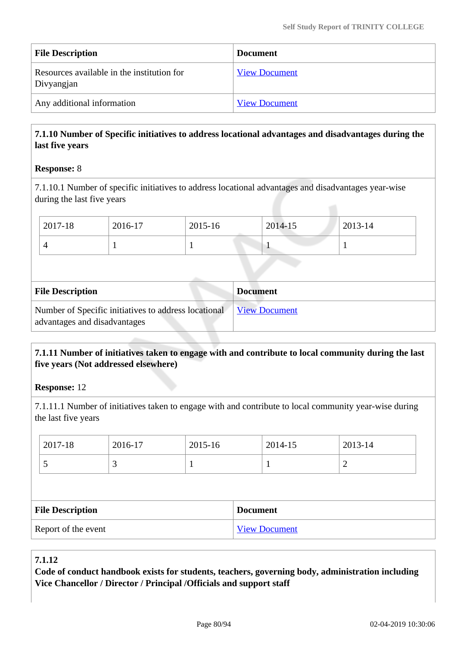| <b>File Description</b>                                  | <b>Document</b>      |
|----------------------------------------------------------|----------------------|
| Resources available in the institution for<br>Divyangjan | <b>View Document</b> |
| Any additional information                               | <b>View Document</b> |

## **7.1.10 Number of Specific initiatives to address locational advantages and disadvantages during the last five years**

## **Response:** 8

7.1.10.1 Number of specific initiatives to address locational advantages and disadvantages year-wise during the last five years

| <b>File Description</b>                                                              | <b>Document</b>      |
|--------------------------------------------------------------------------------------|----------------------|
| Number of Specific initiatives to address locational<br>advantages and disadvantages | <b>View Document</b> |

## **7.1.11 Number of initiatives taken to engage with and contribute to local community during the last five years (Not addressed elsewhere)**

**Response:** 12

7.1.11.1 Number of initiatives taken to engage with and contribute to local community year-wise during the last five years

| 2017-18                 | 2016-17 | 2015-16         |                      | 2014-15 | 2013-14 |  |
|-------------------------|---------|-----------------|----------------------|---------|---------|--|
|                         | 3       |                 |                      |         | 2       |  |
|                         |         |                 |                      |         |         |  |
| <b>File Description</b> |         | <b>Document</b> |                      |         |         |  |
| Report of the event     |         |                 | <b>View Document</b> |         |         |  |

## **7.1.12**

**Code of conduct handbook exists for students, teachers, governing body, administration including Vice Chancellor / Director / Principal /Officials and support staff**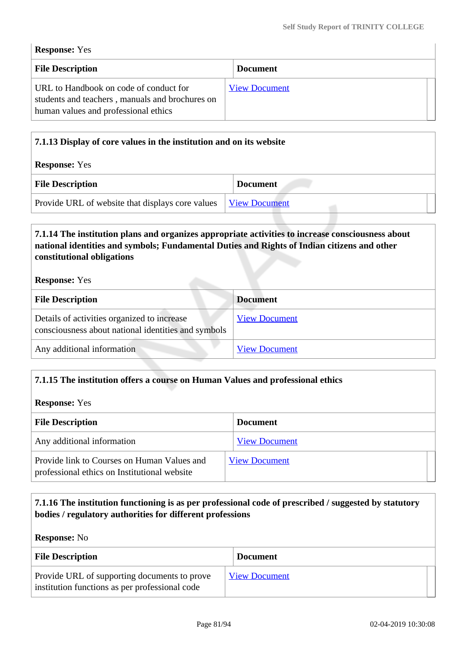#### **Response:** Yes

| <b>File Description</b>                                                                                                           | <b>Document</b>      |  |
|-----------------------------------------------------------------------------------------------------------------------------------|----------------------|--|
| URL to Handbook on code of conduct for<br>students and teachers, manuals and brochures on<br>human values and professional ethics | <b>View Document</b> |  |

| 7.1.13 Display of core values in the institution and on its website |                      |  |  |
|---------------------------------------------------------------------|----------------------|--|--|
| <b>Response:</b> Yes                                                |                      |  |  |
| <b>File Description</b>                                             | <b>Document</b>      |  |  |
| Provide URL of website that displays core values                    | <b>View Document</b> |  |  |

## **7.1.14 The institution plans and organizes appropriate activities to increase consciousness about national identities and symbols; Fundamental Duties and Rights of Indian citizens and other constitutional obligations**

#### **Response:** Yes

| <b>File Description</b>                                                                            | <b>Document</b>      |
|----------------------------------------------------------------------------------------------------|----------------------|
| Details of activities organized to increase<br>consciousness about national identities and symbols | <b>View Document</b> |
| Any additional information                                                                         | <b>View Document</b> |

## **7.1.15 The institution offers a course on Human Values and professional ethics**

#### **Response:** Yes

| <b>File Description</b>                                                                     | <b>Document</b>      |  |  |
|---------------------------------------------------------------------------------------------|----------------------|--|--|
| Any additional information                                                                  | <b>View Document</b> |  |  |
| Provide link to Courses on Human Values and<br>professional ethics on Institutional website | <b>View Document</b> |  |  |

## **7.1.16 The institution functioning is as per professional code of prescribed / suggested by statutory bodies / regulatory authorities for different professions**

#### **Response:** No

| <b>File Description</b>                                                                        | <b>Document</b>      |
|------------------------------------------------------------------------------------------------|----------------------|
| Provide URL of supporting documents to prove<br>institution functions as per professional code | <b>View Document</b> |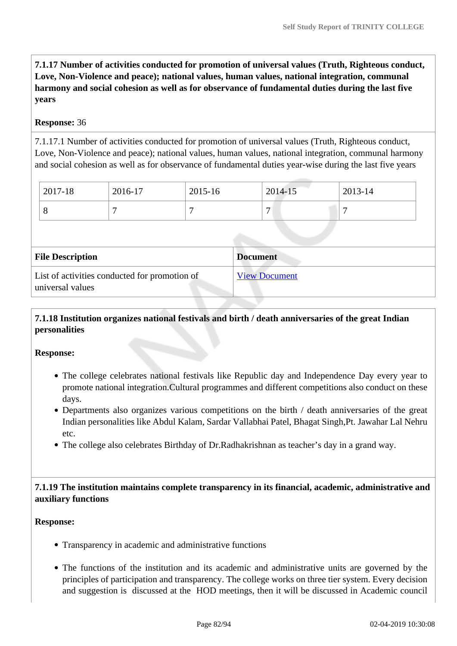**7.1.17 Number of activities conducted for promotion of universal values (Truth, Righteous conduct, Love, Non-Violence and peace); national values, human values, national integration, communal harmony and social cohesion as well as for observance of fundamental duties during the last five years**

#### **Response:** 36

7.1.17.1 Number of activities conducted for promotion of universal values (Truth, Righteous conduct, Love, Non-Violence and peace); national values, human values, national integration, communal harmony and social cohesion as well as for observance of fundamental duties year-wise during the last five years

| 2017-18 | 2016-17 | 2015-16 | 2014-15 | 2013-14 |
|---------|---------|---------|---------|---------|
|         |         |         | -       |         |

| <b>File Description</b>                                           | <b>Document</b>      |
|-------------------------------------------------------------------|----------------------|
| List of activities conducted for promotion of<br>universal values | <b>View Document</b> |

## **7.1.18 Institution organizes national festivals and birth / death anniversaries of the great Indian personalities**

#### **Response:**

- The college celebrates national festivals like Republic day and Independence Day every year to promote national integration.Cultural programmes and different competitions also conduct on these days.
- Departments also organizes various competitions on the birth / death anniversaries of the great Indian personalities like Abdul Kalam, Sardar Vallabhai Patel, Bhagat Singh,Pt. Jawahar Lal Nehru etc.
- The college also celebrates Birthday of Dr.Radhakrishnan as teacher's day in a grand way.

## **7.1.19 The institution maintains complete transparency in its financial, academic, administrative and auxiliary functions**

## **Response:**

- Transparency in academic and administrative functions
- The functions of the institution and its academic and administrative units are governed by the principles of participation and transparency. The college works on three tier system. Every decision and suggestion is discussed at the HOD meetings, then it will be discussed in Academic council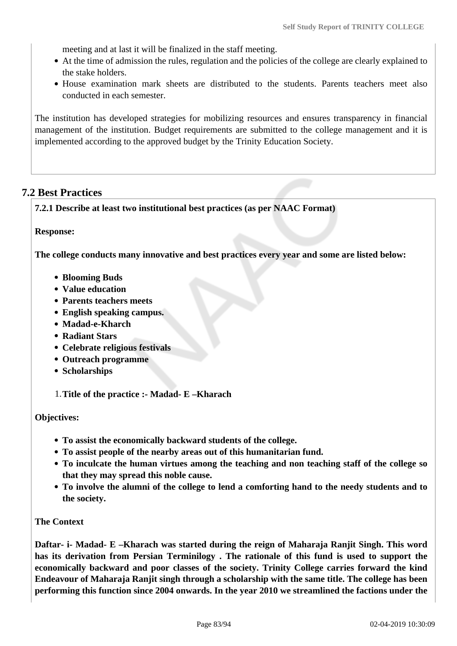meeting and at last it will be finalized in the staff meeting.

- At the time of admission the rules, regulation and the policies of the college are clearly explained to the stake holders.
- House examination mark sheets are distributed to the students. Parents teachers meet also conducted in each semester.

The institution has developed strategies for mobilizing resources and ensures transparency in financial management of the institution. Budget requirements are submitted to the college management and it is implemented according to the approved budget by the Trinity Education Society.

## **7.2 Best Practices**

**7.2.1 Describe at least two institutional best practices (as per NAAC Format)**

**Response:** 

**The college conducts many innovative and best practices every year and some are listed below:**

- **Blooming Buds**
- **Value education**
- **Parents teachers meets**
- **English speaking campus.**
- **Madad-e-Kharch**
- **Radiant Stars**
- **Celebrate religious festivals**
- **Outreach programme**
- **•** Scholarships

1.**Title of the practice :- Madad- E –Kharach**

## **Objectives:**

- **To assist the economically backward students of the college.**
- **To assist people of the nearby areas out of this humanitarian fund.**
- **To inculcate the human virtues among the teaching and non teaching staff of the college so that they may spread this noble cause.**
- **To involve the alumni of the college to lend a comforting hand to the needy students and to the society.**

## **The Context**

**Daftar- i- Madad- E –Kharach was started during the reign of Maharaja Ranjit Singh. This word has its derivation from Persian Terminilogy . The rationale of this fund is used to support the economically backward and poor classes of the society. Trinity College carries forward the kind Endeavour of Maharaja Ranjit singh through a scholarship with the same title. The college has been performing this function since 2004 onwards. In the year 2010 we streamlined the factions under the**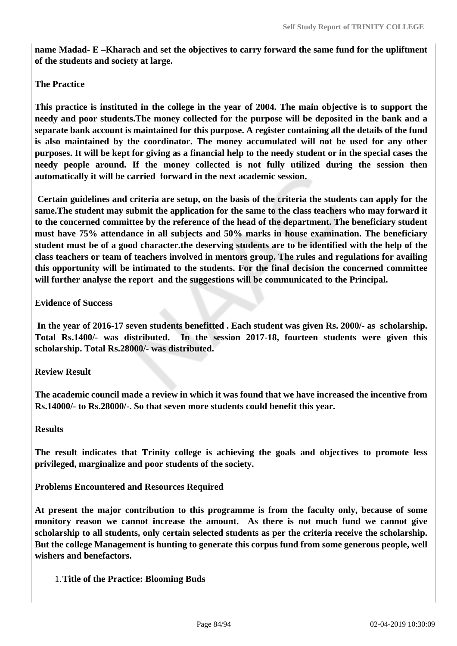**name Madad- E –Kharach and set the objectives to carry forward the same fund for the upliftment of the students and society at large.** 

#### **The Practice**

**This practice is instituted in the college in the year of 2004. The main objective is to support the needy and poor students.The money collected for the purpose will be deposited in the bank and a separate bank account is maintained for this purpose. A register containing all the details of the fund is also maintained by the coordinator. The money accumulated will not be used for any other purposes. It will be kept for giving as a financial help to the needy student or in the special cases the needy people around. If the money collected is not fully utilized during the session then automatically it will be carried forward in the next academic session.** 

 **Certain guidelines and criteria are setup, on the basis of the criteria the students can apply for the same.The student may submit the application for the same to the class teachers who may forward it to the concerned committee by the reference of the head of the department. The beneficiary student must have 75% attendance in all subjects and 50% marks in house examination. The beneficiary student must be of a good character.the deserving students are to be identified with the help of the class teachers or team of teachers involved in mentors group. The rules and regulations for availing this opportunity will be intimated to the students. For the final decision the concerned committee will further analyse the report and the suggestions will be communicated to the Principal.** 

#### **Evidence of Success**

 **In the year of 2016-17 seven students benefitted . Each student was given Rs. 2000/- as scholarship. Total Rs.1400/- was distributed. In the session 2017-18, fourteen students were given this scholarship. Total Rs.28000/- was distributed.**

#### **Review Result**

**The academic council made a review in which it was found that we have increased the incentive from Rs.14000/- to Rs.28000/-. So that seven more students could benefit this year.** 

#### **Results**

**The result indicates that Trinity college is achieving the goals and objectives to promote less privileged, marginalize and poor students of the society.** 

**Problems Encountered and Resources Required**

**At present the major contribution to this programme is from the faculty only, because of some monitory reason we cannot increase the amount. As there is not much fund we cannot give scholarship to all students, only certain selected students as per the criteria receive the scholarship. But the college Management is hunting to generate this corpus fund from some generous people, well wishers and benefactors.** 

1.**Title of the Practice: Blooming Buds**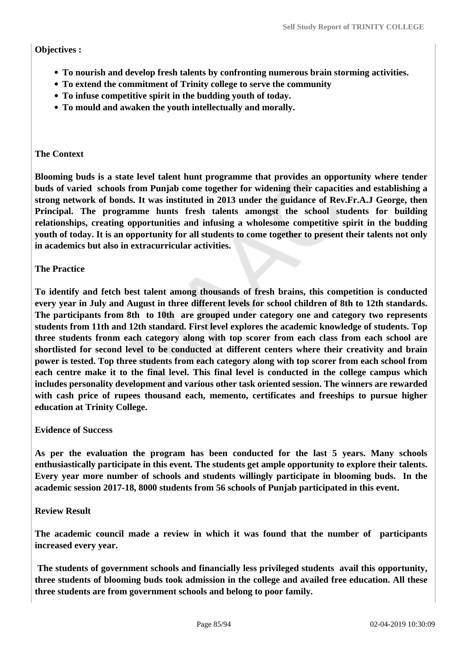## **Objectives :**

- **To nourish and develop fresh talents by confronting numerous brain storming activities.**
- **To extend the commitment of Trinity college to serve the community**
- **To infuse competitive spirit in the budding youth of today.**
- **To mould and awaken the youth intellectually and morally.**

## **The Context**

**Blooming buds is a state level talent hunt programme that provides an opportunity where tender buds of varied schools from Punjab come together for widening their capacities and establishing a strong network of bonds. It was instituted in 2013 under the guidance of Rev.Fr.A.J George, then Principal. The programme hunts fresh talents amongst the school students for building relationships, creating opportunities and infusing a wholesome competitive spirit in the budding youth of today. It is an opportunity for all students to come together to present their talents not only in academics but also in extracurricular activities.** 

## **The Practice**

**To identify and fetch best talent among thousands of fresh brains, this competition is conducted every year in July and August in three different levels for school children of 8th to 12th standards. The participants from 8th to 10th are grouped under category one and category two represents students from 11th and 12th standard. First level explores the academic knowledge of students. Top three students fronm each category along with top scorer from each class from each school are shortlisted for second level to be conducted at different centers where their creativity and brain power is tested. Top three students from each category along with top scorer from each school from each centre make it to the final level. This final level is conducted in the college campus which includes personality development and various other task oriented session. The winners are rewarded with cash price of rupees thousand each, memento, certificates and freeships to pursue higher education at Trinity College.** 

## **Evidence of Success**

**As per the evaluation the program has been conducted for the last 5 years. Many schools enthusiastically participate in this event. The students get ample opportunity to explore their talents. Every year more number of schools and students willingly participate in blooming buds. In the academic session 2017-18, 8000 students from 56 schools of Punjab participated in this event.**

## **Review Result**

**The academic council made a review in which it was found that the number of participants increased every year.**

 **The students of government schools and financially less privileged students avail this opportunity, three students of blooming buds took admission in the college and availed free education. All these three students are from government schools and belong to poor family.**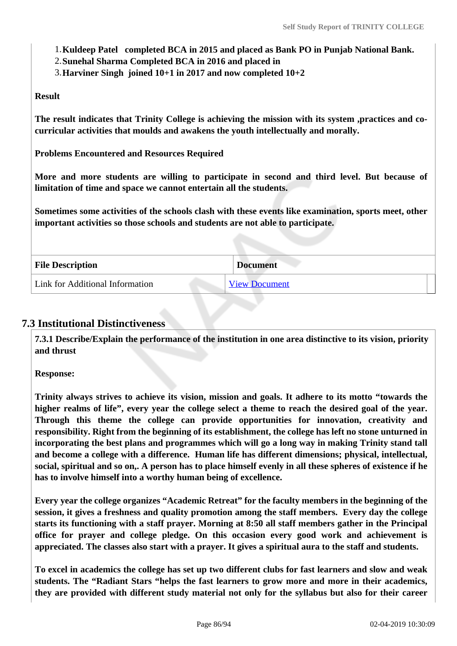- 1.**Kuldeep Patel completed BCA in 2015 and placed as Bank PO in Punjab National Bank.**
- 2.**Sunehal Sharma Completed BCA in 2016 and placed in**
- 3.**Harviner Singh joined 10+1 in 2017 and now completed 10+2**

## **Result**

**The result indicates that Trinity College is achieving the mission with its system ,practices and cocurricular activities that moulds and awakens the youth intellectually and morally.** 

**Problems Encountered and Resources Required**

**More and more students are willing to participate in second and third level. But because of limitation of time and space we cannot entertain all the students.**

**Sometimes some activities of the schools clash with these events like examination, sports meet, other important activities so those schools and students are not able to participate.** 

| <b>File Description</b>         | <b>Document</b> |  |
|---------------------------------|-----------------|--|
| Link for Additional Information | View Document   |  |

## **7.3 Institutional Distinctiveness**

 **7.3.1 Describe/Explain the performance of the institution in one area distinctive to its vision, priority and thrust**

**Response:** 

**Trinity always strives to achieve its vision, mission and goals. It adhere to its motto "towards the higher realms of life", every year the college select a theme to reach the desired goal of the year. Through this theme the college can provide opportunities for innovation, creativity and responsibility. Right from the beginning of its establishment, the college has left no stone unturned in incorporating the best plans and programmes which will go a long way in making Trinity stand tall and become a college with a difference. Human life has different dimensions; physical, intellectual, social, spiritual and so on,. A person has to place himself evenly in all these spheres of existence if he has to involve himself into a worthy human being of excellence.**

**Every year the college organizes "Academic Retreat" for the faculty members in the beginning of the session, it gives a freshness and quality promotion among the staff members. Every day the college starts its functioning with a staff prayer. Morning at 8:50 all staff members gather in the Principal office for prayer and college pledge. On this occasion every good work and achievement is appreciated. The classes also start with a prayer. It gives a spiritual aura to the staff and students.** 

**To excel in academics the college has set up two different clubs for fast learners and slow and weak students. The "Radiant Stars "helps the fast learners to grow more and more in their academics, they are provided with different study material not only for the syllabus but also for their career**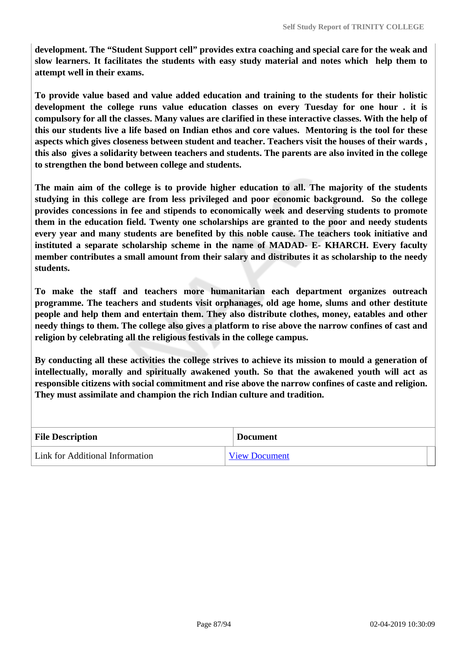**development. The "Student Support cell" provides extra coaching and special care for the weak and slow learners. It facilitates the students with easy study material and notes which help them to attempt well in their exams.** 

**To provide value based and value added education and training to the students for their holistic development the college runs value education classes on every Tuesday for one hour . it is compulsory for all the classes. Many values are clarified in these interactive classes. With the help of this our students live a life based on Indian ethos and core values. Mentoring is the tool for these aspects which gives closeness between student and teacher. Teachers visit the houses of their wards , this also gives a solidarity between teachers and students. The parents are also invited in the college to strengthen the bond between college and students.**

**The main aim of the college is to provide higher education to all. The majority of the students studying in this college are from less privileged and poor economic background. So the college provides concessions in fee and stipends to economically week and deserving students to promote them in the education field. Twenty one scholarships are granted to the poor and needy students every year and many students are benefited by this noble cause. The teachers took initiative and instituted a separate scholarship scheme in the name of MADAD- E- KHARCH. Every faculty member contributes a small amount from their salary and distributes it as scholarship to the needy students.** 

**To make the staff and teachers more humanitarian each department organizes outreach programme. The teachers and students visit orphanages, old age home, slums and other destitute people and help them and entertain them. They also distribute clothes, money, eatables and other needy things to them. The college also gives a platform to rise above the narrow confines of cast and religion by celebrating all the religious festivals in the college campus.** 

**By conducting all these activities the college strives to achieve its mission to mould a generation of intellectually, morally and spiritually awakened youth. So that the awakened youth will act as responsible citizens with social commitment and rise above the narrow confines of caste and religion. They must assimilate and champion the rich Indian culture and tradition.** 

| <b>File Description</b>         | <b>Document</b>      |
|---------------------------------|----------------------|
| Link for Additional Information | <b>View Document</b> |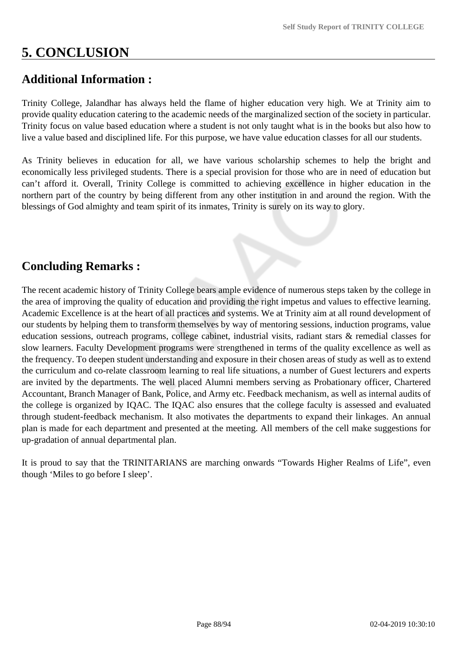# **5. CONCLUSION**

## **Additional Information :**

Trinity College, Jalandhar has always held the flame of higher education very high. We at Trinity aim to provide quality education catering to the academic needs of the marginalized section of the society in particular. Trinity focus on value based education where a student is not only taught what is in the books but also how to live a value based and disciplined life. For this purpose, we have value education classes for all our students.

As Trinity believes in education for all, we have various scholarship schemes to help the bright and economically less privileged students. There is a special provision for those who are in need of education but can't afford it. Overall, Trinity College is committed to achieving excellence in higher education in the northern part of the country by being different from any other institution in and around the region. With the blessings of God almighty and team spirit of its inmates, Trinity is surely on its way to glory.

## **Concluding Remarks :**

The recent academic history of Trinity College bears ample evidence of numerous steps taken by the college in the area of improving the quality of education and providing the right impetus and values to effective learning. Academic Excellence is at the heart of all practices and systems. We at Trinity aim at all round development of our students by helping them to transform themselves by way of mentoring sessions, induction programs, value education sessions, outreach programs, college cabinet, industrial visits, radiant stars & remedial classes for slow learners. Faculty Development programs were strengthened in terms of the quality excellence as well as the frequency. To deepen student understanding and exposure in their chosen areas of study as well as to extend the curriculum and co-relate classroom learning to real life situations, a number of Guest lecturers and experts are invited by the departments. The well placed Alumni members serving as Probationary officer, Chartered Accountant, Branch Manager of Bank, Police, and Army etc. Feedback mechanism, as well as internal audits of the college is organized by IQAC. The IQAC also ensures that the college faculty is assessed and evaluated through student-feedback mechanism. It also motivates the departments to expand their linkages. An annual plan is made for each department and presented at the meeting. All members of the cell make suggestions for up-gradation of annual departmental plan.

It is proud to say that the TRINITARIANS are marching onwards "Towards Higher Realms of Life", even though 'Miles to go before I sleep'.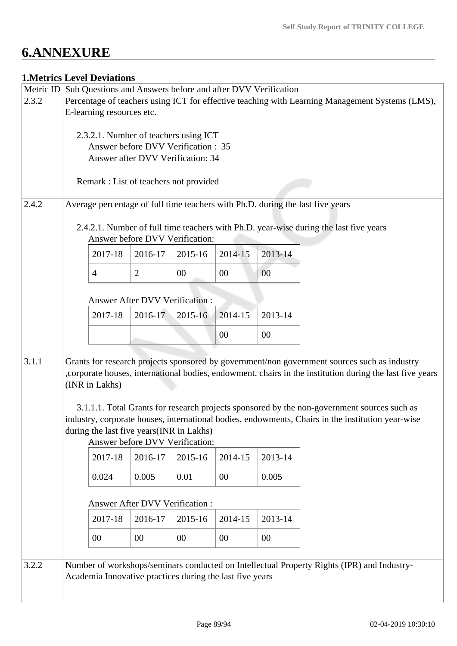# **6.ANNEXURE**

## **1.Metrics Level Deviations**

|       | Metric ID Sub Questions and Answers before and after DVV Verification                                                                                                                                     |                |                                       |         |         |                                                                                            |  |  |  |
|-------|-----------------------------------------------------------------------------------------------------------------------------------------------------------------------------------------------------------|----------------|---------------------------------------|---------|---------|--------------------------------------------------------------------------------------------|--|--|--|
| 2.3.2 | Percentage of teachers using ICT for effective teaching with Learning Management Systems (LMS),                                                                                                           |                |                                       |         |         |                                                                                            |  |  |  |
|       | E-learning resources etc.                                                                                                                                                                                 |                |                                       |         |         |                                                                                            |  |  |  |
|       |                                                                                                                                                                                                           |                |                                       |         |         |                                                                                            |  |  |  |
|       | 2.3.2.1. Number of teachers using ICT                                                                                                                                                                     |                |                                       |         |         |                                                                                            |  |  |  |
|       | Answer before DVV Verification : 35                                                                                                                                                                       |                |                                       |         |         |                                                                                            |  |  |  |
|       | Answer after DVV Verification: 34                                                                                                                                                                         |                |                                       |         |         |                                                                                            |  |  |  |
|       |                                                                                                                                                                                                           |                |                                       |         |         |                                                                                            |  |  |  |
|       | Remark : List of teachers not provided                                                                                                                                                                    |                |                                       |         |         |                                                                                            |  |  |  |
| 2.4.2 |                                                                                                                                                                                                           |                |                                       |         |         | Average percentage of full time teachers with Ph.D. during the last five years             |  |  |  |
|       |                                                                                                                                                                                                           |                |                                       |         |         |                                                                                            |  |  |  |
|       |                                                                                                                                                                                                           |                |                                       |         |         | 2.4.2.1. Number of full time teachers with Ph.D. year-wise during the last five years      |  |  |  |
|       |                                                                                                                                                                                                           |                | Answer before DVV Verification:       |         |         |                                                                                            |  |  |  |
|       |                                                                                                                                                                                                           |                |                                       | 2014-15 | 2013-14 |                                                                                            |  |  |  |
|       | 2017-18                                                                                                                                                                                                   | 2016-17        | 2015-16                               |         |         |                                                                                            |  |  |  |
|       | $\overline{4}$                                                                                                                                                                                            | $\overline{2}$ | 00                                    | 00      | 00      |                                                                                            |  |  |  |
|       |                                                                                                                                                                                                           |                |                                       |         |         |                                                                                            |  |  |  |
|       |                                                                                                                                                                                                           |                | Answer After DVV Verification :       |         |         |                                                                                            |  |  |  |
|       |                                                                                                                                                                                                           |                |                                       |         |         |                                                                                            |  |  |  |
|       | 2017-18                                                                                                                                                                                                   | 2016-17        | 2015-16                               | 2014-15 | 2013-14 |                                                                                            |  |  |  |
|       |                                                                                                                                                                                                           |                |                                       | 00      | 00      |                                                                                            |  |  |  |
|       |                                                                                                                                                                                                           |                |                                       |         |         |                                                                                            |  |  |  |
| 3.1.1 |                                                                                                                                                                                                           |                |                                       |         |         |                                                                                            |  |  |  |
|       | Grants for research projects sponsored by government/non government sources such as industry<br>, corporate houses, international bodies, endowment, chairs in the institution during the last five years |                |                                       |         |         |                                                                                            |  |  |  |
|       | (INR in Lakhs)                                                                                                                                                                                            |                |                                       |         |         |                                                                                            |  |  |  |
|       |                                                                                                                                                                                                           |                |                                       |         |         |                                                                                            |  |  |  |
|       |                                                                                                                                                                                                           |                |                                       |         |         |                                                                                            |  |  |  |
|       | 3.1.1.1. Total Grants for research projects sponsored by the non-government sources such as<br>industry, corporate houses, international bodies, endowments, Chairs in the institution year-wise          |                |                                       |         |         |                                                                                            |  |  |  |
|       | during the last five years (INR in Lakhs)                                                                                                                                                                 |                |                                       |         |         |                                                                                            |  |  |  |
|       | Answer before DVV Verification:                                                                                                                                                                           |                |                                       |         |         |                                                                                            |  |  |  |
|       | 2017-18                                                                                                                                                                                                   | 2016-17        | 2015-16                               | 2014-15 | 2013-14 |                                                                                            |  |  |  |
|       |                                                                                                                                                                                                           |                |                                       |         |         |                                                                                            |  |  |  |
|       | 0.024                                                                                                                                                                                                     | 0.005          | 0.01                                  | 00      | 0.005   |                                                                                            |  |  |  |
|       |                                                                                                                                                                                                           |                |                                       |         |         |                                                                                            |  |  |  |
|       |                                                                                                                                                                                                           |                | <b>Answer After DVV Verification:</b> |         |         |                                                                                            |  |  |  |
|       |                                                                                                                                                                                                           |                |                                       |         |         |                                                                                            |  |  |  |
|       | 2017-18                                                                                                                                                                                                   | 2016-17        | 2015-16                               | 2014-15 | 2013-14 |                                                                                            |  |  |  |
|       | $00\,$                                                                                                                                                                                                    | 00             | $00\,$                                | $00\,$  | 00      |                                                                                            |  |  |  |
|       |                                                                                                                                                                                                           |                |                                       |         |         |                                                                                            |  |  |  |
| 3.2.2 |                                                                                                                                                                                                           |                |                                       |         |         | Number of workshops/seminars conducted on Intellectual Property Rights (IPR) and Industry- |  |  |  |
|       |                                                                                                                                                                                                           |                |                                       |         |         |                                                                                            |  |  |  |
|       | Academia Innovative practices during the last five years                                                                                                                                                  |                |                                       |         |         |                                                                                            |  |  |  |
|       |                                                                                                                                                                                                           |                |                                       |         |         |                                                                                            |  |  |  |
|       |                                                                                                                                                                                                           |                |                                       |         |         |                                                                                            |  |  |  |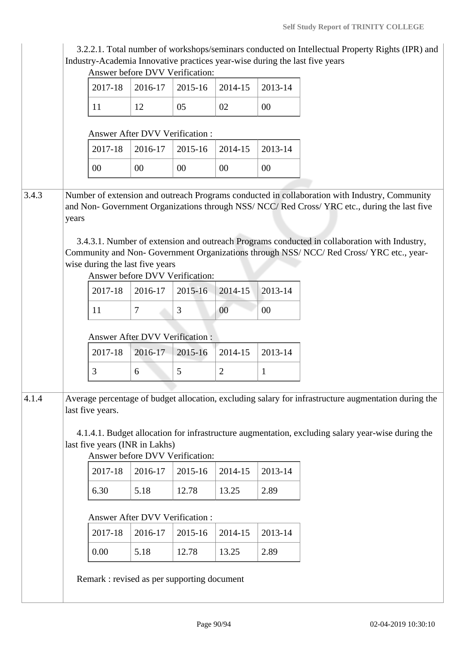3.2.2.1. Total number of workshops/seminars conducted on Intellectual Property Rights (IPR) and Industry-Academia Innovative practices year-wise during the last five years

|       |       | Answer before DVV Verification:                                                                                                                                                                                                                                                                                                                                                                                            |                                       |                |              |         |  |  |  |
|-------|-------|----------------------------------------------------------------------------------------------------------------------------------------------------------------------------------------------------------------------------------------------------------------------------------------------------------------------------------------------------------------------------------------------------------------------------|---------------------------------------|----------------|--------------|---------|--|--|--|
|       |       | 2017-18                                                                                                                                                                                                                                                                                                                                                                                                                    | 2016-17                               | 2015-16        | 2014-15      | 2013-14 |  |  |  |
|       |       | 11                                                                                                                                                                                                                                                                                                                                                                                                                         | 12                                    | 05             | 02           | $00\,$  |  |  |  |
|       |       |                                                                                                                                                                                                                                                                                                                                                                                                                            | <b>Answer After DVV Verification:</b> |                |              |         |  |  |  |
|       |       | 2017-18                                                                                                                                                                                                                                                                                                                                                                                                                    | 2016-17                               | 2015-16        | 2014-15      | 2013-14 |  |  |  |
|       |       | 00                                                                                                                                                                                                                                                                                                                                                                                                                         | 00                                    | 00             | 00           | 00      |  |  |  |
| 3.4.3 | years | Number of extension and outreach Programs conducted in collaboration with Industry, Community<br>and Non- Government Organizations through NSS/NCC/Red Cross/YRC etc., during the last five<br>3.4.3.1. Number of extension and outreach Programs conducted in collaboration with Industry,<br>Community and Non- Government Organizations through NSS/ NCC/ Red Cross/ YRC etc., year-<br>wise during the last five years |                                       |                |              |         |  |  |  |
|       |       |                                                                                                                                                                                                                                                                                                                                                                                                                            | Answer before DVV Verification:       |                |              |         |  |  |  |
|       |       | 2017-18                                                                                                                                                                                                                                                                                                                                                                                                                    | 2016-17                               | $2015 - 16$    | 2014-15      | 2013-14 |  |  |  |
|       |       | 11                                                                                                                                                                                                                                                                                                                                                                                                                         | 7                                     | 3              | 00           | 00      |  |  |  |
|       |       | Answer After DVV Verification:                                                                                                                                                                                                                                                                                                                                                                                             |                                       |                |              |         |  |  |  |
|       |       | 2017-18                                                                                                                                                                                                                                                                                                                                                                                                                    | 2016-17                               | 2015-16        | 2014-15      | 2013-14 |  |  |  |
|       | 3     | 6                                                                                                                                                                                                                                                                                                                                                                                                                          | 5                                     | $\overline{2}$ | $\mathbf{1}$ |         |  |  |  |
|       |       |                                                                                                                                                                                                                                                                                                                                                                                                                            |                                       |                |              |         |  |  |  |
|       |       |                                                                                                                                                                                                                                                                                                                                                                                                                            |                                       |                |              |         |  |  |  |
|       |       | Average percentage of budget allocation, excluding salary for infrastructure augmentation during the<br>last five years.<br>4.1.4.1. Budget allocation for infrastructure augmentation, excluding salary year-wise during the<br>last five years (INR in Lakhs)                                                                                                                                                            | Answer before DVV Verification:       |                |              |         |  |  |  |
|       |       | 2017-18                                                                                                                                                                                                                                                                                                                                                                                                                    | 2016-17                               | 2015-16        | 2014-15      | 2013-14 |  |  |  |
|       |       | 6.30                                                                                                                                                                                                                                                                                                                                                                                                                       | 5.18                                  | 12.78          | 13.25        | 2.89    |  |  |  |
|       |       |                                                                                                                                                                                                                                                                                                                                                                                                                            | Answer After DVV Verification :       |                |              |         |  |  |  |
|       |       | 2017-18                                                                                                                                                                                                                                                                                                                                                                                                                    | 2016-17                               | 2015-16        | 2014-15      | 2013-14 |  |  |  |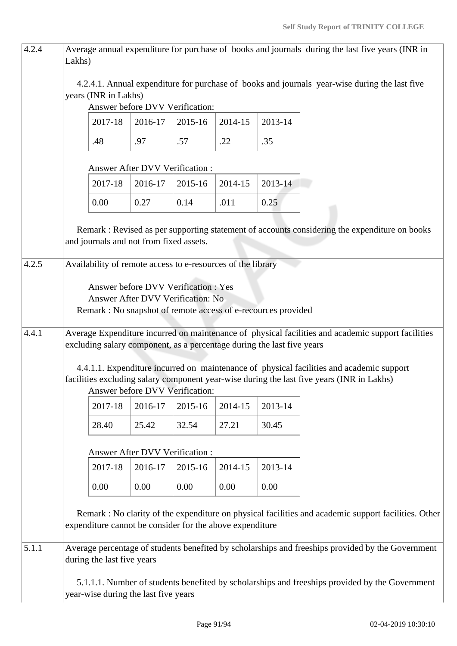| 4.2.4 | Lakhs)                                                                                                                                                                                                                                                                                                                                                                                                   |                                                               |                                |                                                                           |         |         | Average annual expenditure for purchase of books and journals during the last five years (INR in     |  |
|-------|----------------------------------------------------------------------------------------------------------------------------------------------------------------------------------------------------------------------------------------------------------------------------------------------------------------------------------------------------------------------------------------------------------|---------------------------------------------------------------|--------------------------------|---------------------------------------------------------------------------|---------|---------|------------------------------------------------------------------------------------------------------|--|
|       | 4.2.4.1. Annual expenditure for purchase of books and journals year-wise during the last five<br>years (INR in Lakhs)<br>Answer before DVV Verification:                                                                                                                                                                                                                                                 |                                                               |                                |                                                                           |         |         |                                                                                                      |  |
|       |                                                                                                                                                                                                                                                                                                                                                                                                          | 2017-18                                                       | 2016-17                        | 2015-16                                                                   | 2014-15 | 2013-14 |                                                                                                      |  |
|       |                                                                                                                                                                                                                                                                                                                                                                                                          | .48                                                           | .97                            | .57                                                                       | .22     | .35     |                                                                                                      |  |
|       |                                                                                                                                                                                                                                                                                                                                                                                                          |                                                               | Answer After DVV Verification: |                                                                           |         |         |                                                                                                      |  |
|       |                                                                                                                                                                                                                                                                                                                                                                                                          | 2017-18                                                       | 2016-17                        | 2015-16                                                                   | 2014-15 | 2013-14 |                                                                                                      |  |
|       |                                                                                                                                                                                                                                                                                                                                                                                                          | 0.00                                                          | 0.27                           | 0.14                                                                      | .011    | 0.25    |                                                                                                      |  |
|       |                                                                                                                                                                                                                                                                                                                                                                                                          | and journals and not from fixed assets.                       |                                |                                                                           |         |         | Remark : Revised as per supporting statement of accounts considering the expenditure on books        |  |
| 4.2.5 |                                                                                                                                                                                                                                                                                                                                                                                                          | Availability of remote access to e-resources of the library   |                                |                                                                           |         |         |                                                                                                      |  |
|       |                                                                                                                                                                                                                                                                                                                                                                                                          | Remark : No snapshot of remote access of e-recources provided |                                | Answer before DVV Verification : Yes<br>Answer After DVV Verification: No |         |         |                                                                                                      |  |
| 4.4.1 | Average Expenditure incurred on maintenance of physical facilities and academic support facilities<br>excluding salary component, as a percentage during the last five years<br>4.4.1.1. Expenditure incurred on maintenance of physical facilities and academic support<br>facilities excluding salary component year-wise during the last five years (INR in Lakhs)<br>Answer before DVV Verification: |                                                               |                                |                                                                           |         |         |                                                                                                      |  |
|       |                                                                                                                                                                                                                                                                                                                                                                                                          | 2017-18                                                       | 2016-17                        | 2015-16                                                                   | 2014-15 | 2013-14 |                                                                                                      |  |
|       |                                                                                                                                                                                                                                                                                                                                                                                                          | 28.40                                                         | 25.42                          | 32.54                                                                     | 27.21   | 30.45   |                                                                                                      |  |
|       |                                                                                                                                                                                                                                                                                                                                                                                                          |                                                               | Answer After DVV Verification: |                                                                           |         |         |                                                                                                      |  |
|       |                                                                                                                                                                                                                                                                                                                                                                                                          | 2017-18                                                       | 2016-17                        | 2015-16                                                                   | 2014-15 | 2013-14 |                                                                                                      |  |
|       |                                                                                                                                                                                                                                                                                                                                                                                                          | 0.00                                                          | 0.00                           | 0.00                                                                      | 0.00    | 0.00    |                                                                                                      |  |
|       |                                                                                                                                                                                                                                                                                                                                                                                                          | expenditure cannot be consider for the above expenditure      |                                |                                                                           |         |         | Remark : No clarity of the expenditure on physical facilities and academic support facilities. Other |  |
| 5.1.1 |                                                                                                                                                                                                                                                                                                                                                                                                          | during the last five years                                    |                                |                                                                           |         |         | Average percentage of students benefited by scholarships and freeships provided by the Government    |  |
|       |                                                                                                                                                                                                                                                                                                                                                                                                          | year-wise during the last five years                          |                                |                                                                           |         |         | 5.1.1.1. Number of students benefited by scholarships and freeships provided by the Government       |  |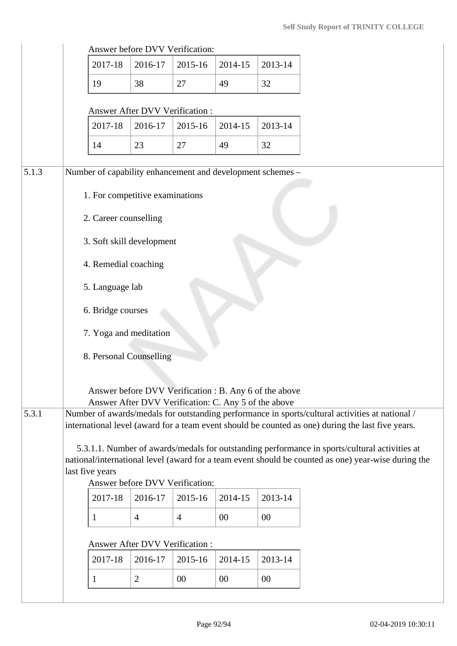|       |                                                                                                                                                                                                                                                            | Answer before DVV Verification: |                |         |         |                                                                                                   |  |
|-------|------------------------------------------------------------------------------------------------------------------------------------------------------------------------------------------------------------------------------------------------------------|---------------------------------|----------------|---------|---------|---------------------------------------------------------------------------------------------------|--|
|       | 2017-18                                                                                                                                                                                                                                                    | 2016-17                         | 2015-16        | 2014-15 | 2013-14 |                                                                                                   |  |
|       | 19                                                                                                                                                                                                                                                         | 38                              | 27             | 49      | 32      |                                                                                                   |  |
|       |                                                                                                                                                                                                                                                            | Answer After DVV Verification:  |                |         |         |                                                                                                   |  |
|       | 2017-18                                                                                                                                                                                                                                                    | 2016-17                         | 2015-16        | 2014-15 | 2013-14 |                                                                                                   |  |
|       | 14                                                                                                                                                                                                                                                         | 23                              | 27             | 49      | 32      |                                                                                                   |  |
| 5.1.3 | Number of capability enhancement and development schemes -                                                                                                                                                                                                 |                                 |                |         |         |                                                                                                   |  |
|       |                                                                                                                                                                                                                                                            | 1. For competitive examinations |                |         |         |                                                                                                   |  |
|       |                                                                                                                                                                                                                                                            | 2. Career counselling           |                |         |         |                                                                                                   |  |
|       |                                                                                                                                                                                                                                                            | 3. Soft skill development       |                |         |         |                                                                                                   |  |
|       |                                                                                                                                                                                                                                                            | 4. Remedial coaching            |                |         |         |                                                                                                   |  |
|       | 5. Language lab                                                                                                                                                                                                                                            |                                 |                |         |         |                                                                                                   |  |
|       | 6. Bridge courses                                                                                                                                                                                                                                          |                                 |                |         |         |                                                                                                   |  |
|       | 7. Yoga and meditation                                                                                                                                                                                                                                     |                                 |                |         |         |                                                                                                   |  |
|       | 8. Personal Counselling                                                                                                                                                                                                                                    |                                 |                |         |         |                                                                                                   |  |
|       | Answer before DVV Verification : B. Any 6 of the above<br>Answer After DVV Verification: C. Any 5 of the above                                                                                                                                             |                                 |                |         |         |                                                                                                   |  |
| 5.3.1 |                                                                                                                                                                                                                                                            |                                 |                |         |         | Number of awards/medals for outstanding performance in sports/cultural activities at national /   |  |
|       |                                                                                                                                                                                                                                                            |                                 |                |         |         | international level (award for a team event should be counted as one) during the last five years. |  |
|       | 5.3.1.1. Number of awards/medals for outstanding performance in sports/cultural activities at<br>national/international level (award for a team event should be counted as one) year-wise during the<br>last five years<br>Answer before DVV Verification: |                                 |                |         |         |                                                                                                   |  |
|       | 2017-18                                                                                                                                                                                                                                                    | 2016-17                         | 2015-16        | 2014-15 | 2013-14 |                                                                                                   |  |
|       | 1                                                                                                                                                                                                                                                          | $\overline{4}$                  | $\overline{4}$ | 00      | 00      |                                                                                                   |  |
|       |                                                                                                                                                                                                                                                            |                                 |                |         |         |                                                                                                   |  |
|       |                                                                                                                                                                                                                                                            | Answer After DVV Verification:  |                |         |         |                                                                                                   |  |
|       | 2017-18                                                                                                                                                                                                                                                    | 2016-17                         | 2015-16        | 2014-15 | 2013-14 |                                                                                                   |  |
|       | 1                                                                                                                                                                                                                                                          | $\overline{2}$                  | 00             | 00      | $00\,$  |                                                                                                   |  |
|       |                                                                                                                                                                                                                                                            |                                 |                |         |         |                                                                                                   |  |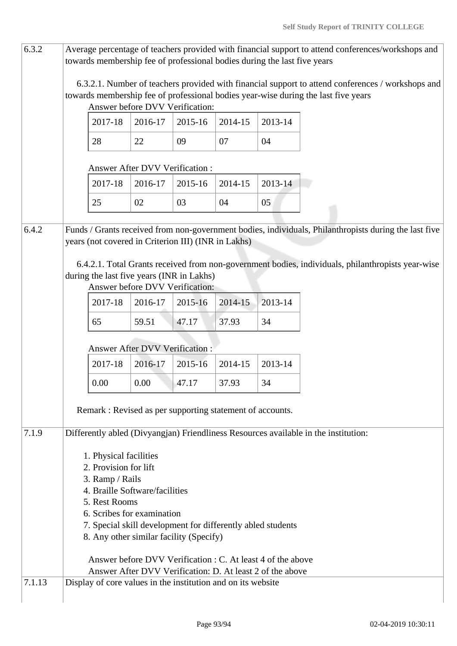| 6.3.2  |                                                                    | towards membership fee of professional bodies during the last five years                               |                                 |         |         |                                                                                                                          | Average percentage of teachers provided with financial support to attend conferences/workshops and                                                                                      |  |  |  |
|--------|--------------------------------------------------------------------|--------------------------------------------------------------------------------------------------------|---------------------------------|---------|---------|--------------------------------------------------------------------------------------------------------------------------|-----------------------------------------------------------------------------------------------------------------------------------------------------------------------------------------|--|--|--|
|        |                                                                    |                                                                                                        | Answer before DVV Verification: |         |         |                                                                                                                          | 6.3.2.1. Number of teachers provided with financial support to attend conferences / workshops and<br>towards membership fee of professional bodies year-wise during the last five years |  |  |  |
|        |                                                                    | 2017-18                                                                                                | 2016-17                         | 2015-16 | 2014-15 | 2013-14                                                                                                                  |                                                                                                                                                                                         |  |  |  |
|        |                                                                    | 28                                                                                                     | 22                              | 09      | 07      | 04                                                                                                                       |                                                                                                                                                                                         |  |  |  |
|        | Answer After DVV Verification:                                     |                                                                                                        |                                 |         |         |                                                                                                                          |                                                                                                                                                                                         |  |  |  |
|        |                                                                    | 2017-18                                                                                                | 2016-17                         | 2015-16 | 2014-15 | 2013-14                                                                                                                  |                                                                                                                                                                                         |  |  |  |
|        |                                                                    | 25                                                                                                     | 02                              | 03      | 04      | 05                                                                                                                       |                                                                                                                                                                                         |  |  |  |
| 6.4.2  |                                                                    | years (not covered in Criterion III) (INR in Lakhs)                                                    |                                 |         |         |                                                                                                                          | Funds / Grants received from non-government bodies, individuals, Philanthropists during the last five                                                                                   |  |  |  |
|        |                                                                    | during the last five years (INR in Lakhs)                                                              | Answer before DVV Verification: |         |         |                                                                                                                          | 6.4.2.1. Total Grants received from non-government bodies, individuals, philanthropists year-wise                                                                                       |  |  |  |
|        |                                                                    | 2017-18                                                                                                | 2016-17                         | 2015-16 | 2014-15 | 2013-14                                                                                                                  |                                                                                                                                                                                         |  |  |  |
|        |                                                                    | 65                                                                                                     | 59.51                           | 47.17   | 37.93   | 34                                                                                                                       |                                                                                                                                                                                         |  |  |  |
|        | <b>Answer After DVV Verification:</b>                              |                                                                                                        |                                 |         |         |                                                                                                                          |                                                                                                                                                                                         |  |  |  |
|        |                                                                    | 2017-18                                                                                                | 2016-17                         | 2015-16 | 2014-15 | 2013-14                                                                                                                  |                                                                                                                                                                                         |  |  |  |
|        |                                                                    | 0.00                                                                                                   | 0.00                            | 47.17   | 37.93   | 34                                                                                                                       |                                                                                                                                                                                         |  |  |  |
|        | Remark: Revised as per supporting statement of accounts.           |                                                                                                        |                                 |         |         |                                                                                                                          |                                                                                                                                                                                         |  |  |  |
| 7.1.9  |                                                                    |                                                                                                        |                                 |         |         |                                                                                                                          | Differently abled (Divyangjan) Friendliness Resources available in the institution:                                                                                                     |  |  |  |
|        | 1. Physical facilities<br>2. Provision for lift<br>3. Ramp / Rails |                                                                                                        |                                 |         |         |                                                                                                                          |                                                                                                                                                                                         |  |  |  |
|        | 4. Braille Software/facilities                                     |                                                                                                        |                                 |         |         |                                                                                                                          |                                                                                                                                                                                         |  |  |  |
|        | 5. Rest Rooms<br>6. Scribes for examination                        |                                                                                                        |                                 |         |         |                                                                                                                          |                                                                                                                                                                                         |  |  |  |
|        |                                                                    | 7. Special skill development for differently abled students<br>8. Any other similar facility (Specify) |                                 |         |         |                                                                                                                          |                                                                                                                                                                                         |  |  |  |
|        |                                                                    |                                                                                                        |                                 |         |         |                                                                                                                          |                                                                                                                                                                                         |  |  |  |
|        |                                                                    |                                                                                                        |                                 |         |         | Answer before DVV Verification : C. At least 4 of the above<br>Answer After DVV Verification: D. At least 2 of the above |                                                                                                                                                                                         |  |  |  |
| 7.1.13 |                                                                    | Display of core values in the institution and on its website                                           |                                 |         |         |                                                                                                                          |                                                                                                                                                                                         |  |  |  |